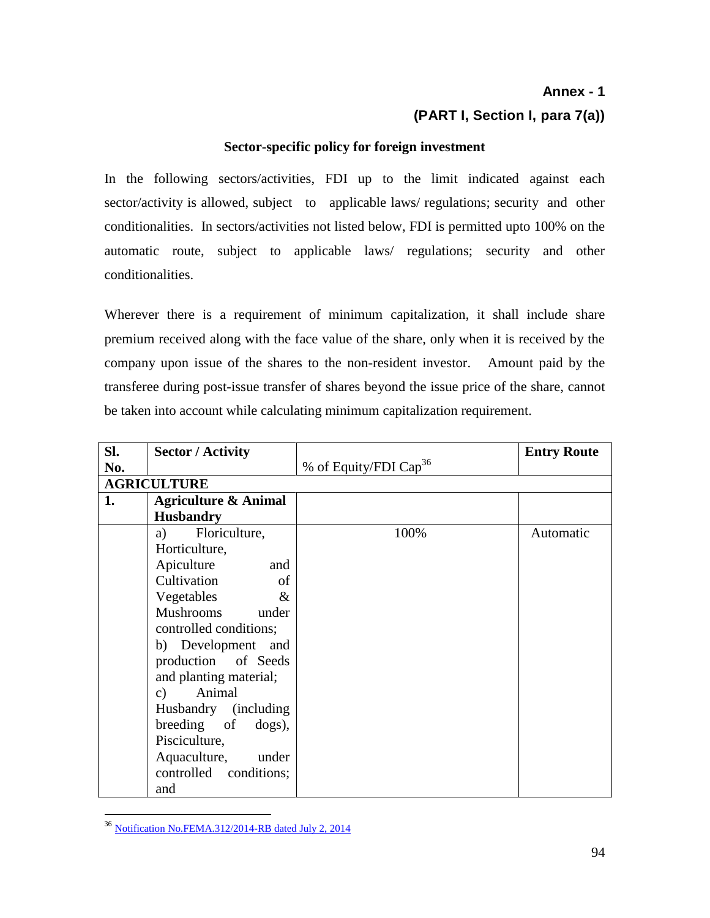## **Annex - 1 (PART I, Section I, para 7(a))**

## **Sector-specific policy for foreign investment**

In the following sectors/activities, FDI up to the limit indicated against each sector/activity is allowed, subject to applicable laws/ regulations; security and other conditionalities. In sectors/activities not listed below, FDI is permitted upto 100% on the automatic route, subject to applicable laws/ regulations; security and other conditionalities.

Wherever there is a requirement of minimum capitalization, it shall include share premium received along with the face value of the share, only when it is received by the company upon issue of the shares to the non-resident investor. Amount paid by the transferee during post-issue transfer of shares beyond the issue price of the share, cannot be taken into account while calculating minimum capitalization requirement.

| SI. | <b>Sector / Activity</b>        |                                   | <b>Entry Route</b> |
|-----|---------------------------------|-----------------------------------|--------------------|
| No. |                                 | % of Equity/FDI Cap <sup>36</sup> |                    |
|     | <b>AGRICULTURE</b>              |                                   |                    |
| 1.  | <b>Agriculture &amp; Animal</b> |                                   |                    |
|     | <b>Husbandry</b>                |                                   |                    |
|     | Floriculture,<br>a)             | 100%                              | Automatic          |
|     | Horticulture,                   |                                   |                    |
|     | Apiculture<br>and               |                                   |                    |
|     | Cultivation<br>of               |                                   |                    |
|     | $\&$<br>Vegetables              |                                   |                    |
|     | <b>Mushrooms</b><br>under       |                                   |                    |
|     | controlled conditions;          |                                   |                    |
|     | b) Development and              |                                   |                    |
|     | production of Seeds             |                                   |                    |
|     | and planting material;          |                                   |                    |
|     | Animal<br>$\mathbf{c})$         |                                   |                    |
|     | Husbandry (including)           |                                   |                    |
|     | breeding of dogs),              |                                   |                    |
|     | Pisciculture,                   |                                   |                    |
|     | Aquaculture, under              |                                   |                    |
|     | controlled conditions;          |                                   |                    |
|     | and                             |                                   |                    |

<sup>36</sup> [Notification No.FEMA.312/2014-RB dated July 2, 2014](http://rbi.org.in/Scripts/NotificationUser.aspx?Id=9378&Mode=0)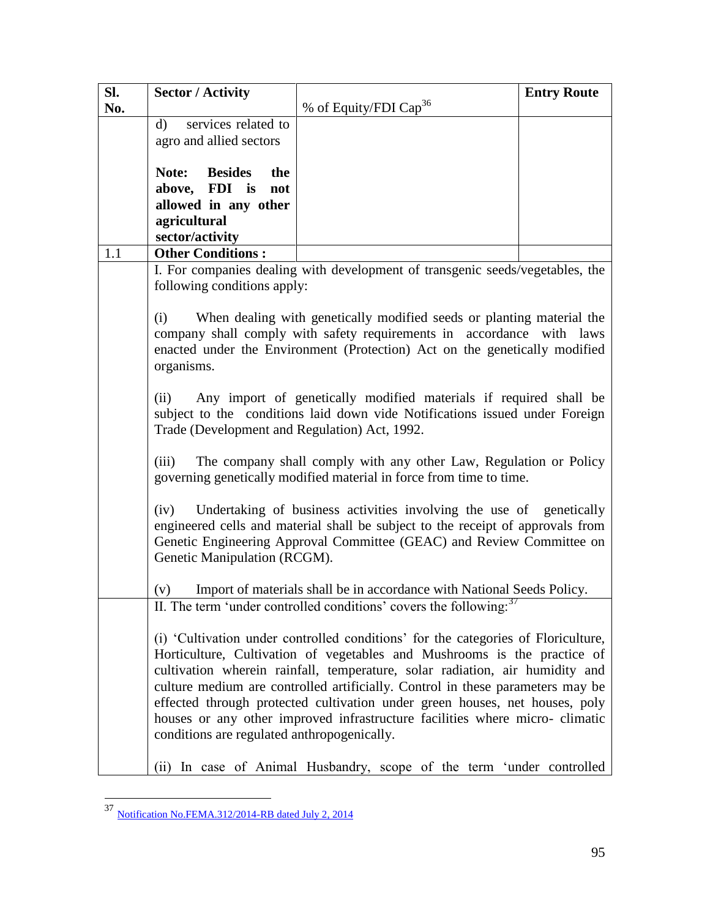| Sl. | <b>Sector / Activity</b>                                                                                                                          |                                                                                   | <b>Entry Route</b> |  |
|-----|---------------------------------------------------------------------------------------------------------------------------------------------------|-----------------------------------------------------------------------------------|--------------------|--|
| No. |                                                                                                                                                   | % of Equity/FDI Cap <sup>36</sup>                                                 |                    |  |
|     | services related to<br>d)                                                                                                                         |                                                                                   |                    |  |
|     | agro and allied sectors                                                                                                                           |                                                                                   |                    |  |
|     |                                                                                                                                                   |                                                                                   |                    |  |
|     | <b>Note:</b> Besides<br>the                                                                                                                       |                                                                                   |                    |  |
|     | above, FDI is<br>not                                                                                                                              |                                                                                   |                    |  |
|     | allowed in any other                                                                                                                              |                                                                                   |                    |  |
|     | agricultural                                                                                                                                      |                                                                                   |                    |  |
|     | sector/activity                                                                                                                                   |                                                                                   |                    |  |
| 1.1 | <b>Other Conditions:</b>                                                                                                                          |                                                                                   |                    |  |
|     | following conditions apply:                                                                                                                       | I. For companies dealing with development of transgenic seeds/vegetables, the     |                    |  |
|     |                                                                                                                                                   |                                                                                   |                    |  |
|     | (i)                                                                                                                                               | When dealing with genetically modified seeds or planting material the             |                    |  |
|     |                                                                                                                                                   | company shall comply with safety requirements in accordance with laws             |                    |  |
|     |                                                                                                                                                   | enacted under the Environment (Protection) Act on the genetically modified        |                    |  |
|     | organisms.                                                                                                                                        |                                                                                   |                    |  |
|     |                                                                                                                                                   |                                                                                   |                    |  |
|     | Any import of genetically modified materials if required shall be<br>(ii)                                                                         |                                                                                   |                    |  |
|     | subject to the conditions laid down vide Notifications issued under Foreign                                                                       |                                                                                   |                    |  |
|     | Trade (Development and Regulation) Act, 1992.                                                                                                     |                                                                                   |                    |  |
|     | The company shall comply with any other Law, Regulation or Policy<br>(iii)<br>governing genetically modified material in force from time to time. |                                                                                   |                    |  |
|     |                                                                                                                                                   |                                                                                   |                    |  |
|     |                                                                                                                                                   |                                                                                   |                    |  |
|     | (iv)                                                                                                                                              | Undertaking of business activities involving the use of genetically               |                    |  |
|     |                                                                                                                                                   | engineered cells and material shall be subject to the receipt of approvals from   |                    |  |
|     |                                                                                                                                                   | Genetic Engineering Approval Committee (GEAC) and Review Committee on             |                    |  |
|     | Genetic Manipulation (RCGM).                                                                                                                      |                                                                                   |                    |  |
|     |                                                                                                                                                   |                                                                                   |                    |  |
|     | (v)                                                                                                                                               | Import of materials shall be in accordance with National Seeds Policy.            |                    |  |
|     |                                                                                                                                                   | II. The term 'under controlled conditions' covers the following: <sup>37</sup>    |                    |  |
|     |                                                                                                                                                   | (i) 'Cultivation under controlled conditions' for the categories of Floriculture, |                    |  |
|     |                                                                                                                                                   | Horticulture, Cultivation of vegetables and Mushrooms is the practice of          |                    |  |
|     |                                                                                                                                                   | cultivation wherein rainfall, temperature, solar radiation, air humidity and      |                    |  |
|     |                                                                                                                                                   | culture medium are controlled artificially. Control in these parameters may be    |                    |  |
|     |                                                                                                                                                   | effected through protected cultivation under green houses, net houses, poly       |                    |  |
|     |                                                                                                                                                   | houses or any other improved infrastructure facilities where micro- climatic      |                    |  |
|     | conditions are regulated anthropogenically.                                                                                                       |                                                                                   |                    |  |
|     |                                                                                                                                                   |                                                                                   |                    |  |
|     |                                                                                                                                                   | (ii) In case of Animal Husbandry, scope of the term 'under controlled             |                    |  |

<sup>37</sup> [Notification No.FEMA.312/2014-RB dated July 2, 2014](http://rbi.org.in/Scripts/NotificationUser.aspx?Id=9378&Mode=0)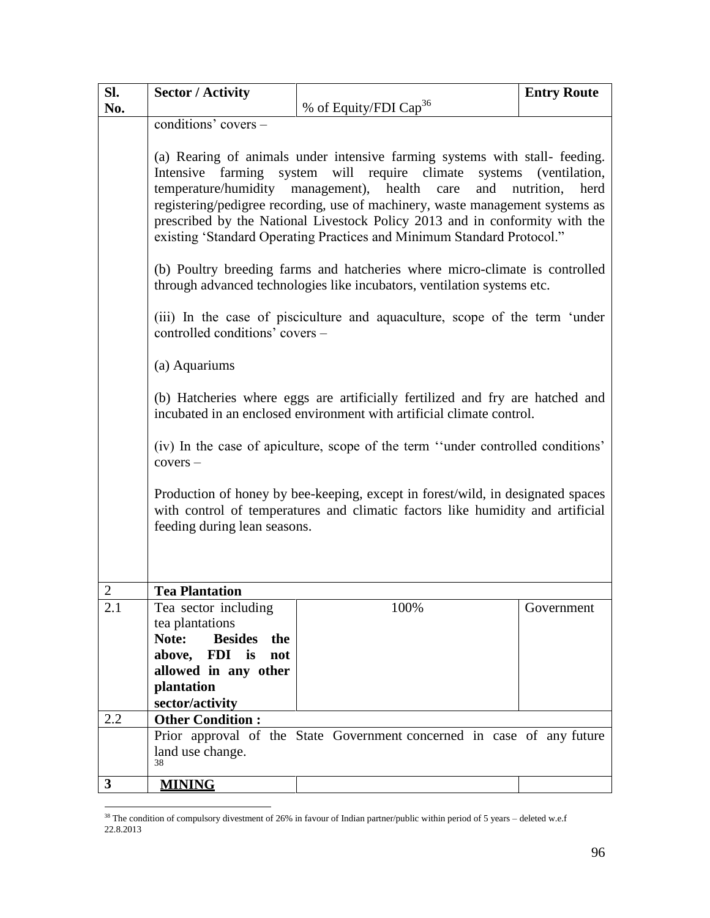| SI. | <b>Sector / Activity</b>                                                                                                                                                                                                                                                                                                                                                                                                                                                                                                                                    |                                                                             | <b>Entry Route</b> |  |  |  |
|-----|-------------------------------------------------------------------------------------------------------------------------------------------------------------------------------------------------------------------------------------------------------------------------------------------------------------------------------------------------------------------------------------------------------------------------------------------------------------------------------------------------------------------------------------------------------------|-----------------------------------------------------------------------------|--------------------|--|--|--|
| No. |                                                                                                                                                                                                                                                                                                                                                                                                                                                                                                                                                             | % of Equity/FDI Cap <sup>36</sup>                                           |                    |  |  |  |
|     | conditions' covers -                                                                                                                                                                                                                                                                                                                                                                                                                                                                                                                                        |                                                                             |                    |  |  |  |
|     | (a) Rearing of animals under intensive farming systems with stall-feeding.<br>Intensive farming system will require climate systems (ventilation,<br>temperature/humidity management), health<br>and<br>nutrition,<br>herd<br>care<br>registering/pedigree recording, use of machinery, waste management systems as<br>prescribed by the National Livestock Policy 2013 and in conformity with the<br>existing 'Standard Operating Practices and Minimum Standard Protocol."<br>(b) Poultry breeding farms and hatcheries where micro-climate is controlled |                                                                             |                    |  |  |  |
|     |                                                                                                                                                                                                                                                                                                                                                                                                                                                                                                                                                             | through advanced technologies like incubators, ventilation systems etc.     |                    |  |  |  |
|     | controlled conditions' covers –                                                                                                                                                                                                                                                                                                                                                                                                                                                                                                                             | (iii) In the case of pisciculture and aquaculture, scope of the term 'under |                    |  |  |  |
|     | (a) Aquariums                                                                                                                                                                                                                                                                                                                                                                                                                                                                                                                                               |                                                                             |                    |  |  |  |
|     | (b) Hatcheries where eggs are artificially fertilized and fry are hatched and<br>incubated in an enclosed environment with artificial climate control.                                                                                                                                                                                                                                                                                                                                                                                                      |                                                                             |                    |  |  |  |
|     | (iv) In the case of apiculture, scope of the term "under controlled conditions"<br>$covers -$                                                                                                                                                                                                                                                                                                                                                                                                                                                               |                                                                             |                    |  |  |  |
|     | Production of honey by bee-keeping, except in forest/wild, in designated spaces<br>with control of temperatures and climatic factors like humidity and artificial<br>feeding during lean seasons.                                                                                                                                                                                                                                                                                                                                                           |                                                                             |                    |  |  |  |
|     |                                                                                                                                                                                                                                                                                                                                                                                                                                                                                                                                                             |                                                                             |                    |  |  |  |
|     |                                                                                                                                                                                                                                                                                                                                                                                                                                                                                                                                                             |                                                                             |                    |  |  |  |
| 2   | <b>Tea Plantation</b>                                                                                                                                                                                                                                                                                                                                                                                                                                                                                                                                       |                                                                             |                    |  |  |  |
| 2.1 | Tea sector including<br>tea plantations                                                                                                                                                                                                                                                                                                                                                                                                                                                                                                                     | 100%                                                                        | Government         |  |  |  |
|     | <b>Besides</b><br>Note:<br>the                                                                                                                                                                                                                                                                                                                                                                                                                                                                                                                              |                                                                             |                    |  |  |  |
|     | above, FDI is<br>not                                                                                                                                                                                                                                                                                                                                                                                                                                                                                                                                        |                                                                             |                    |  |  |  |
|     | allowed in any other                                                                                                                                                                                                                                                                                                                                                                                                                                                                                                                                        |                                                                             |                    |  |  |  |
|     | plantation                                                                                                                                                                                                                                                                                                                                                                                                                                                                                                                                                  |                                                                             |                    |  |  |  |
|     | sector/activity                                                                                                                                                                                                                                                                                                                                                                                                                                                                                                                                             |                                                                             |                    |  |  |  |
| 2.2 | <b>Other Condition:</b>                                                                                                                                                                                                                                                                                                                                                                                                                                                                                                                                     |                                                                             |                    |  |  |  |
|     | land use change.<br>38                                                                                                                                                                                                                                                                                                                                                                                                                                                                                                                                      | Prior approval of the State Government concerned in case of any future      |                    |  |  |  |
| 3   | <b>MINING</b>                                                                                                                                                                                                                                                                                                                                                                                                                                                                                                                                               |                                                                             |                    |  |  |  |

 $38$  The condition of compulsory divestment of 26% in favour of Indian partner/public within period of 5 years – deleted w.e.f 22.8.2013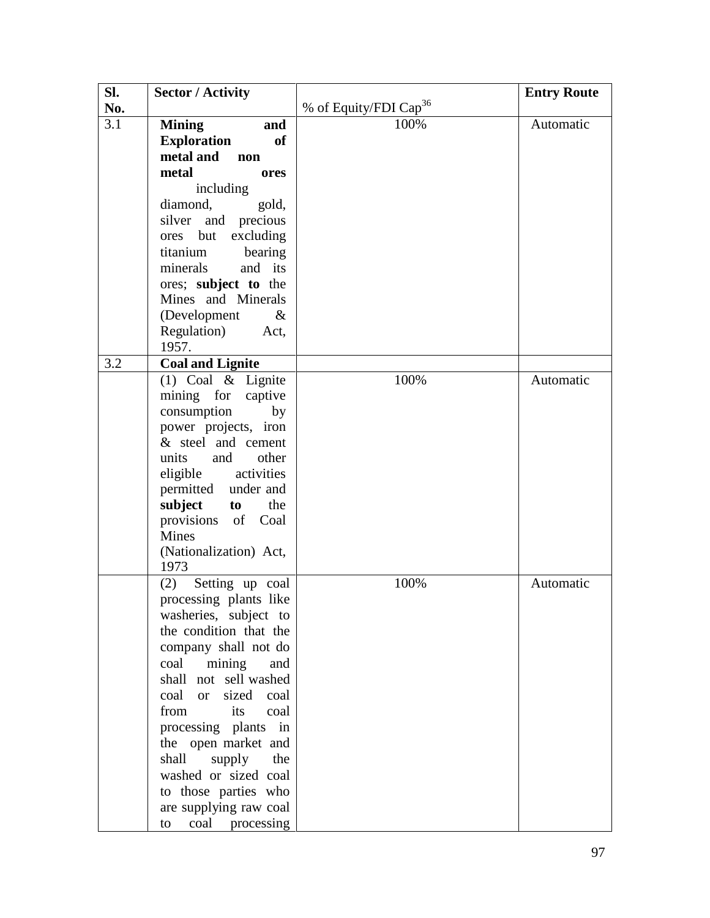| Sl. | <b>Sector / Activity</b>           |                                   | <b>Entry Route</b> |
|-----|------------------------------------|-----------------------------------|--------------------|
| No. |                                    | % of Equity/FDI Cap <sup>36</sup> |                    |
| 3.1 | <b>Mining</b><br>and               | 100%                              | Automatic          |
|     | <b>Exploration</b><br><b>of</b>    |                                   |                    |
|     | metal and<br>non                   |                                   |                    |
|     | metal<br>ores                      |                                   |                    |
|     | including                          |                                   |                    |
|     | diamond, gold,                     |                                   |                    |
|     | silver and precious                |                                   |                    |
|     | ores but<br>excluding              |                                   |                    |
|     | titanium<br>bearing                |                                   |                    |
|     | and its<br>minerals                |                                   |                    |
|     | ores; subject to the               |                                   |                    |
|     | Mines and Minerals                 |                                   |                    |
|     | (Development<br>$\&$               |                                   |                    |
|     | Regulation)<br>Act,                |                                   |                    |
|     | 1957.                              |                                   |                    |
| 3.2 | <b>Coal and Lignite</b>            |                                   |                    |
|     | $(1)$ Coal & Lignite               | 100%                              | Automatic          |
|     | mining for<br>captive              |                                   |                    |
|     | consumption<br>by                  |                                   |                    |
|     | power projects, iron               |                                   |                    |
|     | & steel and cement                 |                                   |                    |
|     | units<br>other<br>and              |                                   |                    |
|     | eligible activities                |                                   |                    |
|     | permitted under and                |                                   |                    |
|     | subject<br>the<br>to to            |                                   |                    |
|     | provisions of Coal                 |                                   |                    |
|     | <b>Mines</b>                       |                                   |                    |
|     | (Nationalization) Act,             |                                   |                    |
|     | 1973                               |                                   |                    |
|     | Setting up coal<br>(2)             | 100%                              | Automatic          |
|     | processing plants like             |                                   |                    |
|     | washeries, subject to              |                                   |                    |
|     | the condition that the             |                                   |                    |
|     | company shall not do               |                                   |                    |
|     | coal mining<br>and                 |                                   |                    |
|     | not sell washed<br>shall           |                                   |                    |
|     | sized<br>coal<br>coal<br><b>or</b> |                                   |                    |
|     | from<br>its<br>coal                |                                   |                    |
|     | processing plants in               |                                   |                    |
|     | the open market and                |                                   |                    |
|     | supply<br>shall<br>the             |                                   |                    |
|     | washed or sized coal               |                                   |                    |
|     | to those parties who               |                                   |                    |
|     | are supplying raw coal             |                                   |                    |
|     | coal processing<br>to              |                                   |                    |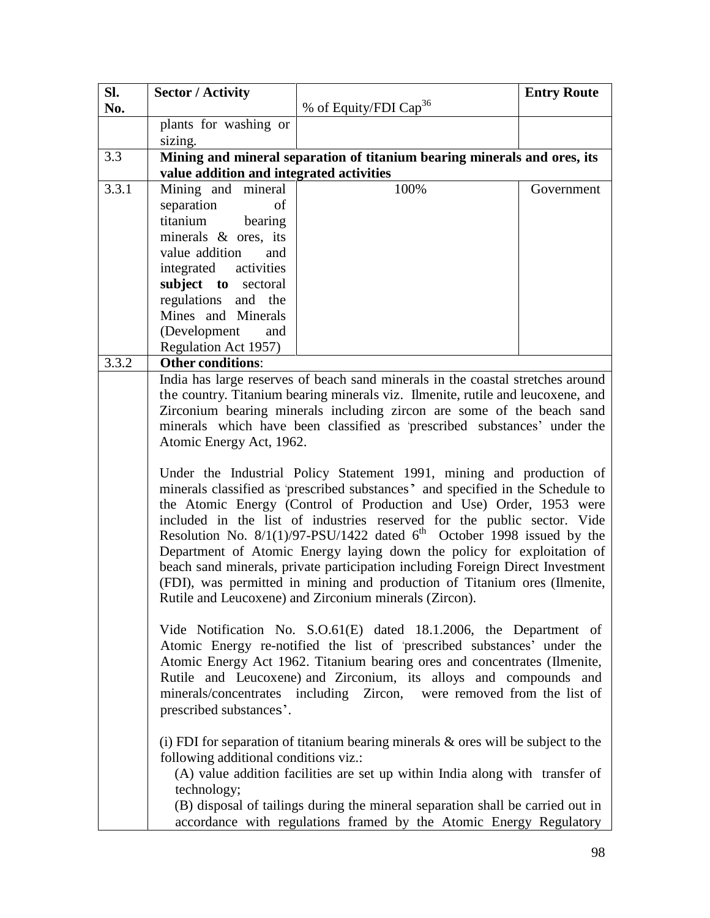| SI.   | <b>Sector / Activity</b>                                                                                                                                                                                                                                                                                                                                                                                                     |                                                                                                                                                                                                                                                                                                                                                                                                                                                                                                                                                                                                                    | <b>Entry Route</b> |  |  |  |
|-------|------------------------------------------------------------------------------------------------------------------------------------------------------------------------------------------------------------------------------------------------------------------------------------------------------------------------------------------------------------------------------------------------------------------------------|--------------------------------------------------------------------------------------------------------------------------------------------------------------------------------------------------------------------------------------------------------------------------------------------------------------------------------------------------------------------------------------------------------------------------------------------------------------------------------------------------------------------------------------------------------------------------------------------------------------------|--------------------|--|--|--|
| No.   |                                                                                                                                                                                                                                                                                                                                                                                                                              | % of Equity/FDI Cap <sup>36</sup>                                                                                                                                                                                                                                                                                                                                                                                                                                                                                                                                                                                  |                    |  |  |  |
|       | plants for washing or                                                                                                                                                                                                                                                                                                                                                                                                        |                                                                                                                                                                                                                                                                                                                                                                                                                                                                                                                                                                                                                    |                    |  |  |  |
|       | sizing.                                                                                                                                                                                                                                                                                                                                                                                                                      |                                                                                                                                                                                                                                                                                                                                                                                                                                                                                                                                                                                                                    |                    |  |  |  |
| 3.3   |                                                                                                                                                                                                                                                                                                                                                                                                                              | Mining and mineral separation of titanium bearing minerals and ores, its                                                                                                                                                                                                                                                                                                                                                                                                                                                                                                                                           |                    |  |  |  |
|       | value addition and integrated activities                                                                                                                                                                                                                                                                                                                                                                                     |                                                                                                                                                                                                                                                                                                                                                                                                                                                                                                                                                                                                                    |                    |  |  |  |
| 3.3.1 | Mining and mineral                                                                                                                                                                                                                                                                                                                                                                                                           | 100%                                                                                                                                                                                                                                                                                                                                                                                                                                                                                                                                                                                                               | Government         |  |  |  |
|       | separation<br>οf                                                                                                                                                                                                                                                                                                                                                                                                             |                                                                                                                                                                                                                                                                                                                                                                                                                                                                                                                                                                                                                    |                    |  |  |  |
|       | titanium<br>bearing                                                                                                                                                                                                                                                                                                                                                                                                          |                                                                                                                                                                                                                                                                                                                                                                                                                                                                                                                                                                                                                    |                    |  |  |  |
|       | minerals & ores, its                                                                                                                                                                                                                                                                                                                                                                                                         |                                                                                                                                                                                                                                                                                                                                                                                                                                                                                                                                                                                                                    |                    |  |  |  |
|       | value addition<br>and                                                                                                                                                                                                                                                                                                                                                                                                        |                                                                                                                                                                                                                                                                                                                                                                                                                                                                                                                                                                                                                    |                    |  |  |  |
|       | integrated activities<br>subject to sectoral                                                                                                                                                                                                                                                                                                                                                                                 |                                                                                                                                                                                                                                                                                                                                                                                                                                                                                                                                                                                                                    |                    |  |  |  |
|       | regulations and the                                                                                                                                                                                                                                                                                                                                                                                                          |                                                                                                                                                                                                                                                                                                                                                                                                                                                                                                                                                                                                                    |                    |  |  |  |
|       | Mines and Minerals                                                                                                                                                                                                                                                                                                                                                                                                           |                                                                                                                                                                                                                                                                                                                                                                                                                                                                                                                                                                                                                    |                    |  |  |  |
|       | (Development<br>and                                                                                                                                                                                                                                                                                                                                                                                                          |                                                                                                                                                                                                                                                                                                                                                                                                                                                                                                                                                                                                                    |                    |  |  |  |
|       | Regulation Act 1957)                                                                                                                                                                                                                                                                                                                                                                                                         |                                                                                                                                                                                                                                                                                                                                                                                                                                                                                                                                                                                                                    |                    |  |  |  |
| 3.3.2 | <b>Other conditions:</b>                                                                                                                                                                                                                                                                                                                                                                                                     |                                                                                                                                                                                                                                                                                                                                                                                                                                                                                                                                                                                                                    |                    |  |  |  |
|       | India has large reserves of beach sand minerals in the coastal stretches around<br>the country. Titanium bearing minerals viz. Ilmenite, rutile and leucoxene, and<br>Zirconium bearing minerals including zircon are some of the beach sand<br>minerals which have been classified as 'prescribed substances' under the<br>Atomic Energy Act, 1962.<br>Under the Industrial Policy Statement 1991, mining and production of |                                                                                                                                                                                                                                                                                                                                                                                                                                                                                                                                                                                                                    |                    |  |  |  |
|       |                                                                                                                                                                                                                                                                                                                                                                                                                              | minerals classified as 'prescribed substances' and specified in the Schedule to<br>the Atomic Energy (Control of Production and Use) Order, 1953 were<br>included in the list of industries reserved for the public sector. Vide<br>Resolution No. $8/1(1)/97$ -PSU/1422 dated $6th$ October 1998 issued by the<br>Department of Atomic Energy laying down the policy for exploitation of<br>beach sand minerals, private participation including Foreign Direct Investment<br>(FDI), was permitted in mining and production of Titanium ores (Ilmenite,<br>Rutile and Leucoxene) and Zirconium minerals (Zircon). |                    |  |  |  |
|       | prescribed substances'.                                                                                                                                                                                                                                                                                                                                                                                                      | Vide Notification No. S.O.61(E) dated 18.1.2006, the Department of<br>Atomic Energy re-notified the list of 'prescribed substances' under the<br>Atomic Energy Act 1962. Titanium bearing ores and concentrates (Ilmenite,<br>Rutile and Leucoxene) and Zirconium, its alloys and compounds and<br>minerals/concentrates including Zircon, were removed from the list of                                                                                                                                                                                                                                           |                    |  |  |  |
|       | following additional conditions viz.:<br>technology;                                                                                                                                                                                                                                                                                                                                                                         | (i) FDI for separation of titanium bearing minerals $\&$ ores will be subject to the<br>(A) value addition facilities are set up within India along with transfer of<br>(B) disposal of tailings during the mineral separation shall be carried out in<br>accordance with regulations framed by the Atomic Energy Regulatory                                                                                                                                                                                                                                                                                       |                    |  |  |  |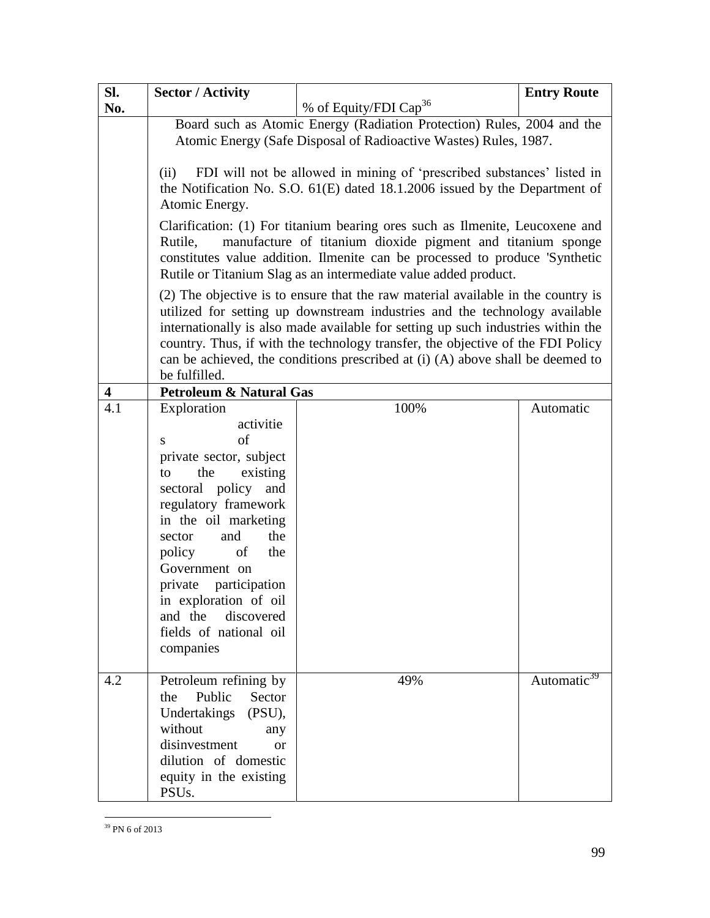| SI. | Sector / Activity                            |                                                                                                                                                                     | <b>Entry Route</b>      |
|-----|----------------------------------------------|---------------------------------------------------------------------------------------------------------------------------------------------------------------------|-------------------------|
| No. |                                              | % of Equity/FDI Cap <sup>36</sup>                                                                                                                                   |                         |
|     |                                              | Board such as Atomic Energy (Radiation Protection) Rules, 2004 and the                                                                                              |                         |
|     |                                              | Atomic Energy (Safe Disposal of Radioactive Wastes) Rules, 1987.                                                                                                    |                         |
|     |                                              |                                                                                                                                                                     |                         |
|     |                                              | (ii) FDI will not be allowed in mining of 'prescribed substances' listed in<br>the Notification No. S.O. 61(E) dated 18.1.2006 issued by the Department of          |                         |
|     | Atomic Energy.                               |                                                                                                                                                                     |                         |
|     |                                              |                                                                                                                                                                     |                         |
|     |                                              | Clarification: (1) For titanium bearing ores such as Ilmenite, Leucoxene and                                                                                        |                         |
|     | Rutile,                                      | manufacture of titanium dioxide pigment and titanium sponge<br>constitutes value addition. Ilmenite can be processed to produce 'Synthetic                          |                         |
|     |                                              | Rutile or Titanium Slag as an intermediate value added product.                                                                                                     |                         |
|     |                                              |                                                                                                                                                                     |                         |
|     |                                              | (2) The objective is to ensure that the raw material available in the country is                                                                                    |                         |
|     |                                              | utilized for setting up downstream industries and the technology available                                                                                          |                         |
|     |                                              | internationally is also made available for setting up such industries within the<br>country. Thus, if with the technology transfer, the objective of the FDI Policy |                         |
|     |                                              | can be achieved, the conditions prescribed at (i) (A) above shall be deemed to                                                                                      |                         |
|     | be fulfilled.                                |                                                                                                                                                                     |                         |
|     | <b>Petroleum &amp; Natural Gas</b>           |                                                                                                                                                                     |                         |
| 4.1 | Exploration                                  | 100%                                                                                                                                                                | Automatic               |
|     | activitie                                    |                                                                                                                                                                     |                         |
|     |                                              |                                                                                                                                                                     |                         |
|     | private sector, subject                      |                                                                                                                                                                     |                         |
|     | existing<br>the                              |                                                                                                                                                                     |                         |
|     | policy and<br>sectoral                       |                                                                                                                                                                     |                         |
|     | regulatory framework                         |                                                                                                                                                                     |                         |
|     | in the oil marketing                         |                                                                                                                                                                     |                         |
|     | the<br>and<br>sector                         |                                                                                                                                                                     |                         |
|     | the<br>of<br>policy                          |                                                                                                                                                                     |                         |
|     | Government on                                |                                                                                                                                                                     |                         |
|     | private participation                        |                                                                                                                                                                     |                         |
|     | in exploration of oil                        |                                                                                                                                                                     |                         |
|     | and the discovered<br>fields of national oil |                                                                                                                                                                     |                         |
|     | companies                                    |                                                                                                                                                                     |                         |
|     |                                              |                                                                                                                                                                     |                         |
| 4.2 | Petroleum refining by                        | 49%                                                                                                                                                                 | Automatic <sup>35</sup> |
|     | the Public Sector                            |                                                                                                                                                                     |                         |
|     | Undertakings (PSU),                          |                                                                                                                                                                     |                         |
|     | any<br>without                               |                                                                                                                                                                     |                         |
|     | disinvestment                                | <b>or</b>                                                                                                                                                           |                         |
|     | dilution of domestic                         |                                                                                                                                                                     |                         |
|     | equity in the existing                       |                                                                                                                                                                     |                         |
|     | PSUs.                                        |                                                                                                                                                                     |                         |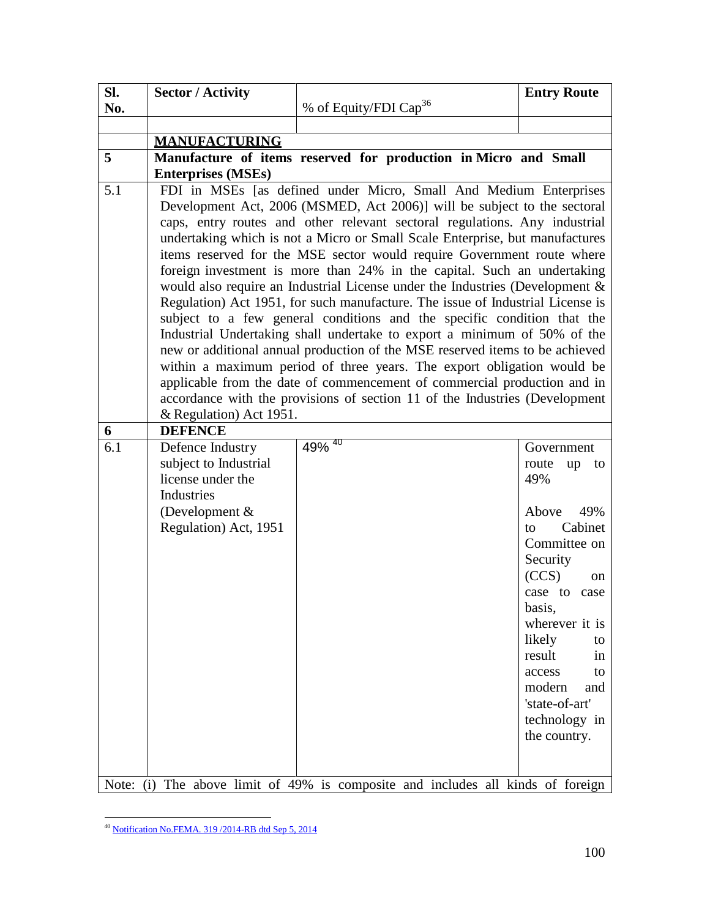| Sl.   | <b>Sector / Activity</b>                                                                                                                                                                                                                                                                                                                                                                                                                                                                                                                                                                                                                                                                                                                                                                                                                                                                                                                                                                                                                                                                                                                  |                                                                       | <b>Entry Route</b>                                                                                                                                                                                                                                                                 |
|-------|-------------------------------------------------------------------------------------------------------------------------------------------------------------------------------------------------------------------------------------------------------------------------------------------------------------------------------------------------------------------------------------------------------------------------------------------------------------------------------------------------------------------------------------------------------------------------------------------------------------------------------------------------------------------------------------------------------------------------------------------------------------------------------------------------------------------------------------------------------------------------------------------------------------------------------------------------------------------------------------------------------------------------------------------------------------------------------------------------------------------------------------------|-----------------------------------------------------------------------|------------------------------------------------------------------------------------------------------------------------------------------------------------------------------------------------------------------------------------------------------------------------------------|
| No.   |                                                                                                                                                                                                                                                                                                                                                                                                                                                                                                                                                                                                                                                                                                                                                                                                                                                                                                                                                                                                                                                                                                                                           | % of Equity/FDI Cap <sup>36</sup>                                     |                                                                                                                                                                                                                                                                                    |
|       |                                                                                                                                                                                                                                                                                                                                                                                                                                                                                                                                                                                                                                                                                                                                                                                                                                                                                                                                                                                                                                                                                                                                           |                                                                       |                                                                                                                                                                                                                                                                                    |
|       | <b>MANUFACTURING</b>                                                                                                                                                                                                                                                                                                                                                                                                                                                                                                                                                                                                                                                                                                                                                                                                                                                                                                                                                                                                                                                                                                                      |                                                                       |                                                                                                                                                                                                                                                                                    |
| 5     |                                                                                                                                                                                                                                                                                                                                                                                                                                                                                                                                                                                                                                                                                                                                                                                                                                                                                                                                                                                                                                                                                                                                           | Manufacture of items reserved for production in Micro and Small       |                                                                                                                                                                                                                                                                                    |
|       | <b>Enterprises (MSEs)</b>                                                                                                                                                                                                                                                                                                                                                                                                                                                                                                                                                                                                                                                                                                                                                                                                                                                                                                                                                                                                                                                                                                                 |                                                                       |                                                                                                                                                                                                                                                                                    |
| 5.1   | FDI in MSEs [as defined under Micro, Small And Medium Enterprises<br>Development Act, 2006 (MSMED, Act 2006)] will be subject to the sectoral<br>caps, entry routes and other relevant sectoral regulations. Any industrial<br>undertaking which is not a Micro or Small Scale Enterprise, but manufactures<br>items reserved for the MSE sector would require Government route where<br>foreign investment is more than 24% in the capital. Such an undertaking<br>would also require an Industrial License under the Industries (Development &<br>Regulation) Act 1951, for such manufacture. The issue of Industrial License is<br>subject to a few general conditions and the specific condition that the<br>Industrial Undertaking shall undertake to export a minimum of 50% of the<br>new or additional annual production of the MSE reserved items to be achieved<br>within a maximum period of three years. The export obligation would be<br>applicable from the date of commencement of commercial production and in<br>accordance with the provisions of section 11 of the Industries (Development<br>& Regulation) Act 1951. |                                                                       |                                                                                                                                                                                                                                                                                    |
| 6     | <b>DEFENCE</b>                                                                                                                                                                                                                                                                                                                                                                                                                                                                                                                                                                                                                                                                                                                                                                                                                                                                                                                                                                                                                                                                                                                            |                                                                       |                                                                                                                                                                                                                                                                                    |
| 6.1   | Defence Industry<br>subject to Industrial<br>license under the<br>Industries<br>(Development $&$<br>Regulation) Act, 1951                                                                                                                                                                                                                                                                                                                                                                                                                                                                                                                                                                                                                                                                                                                                                                                                                                                                                                                                                                                                                 | 49% 40                                                                | Government<br>route<br>up<br>to<br>49%<br>Above<br>49%<br>Cabinet<br>to<br>Committee on<br>Security<br>(CCS)<br>on<br>case to case<br>basis,<br>wherever it is<br>likely<br>to<br>result<br>in<br>access<br>to<br>modern<br>and<br>'state-of-art'<br>technology in<br>the country. |
| Note: | (i)                                                                                                                                                                                                                                                                                                                                                                                                                                                                                                                                                                                                                                                                                                                                                                                                                                                                                                                                                                                                                                                                                                                                       | The above limit of 49% is composite and includes all kinds of foreign |                                                                                                                                                                                                                                                                                    |

 $\overline{a}$ <sup>40</sup> [Notification No.FEMA. 319 /2014-RB dtd Sep 5, 2014](http://rbi.org.in/Scripts/NotificationUser.aspx?Id=9381&Mode=0)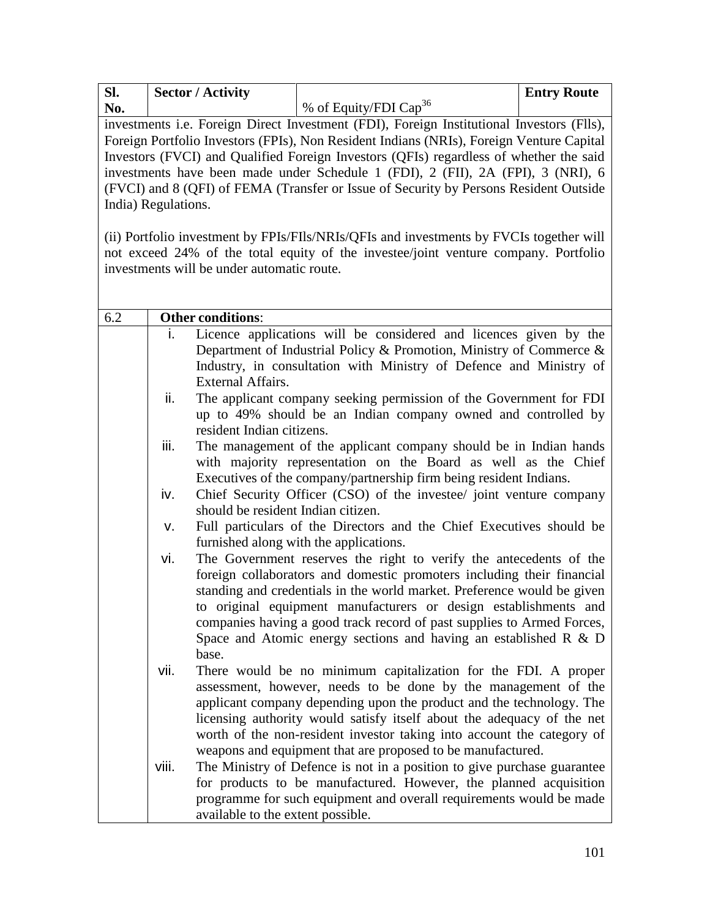|     | <b>Sector / Activity</b> |                                   | <b>Entry Route</b> |
|-----|--------------------------|-----------------------------------|--------------------|
| No. |                          | % of Equity/FDI Cap <sup>36</sup> |                    |

investments i.e. Foreign Direct Investment (FDI), Foreign Institutional Investors (Flls), Foreign Portfolio Investors (FPIs), Non Resident Indians (NRIs), Foreign Venture Capital Investors (FVCI) and Qualified Foreign Investors (QFIs) regardless of whether the said investments have been made under Schedule 1 (FDI), 2 (FII), 2A (FPI), 3 (NRI), 6 (FVCI) and 8 (QFI) of FEMA (Transfer or Issue of Security by Persons Resident Outside India) Regulations.

(ii) Portfolio investment by FPIs/FIls/NRIs/QFIs and investments by FVCIs together will not exceed 24% of the total equity of the investee/joint venture company. Portfolio investments will be under automatic route.

| 6.2 |       | <b>Other conditions:</b>                                                                                                                                                                                                                                                                                                                                                                                                                              |
|-----|-------|-------------------------------------------------------------------------------------------------------------------------------------------------------------------------------------------------------------------------------------------------------------------------------------------------------------------------------------------------------------------------------------------------------------------------------------------------------|
|     | i.    | Licence applications will be considered and licences given by the                                                                                                                                                                                                                                                                                                                                                                                     |
|     |       | Department of Industrial Policy & Promotion, Ministry of Commerce &                                                                                                                                                                                                                                                                                                                                                                                   |
|     |       | Industry, in consultation with Ministry of Defence and Ministry of                                                                                                                                                                                                                                                                                                                                                                                    |
|     |       | <b>External Affairs.</b>                                                                                                                                                                                                                                                                                                                                                                                                                              |
|     | ii.   | The applicant company seeking permission of the Government for FDI<br>up to 49% should be an Indian company owned and controlled by<br>resident Indian citizens.                                                                                                                                                                                                                                                                                      |
|     | iii.  | The management of the applicant company should be in Indian hands                                                                                                                                                                                                                                                                                                                                                                                     |
|     |       | with majority representation on the Board as well as the Chief<br>Executives of the company/partnership firm being resident Indians.                                                                                                                                                                                                                                                                                                                  |
|     | iv.   | Chief Security Officer (CSO) of the investee/ joint venture company<br>should be resident Indian citizen.                                                                                                                                                                                                                                                                                                                                             |
|     | v.    | Full particulars of the Directors and the Chief Executives should be<br>furnished along with the applications.                                                                                                                                                                                                                                                                                                                                        |
|     | vi.   | The Government reserves the right to verify the antecedents of the<br>foreign collaborators and domestic promoters including their financial<br>standing and credentials in the world market. Preference would be given<br>to original equipment manufacturers or design establishments and<br>companies having a good track record of past supplies to Armed Forces,<br>Space and Atomic energy sections and having an established $R \& D$<br>base. |
|     | vii.  | There would be no minimum capitalization for the FDI. A proper<br>assessment, however, needs to be done by the management of the<br>applicant company depending upon the product and the technology. The<br>licensing authority would satisfy itself about the adequacy of the net<br>worth of the non-resident investor taking into account the category of<br>weapons and equipment that are proposed to be manufactured.                           |
|     | viii. | The Ministry of Defence is not in a position to give purchase guarantee<br>for products to be manufactured. However, the planned acquisition<br>programme for such equipment and overall requirements would be made<br>available to the extent possible.                                                                                                                                                                                              |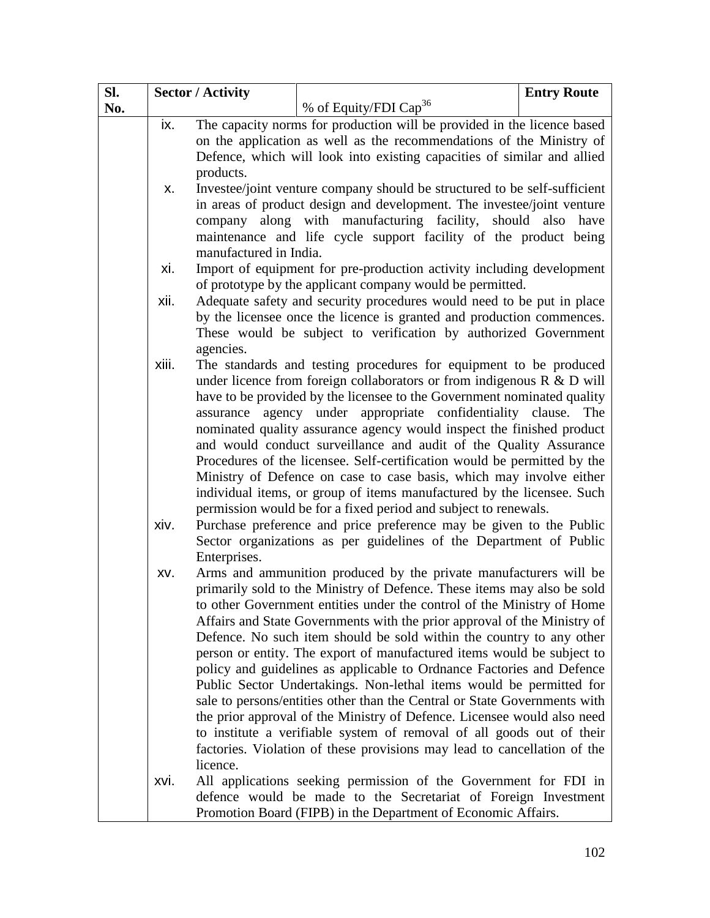|      |                              |                                                                | <b>Entry Route</b>                                                                                                                                                                                                                                                                                                                                                                                                                                                                                                                                                                                                                                                                                                                                                                                                                                                                                                                                                                                                                                                                                                                                                                                                                                                                                                                                                                                                                                                                                                                                                                                                                                                                                                                                                                                                                                                                                                                                                                                                                                                                                                                                                                                                                                                                                                                                                                                                                                                                                                                                                                                                                                                                                                                                                                                                                                                                                                |
|------|------------------------------|----------------------------------------------------------------|-------------------------------------------------------------------------------------------------------------------------------------------------------------------------------------------------------------------------------------------------------------------------------------------------------------------------------------------------------------------------------------------------------------------------------------------------------------------------------------------------------------------------------------------------------------------------------------------------------------------------------------------------------------------------------------------------------------------------------------------------------------------------------------------------------------------------------------------------------------------------------------------------------------------------------------------------------------------------------------------------------------------------------------------------------------------------------------------------------------------------------------------------------------------------------------------------------------------------------------------------------------------------------------------------------------------------------------------------------------------------------------------------------------------------------------------------------------------------------------------------------------------------------------------------------------------------------------------------------------------------------------------------------------------------------------------------------------------------------------------------------------------------------------------------------------------------------------------------------------------------------------------------------------------------------------------------------------------------------------------------------------------------------------------------------------------------------------------------------------------------------------------------------------------------------------------------------------------------------------------------------------------------------------------------------------------------------------------------------------------------------------------------------------------------------------------------------------------------------------------------------------------------------------------------------------------------------------------------------------------------------------------------------------------------------------------------------------------------------------------------------------------------------------------------------------------------------------------------------------------------------------------------------------------|
|      |                              | % of Equity/FDI Cap <sup>36</sup>                              |                                                                                                                                                                                                                                                                                                                                                                                                                                                                                                                                                                                                                                                                                                                                                                                                                                                                                                                                                                                                                                                                                                                                                                                                                                                                                                                                                                                                                                                                                                                                                                                                                                                                                                                                                                                                                                                                                                                                                                                                                                                                                                                                                                                                                                                                                                                                                                                                                                                                                                                                                                                                                                                                                                                                                                                                                                                                                                                   |
| ix.  |                              |                                                                |                                                                                                                                                                                                                                                                                                                                                                                                                                                                                                                                                                                                                                                                                                                                                                                                                                                                                                                                                                                                                                                                                                                                                                                                                                                                                                                                                                                                                                                                                                                                                                                                                                                                                                                                                                                                                                                                                                                                                                                                                                                                                                                                                                                                                                                                                                                                                                                                                                                                                                                                                                                                                                                                                                                                                                                                                                                                                                                   |
|      |                              |                                                                |                                                                                                                                                                                                                                                                                                                                                                                                                                                                                                                                                                                                                                                                                                                                                                                                                                                                                                                                                                                                                                                                                                                                                                                                                                                                                                                                                                                                                                                                                                                                                                                                                                                                                                                                                                                                                                                                                                                                                                                                                                                                                                                                                                                                                                                                                                                                                                                                                                                                                                                                                                                                                                                                                                                                                                                                                                                                                                                   |
|      |                              |                                                                |                                                                                                                                                                                                                                                                                                                                                                                                                                                                                                                                                                                                                                                                                                                                                                                                                                                                                                                                                                                                                                                                                                                                                                                                                                                                                                                                                                                                                                                                                                                                                                                                                                                                                                                                                                                                                                                                                                                                                                                                                                                                                                                                                                                                                                                                                                                                                                                                                                                                                                                                                                                                                                                                                                                                                                                                                                                                                                                   |
|      | products.                    |                                                                |                                                                                                                                                                                                                                                                                                                                                                                                                                                                                                                                                                                                                                                                                                                                                                                                                                                                                                                                                                                                                                                                                                                                                                                                                                                                                                                                                                                                                                                                                                                                                                                                                                                                                                                                                                                                                                                                                                                                                                                                                                                                                                                                                                                                                                                                                                                                                                                                                                                                                                                                                                                                                                                                                                                                                                                                                                                                                                                   |
| Х.   |                              |                                                                |                                                                                                                                                                                                                                                                                                                                                                                                                                                                                                                                                                                                                                                                                                                                                                                                                                                                                                                                                                                                                                                                                                                                                                                                                                                                                                                                                                                                                                                                                                                                                                                                                                                                                                                                                                                                                                                                                                                                                                                                                                                                                                                                                                                                                                                                                                                                                                                                                                                                                                                                                                                                                                                                                                                                                                                                                                                                                                                   |
|      |                              |                                                                |                                                                                                                                                                                                                                                                                                                                                                                                                                                                                                                                                                                                                                                                                                                                                                                                                                                                                                                                                                                                                                                                                                                                                                                                                                                                                                                                                                                                                                                                                                                                                                                                                                                                                                                                                                                                                                                                                                                                                                                                                                                                                                                                                                                                                                                                                                                                                                                                                                                                                                                                                                                                                                                                                                                                                                                                                                                                                                                   |
|      |                              |                                                                |                                                                                                                                                                                                                                                                                                                                                                                                                                                                                                                                                                                                                                                                                                                                                                                                                                                                                                                                                                                                                                                                                                                                                                                                                                                                                                                                                                                                                                                                                                                                                                                                                                                                                                                                                                                                                                                                                                                                                                                                                                                                                                                                                                                                                                                                                                                                                                                                                                                                                                                                                                                                                                                                                                                                                                                                                                                                                                                   |
|      |                              |                                                                |                                                                                                                                                                                                                                                                                                                                                                                                                                                                                                                                                                                                                                                                                                                                                                                                                                                                                                                                                                                                                                                                                                                                                                                                                                                                                                                                                                                                                                                                                                                                                                                                                                                                                                                                                                                                                                                                                                                                                                                                                                                                                                                                                                                                                                                                                                                                                                                                                                                                                                                                                                                                                                                                                                                                                                                                                                                                                                                   |
|      |                              |                                                                |                                                                                                                                                                                                                                                                                                                                                                                                                                                                                                                                                                                                                                                                                                                                                                                                                                                                                                                                                                                                                                                                                                                                                                                                                                                                                                                                                                                                                                                                                                                                                                                                                                                                                                                                                                                                                                                                                                                                                                                                                                                                                                                                                                                                                                                                                                                                                                                                                                                                                                                                                                                                                                                                                                                                                                                                                                                                                                                   |
|      |                              |                                                                |                                                                                                                                                                                                                                                                                                                                                                                                                                                                                                                                                                                                                                                                                                                                                                                                                                                                                                                                                                                                                                                                                                                                                                                                                                                                                                                                                                                                                                                                                                                                                                                                                                                                                                                                                                                                                                                                                                                                                                                                                                                                                                                                                                                                                                                                                                                                                                                                                                                                                                                                                                                                                                                                                                                                                                                                                                                                                                                   |
|      |                              |                                                                |                                                                                                                                                                                                                                                                                                                                                                                                                                                                                                                                                                                                                                                                                                                                                                                                                                                                                                                                                                                                                                                                                                                                                                                                                                                                                                                                                                                                                                                                                                                                                                                                                                                                                                                                                                                                                                                                                                                                                                                                                                                                                                                                                                                                                                                                                                                                                                                                                                                                                                                                                                                                                                                                                                                                                                                                                                                                                                                   |
|      |                              |                                                                |                                                                                                                                                                                                                                                                                                                                                                                                                                                                                                                                                                                                                                                                                                                                                                                                                                                                                                                                                                                                                                                                                                                                                                                                                                                                                                                                                                                                                                                                                                                                                                                                                                                                                                                                                                                                                                                                                                                                                                                                                                                                                                                                                                                                                                                                                                                                                                                                                                                                                                                                                                                                                                                                                                                                                                                                                                                                                                                   |
|      |                              |                                                                |                                                                                                                                                                                                                                                                                                                                                                                                                                                                                                                                                                                                                                                                                                                                                                                                                                                                                                                                                                                                                                                                                                                                                                                                                                                                                                                                                                                                                                                                                                                                                                                                                                                                                                                                                                                                                                                                                                                                                                                                                                                                                                                                                                                                                                                                                                                                                                                                                                                                                                                                                                                                                                                                                                                                                                                                                                                                                                                   |
|      |                              |                                                                |                                                                                                                                                                                                                                                                                                                                                                                                                                                                                                                                                                                                                                                                                                                                                                                                                                                                                                                                                                                                                                                                                                                                                                                                                                                                                                                                                                                                                                                                                                                                                                                                                                                                                                                                                                                                                                                                                                                                                                                                                                                                                                                                                                                                                                                                                                                                                                                                                                                                                                                                                                                                                                                                                                                                                                                                                                                                                                                   |
|      |                              |                                                                |                                                                                                                                                                                                                                                                                                                                                                                                                                                                                                                                                                                                                                                                                                                                                                                                                                                                                                                                                                                                                                                                                                                                                                                                                                                                                                                                                                                                                                                                                                                                                                                                                                                                                                                                                                                                                                                                                                                                                                                                                                                                                                                                                                                                                                                                                                                                                                                                                                                                                                                                                                                                                                                                                                                                                                                                                                                                                                                   |
|      |                              |                                                                |                                                                                                                                                                                                                                                                                                                                                                                                                                                                                                                                                                                                                                                                                                                                                                                                                                                                                                                                                                                                                                                                                                                                                                                                                                                                                                                                                                                                                                                                                                                                                                                                                                                                                                                                                                                                                                                                                                                                                                                                                                                                                                                                                                                                                                                                                                                                                                                                                                                                                                                                                                                                                                                                                                                                                                                                                                                                                                                   |
|      |                              |                                                                |                                                                                                                                                                                                                                                                                                                                                                                                                                                                                                                                                                                                                                                                                                                                                                                                                                                                                                                                                                                                                                                                                                                                                                                                                                                                                                                                                                                                                                                                                                                                                                                                                                                                                                                                                                                                                                                                                                                                                                                                                                                                                                                                                                                                                                                                                                                                                                                                                                                                                                                                                                                                                                                                                                                                                                                                                                                                                                                   |
|      |                              |                                                                | The                                                                                                                                                                                                                                                                                                                                                                                                                                                                                                                                                                                                                                                                                                                                                                                                                                                                                                                                                                                                                                                                                                                                                                                                                                                                                                                                                                                                                                                                                                                                                                                                                                                                                                                                                                                                                                                                                                                                                                                                                                                                                                                                                                                                                                                                                                                                                                                                                                                                                                                                                                                                                                                                                                                                                                                                                                                                                                               |
|      |                              |                                                                |                                                                                                                                                                                                                                                                                                                                                                                                                                                                                                                                                                                                                                                                                                                                                                                                                                                                                                                                                                                                                                                                                                                                                                                                                                                                                                                                                                                                                                                                                                                                                                                                                                                                                                                                                                                                                                                                                                                                                                                                                                                                                                                                                                                                                                                                                                                                                                                                                                                                                                                                                                                                                                                                                                                                                                                                                                                                                                                   |
|      |                              |                                                                |                                                                                                                                                                                                                                                                                                                                                                                                                                                                                                                                                                                                                                                                                                                                                                                                                                                                                                                                                                                                                                                                                                                                                                                                                                                                                                                                                                                                                                                                                                                                                                                                                                                                                                                                                                                                                                                                                                                                                                                                                                                                                                                                                                                                                                                                                                                                                                                                                                                                                                                                                                                                                                                                                                                                                                                                                                                                                                                   |
|      |                              |                                                                |                                                                                                                                                                                                                                                                                                                                                                                                                                                                                                                                                                                                                                                                                                                                                                                                                                                                                                                                                                                                                                                                                                                                                                                                                                                                                                                                                                                                                                                                                                                                                                                                                                                                                                                                                                                                                                                                                                                                                                                                                                                                                                                                                                                                                                                                                                                                                                                                                                                                                                                                                                                                                                                                                                                                                                                                                                                                                                                   |
|      |                              |                                                                |                                                                                                                                                                                                                                                                                                                                                                                                                                                                                                                                                                                                                                                                                                                                                                                                                                                                                                                                                                                                                                                                                                                                                                                                                                                                                                                                                                                                                                                                                                                                                                                                                                                                                                                                                                                                                                                                                                                                                                                                                                                                                                                                                                                                                                                                                                                                                                                                                                                                                                                                                                                                                                                                                                                                                                                                                                                                                                                   |
|      |                              |                                                                |                                                                                                                                                                                                                                                                                                                                                                                                                                                                                                                                                                                                                                                                                                                                                                                                                                                                                                                                                                                                                                                                                                                                                                                                                                                                                                                                                                                                                                                                                                                                                                                                                                                                                                                                                                                                                                                                                                                                                                                                                                                                                                                                                                                                                                                                                                                                                                                                                                                                                                                                                                                                                                                                                                                                                                                                                                                                                                                   |
|      |                              |                                                                |                                                                                                                                                                                                                                                                                                                                                                                                                                                                                                                                                                                                                                                                                                                                                                                                                                                                                                                                                                                                                                                                                                                                                                                                                                                                                                                                                                                                                                                                                                                                                                                                                                                                                                                                                                                                                                                                                                                                                                                                                                                                                                                                                                                                                                                                                                                                                                                                                                                                                                                                                                                                                                                                                                                                                                                                                                                                                                                   |
| xiv. |                              |                                                                |                                                                                                                                                                                                                                                                                                                                                                                                                                                                                                                                                                                                                                                                                                                                                                                                                                                                                                                                                                                                                                                                                                                                                                                                                                                                                                                                                                                                                                                                                                                                                                                                                                                                                                                                                                                                                                                                                                                                                                                                                                                                                                                                                                                                                                                                                                                                                                                                                                                                                                                                                                                                                                                                                                                                                                                                                                                                                                                   |
|      |                              |                                                                |                                                                                                                                                                                                                                                                                                                                                                                                                                                                                                                                                                                                                                                                                                                                                                                                                                                                                                                                                                                                                                                                                                                                                                                                                                                                                                                                                                                                                                                                                                                                                                                                                                                                                                                                                                                                                                                                                                                                                                                                                                                                                                                                                                                                                                                                                                                                                                                                                                                                                                                                                                                                                                                                                                                                                                                                                                                                                                                   |
|      | Enterprises.                 |                                                                |                                                                                                                                                                                                                                                                                                                                                                                                                                                                                                                                                                                                                                                                                                                                                                                                                                                                                                                                                                                                                                                                                                                                                                                                                                                                                                                                                                                                                                                                                                                                                                                                                                                                                                                                                                                                                                                                                                                                                                                                                                                                                                                                                                                                                                                                                                                                                                                                                                                                                                                                                                                                                                                                                                                                                                                                                                                                                                                   |
| XV.  |                              |                                                                |                                                                                                                                                                                                                                                                                                                                                                                                                                                                                                                                                                                                                                                                                                                                                                                                                                                                                                                                                                                                                                                                                                                                                                                                                                                                                                                                                                                                                                                                                                                                                                                                                                                                                                                                                                                                                                                                                                                                                                                                                                                                                                                                                                                                                                                                                                                                                                                                                                                                                                                                                                                                                                                                                                                                                                                                                                                                                                                   |
|      |                              |                                                                |                                                                                                                                                                                                                                                                                                                                                                                                                                                                                                                                                                                                                                                                                                                                                                                                                                                                                                                                                                                                                                                                                                                                                                                                                                                                                                                                                                                                                                                                                                                                                                                                                                                                                                                                                                                                                                                                                                                                                                                                                                                                                                                                                                                                                                                                                                                                                                                                                                                                                                                                                                                                                                                                                                                                                                                                                                                                                                                   |
|      |                              |                                                                |                                                                                                                                                                                                                                                                                                                                                                                                                                                                                                                                                                                                                                                                                                                                                                                                                                                                                                                                                                                                                                                                                                                                                                                                                                                                                                                                                                                                                                                                                                                                                                                                                                                                                                                                                                                                                                                                                                                                                                                                                                                                                                                                                                                                                                                                                                                                                                                                                                                                                                                                                                                                                                                                                                                                                                                                                                                                                                                   |
|      |                              |                                                                |                                                                                                                                                                                                                                                                                                                                                                                                                                                                                                                                                                                                                                                                                                                                                                                                                                                                                                                                                                                                                                                                                                                                                                                                                                                                                                                                                                                                                                                                                                                                                                                                                                                                                                                                                                                                                                                                                                                                                                                                                                                                                                                                                                                                                                                                                                                                                                                                                                                                                                                                                                                                                                                                                                                                                                                                                                                                                                                   |
|      |                              |                                                                |                                                                                                                                                                                                                                                                                                                                                                                                                                                                                                                                                                                                                                                                                                                                                                                                                                                                                                                                                                                                                                                                                                                                                                                                                                                                                                                                                                                                                                                                                                                                                                                                                                                                                                                                                                                                                                                                                                                                                                                                                                                                                                                                                                                                                                                                                                                                                                                                                                                                                                                                                                                                                                                                                                                                                                                                                                                                                                                   |
|      |                              |                                                                |                                                                                                                                                                                                                                                                                                                                                                                                                                                                                                                                                                                                                                                                                                                                                                                                                                                                                                                                                                                                                                                                                                                                                                                                                                                                                                                                                                                                                                                                                                                                                                                                                                                                                                                                                                                                                                                                                                                                                                                                                                                                                                                                                                                                                                                                                                                                                                                                                                                                                                                                                                                                                                                                                                                                                                                                                                                                                                                   |
|      |                              |                                                                |                                                                                                                                                                                                                                                                                                                                                                                                                                                                                                                                                                                                                                                                                                                                                                                                                                                                                                                                                                                                                                                                                                                                                                                                                                                                                                                                                                                                                                                                                                                                                                                                                                                                                                                                                                                                                                                                                                                                                                                                                                                                                                                                                                                                                                                                                                                                                                                                                                                                                                                                                                                                                                                                                                                                                                                                                                                                                                                   |
|      |                              |                                                                |                                                                                                                                                                                                                                                                                                                                                                                                                                                                                                                                                                                                                                                                                                                                                                                                                                                                                                                                                                                                                                                                                                                                                                                                                                                                                                                                                                                                                                                                                                                                                                                                                                                                                                                                                                                                                                                                                                                                                                                                                                                                                                                                                                                                                                                                                                                                                                                                                                                                                                                                                                                                                                                                                                                                                                                                                                                                                                                   |
|      |                              |                                                                |                                                                                                                                                                                                                                                                                                                                                                                                                                                                                                                                                                                                                                                                                                                                                                                                                                                                                                                                                                                                                                                                                                                                                                                                                                                                                                                                                                                                                                                                                                                                                                                                                                                                                                                                                                                                                                                                                                                                                                                                                                                                                                                                                                                                                                                                                                                                                                                                                                                                                                                                                                                                                                                                                                                                                                                                                                                                                                                   |
|      |                              |                                                                |                                                                                                                                                                                                                                                                                                                                                                                                                                                                                                                                                                                                                                                                                                                                                                                                                                                                                                                                                                                                                                                                                                                                                                                                                                                                                                                                                                                                                                                                                                                                                                                                                                                                                                                                                                                                                                                                                                                                                                                                                                                                                                                                                                                                                                                                                                                                                                                                                                                                                                                                                                                                                                                                                                                                                                                                                                                                                                                   |
|      |                              |                                                                |                                                                                                                                                                                                                                                                                                                                                                                                                                                                                                                                                                                                                                                                                                                                                                                                                                                                                                                                                                                                                                                                                                                                                                                                                                                                                                                                                                                                                                                                                                                                                                                                                                                                                                                                                                                                                                                                                                                                                                                                                                                                                                                                                                                                                                                                                                                                                                                                                                                                                                                                                                                                                                                                                                                                                                                                                                                                                                                   |
|      |                              |                                                                |                                                                                                                                                                                                                                                                                                                                                                                                                                                                                                                                                                                                                                                                                                                                                                                                                                                                                                                                                                                                                                                                                                                                                                                                                                                                                                                                                                                                                                                                                                                                                                                                                                                                                                                                                                                                                                                                                                                                                                                                                                                                                                                                                                                                                                                                                                                                                                                                                                                                                                                                                                                                                                                                                                                                                                                                                                                                                                                   |
|      |                              |                                                                |                                                                                                                                                                                                                                                                                                                                                                                                                                                                                                                                                                                                                                                                                                                                                                                                                                                                                                                                                                                                                                                                                                                                                                                                                                                                                                                                                                                                                                                                                                                                                                                                                                                                                                                                                                                                                                                                                                                                                                                                                                                                                                                                                                                                                                                                                                                                                                                                                                                                                                                                                                                                                                                                                                                                                                                                                                                                                                                   |
|      |                              |                                                                |                                                                                                                                                                                                                                                                                                                                                                                                                                                                                                                                                                                                                                                                                                                                                                                                                                                                                                                                                                                                                                                                                                                                                                                                                                                                                                                                                                                                                                                                                                                                                                                                                                                                                                                                                                                                                                                                                                                                                                                                                                                                                                                                                                                                                                                                                                                                                                                                                                                                                                                                                                                                                                                                                                                                                                                                                                                                                                                   |
|      |                              |                                                                |                                                                                                                                                                                                                                                                                                                                                                                                                                                                                                                                                                                                                                                                                                                                                                                                                                                                                                                                                                                                                                                                                                                                                                                                                                                                                                                                                                                                                                                                                                                                                                                                                                                                                                                                                                                                                                                                                                                                                                                                                                                                                                                                                                                                                                                                                                                                                                                                                                                                                                                                                                                                                                                                                                                                                                                                                                                                                                                   |
|      | xi.<br>xii.<br>xiii.<br>XVİ. | <b>Sector / Activity</b><br>agencies.<br>assurance<br>licence. | The capacity norms for production will be provided in the licence based<br>on the application as well as the recommendations of the Ministry of<br>Defence, which will look into existing capacities of similar and allied<br>Investee/joint venture company should be structured to be self-sufficient<br>in areas of product design and development. The investee/joint venture<br>company along with manufacturing facility, should also have<br>maintenance and life cycle support facility of the product being<br>manufactured in India.<br>Import of equipment for pre-production activity including development<br>of prototype by the applicant company would be permitted.<br>Adequate safety and security procedures would need to be put in place<br>by the licensee once the licence is granted and production commences.<br>These would be subject to verification by authorized Government<br>The standards and testing procedures for equipment to be produced<br>under licence from foreign collaborators or from indigenous $R \& D$ will<br>have to be provided by the licensee to the Government nominated quality<br>agency under appropriate confidentiality clause.<br>nominated quality assurance agency would inspect the finished product<br>and would conduct surveillance and audit of the Quality Assurance<br>Procedures of the licensee. Self-certification would be permitted by the<br>Ministry of Defence on case to case basis, which may involve either<br>individual items, or group of items manufactured by the licensee. Such<br>permission would be for a fixed period and subject to renewals.<br>Purchase preference and price preference may be given to the Public<br>Sector organizations as per guidelines of the Department of Public<br>Arms and ammunition produced by the private manufacturers will be<br>primarily sold to the Ministry of Defence. These items may also be sold<br>to other Government entities under the control of the Ministry of Home<br>Affairs and State Governments with the prior approval of the Ministry of<br>Defence. No such item should be sold within the country to any other<br>person or entity. The export of manufactured items would be subject to<br>policy and guidelines as applicable to Ordnance Factories and Defence<br>Public Sector Undertakings. Non-lethal items would be permitted for<br>sale to persons/entities other than the Central or State Governments with<br>the prior approval of the Ministry of Defence. Licensee would also need<br>to institute a verifiable system of removal of all goods out of their<br>factories. Violation of these provisions may lead to cancellation of the<br>All applications seeking permission of the Government for FDI in<br>defence would be made to the Secretariat of Foreign Investment<br>Promotion Board (FIPB) in the Department of Economic Affairs. |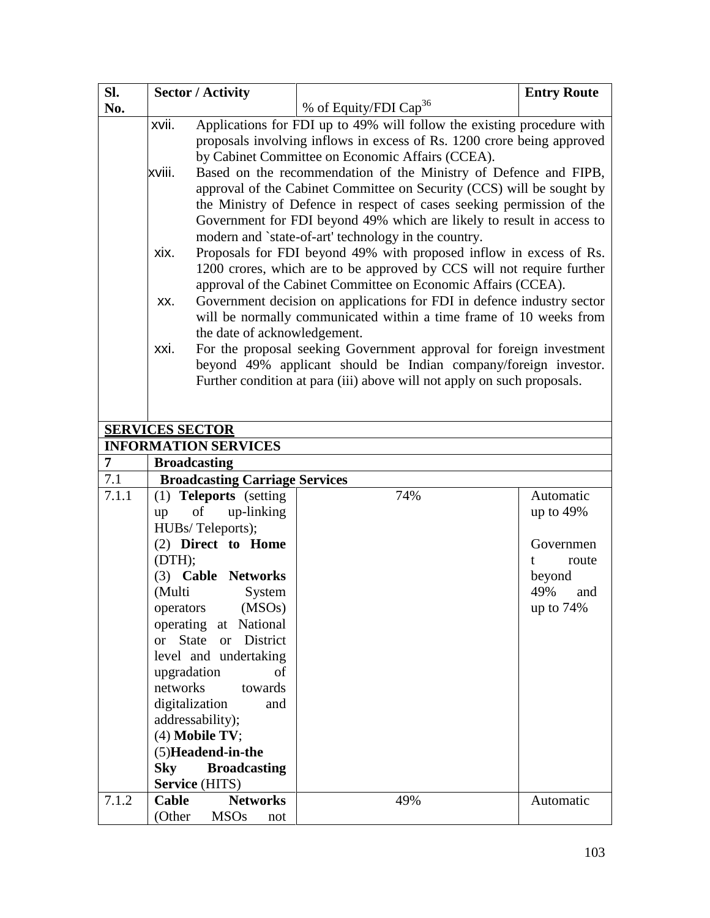| SI.            | <b>Sector / Activity</b> |                                       |                                                                                                                                        | <b>Entry Route</b> |
|----------------|--------------------------|---------------------------------------|----------------------------------------------------------------------------------------------------------------------------------------|--------------------|
| No.            |                          |                                       | % of Equity/FDI Cap <sup>36</sup>                                                                                                      |                    |
|                | xvii.                    |                                       | Applications for FDI up to 49% will follow the existing procedure with                                                                 |                    |
|                |                          |                                       | proposals involving inflows in excess of Rs. 1200 crore being approved                                                                 |                    |
|                |                          |                                       | by Cabinet Committee on Economic Affairs (CCEA).                                                                                       |                    |
|                | xviii.                   |                                       | Based on the recommendation of the Ministry of Defence and FIPB,                                                                       |                    |
|                |                          |                                       | approval of the Cabinet Committee on Security (CCS) will be sought by                                                                  |                    |
|                |                          |                                       | the Ministry of Defence in respect of cases seeking permission of the                                                                  |                    |
|                |                          |                                       | Government for FDI beyond 49% which are likely to result in access to                                                                  |                    |
|                |                          |                                       | modern and `state-of-art' technology in the country.                                                                                   |                    |
|                | xix.                     |                                       | Proposals for FDI beyond 49% with proposed inflow in excess of Rs.                                                                     |                    |
|                |                          |                                       | 1200 crores, which are to be approved by CCS will not require further                                                                  |                    |
|                |                          |                                       | approval of the Cabinet Committee on Economic Affairs (CCEA).                                                                          |                    |
|                | XX.                      |                                       | Government decision on applications for FDI in defence industry sector                                                                 |                    |
|                |                          |                                       | will be normally communicated within a time frame of 10 weeks from                                                                     |                    |
|                | xxi.                     | the date of acknowledgement.          |                                                                                                                                        |                    |
|                |                          |                                       | For the proposal seeking Government approval for foreign investment<br>beyond 49% applicant should be Indian company/foreign investor. |                    |
|                |                          |                                       | Further condition at para (iii) above will not apply on such proposals.                                                                |                    |
|                |                          |                                       |                                                                                                                                        |                    |
|                |                          |                                       |                                                                                                                                        |                    |
|                | <b>SERVICES SECTOR</b>   |                                       |                                                                                                                                        |                    |
|                |                          | <b>INFORMATION SERVICES</b>           |                                                                                                                                        |                    |
| $\overline{7}$ | <b>Broadcasting</b>      |                                       |                                                                                                                                        |                    |
| 7.1            |                          | <b>Broadcasting Carriage Services</b> |                                                                                                                                        |                    |
| 7.1.1          |                          | (1) Teleports (setting                | 74%                                                                                                                                    | Automatic          |
|                | of<br>up                 | up-linking                            |                                                                                                                                        |                    |
|                |                          |                                       |                                                                                                                                        | up to $49%$        |
|                | HUBs/Teleports);         |                                       |                                                                                                                                        |                    |
|                |                          | (2) Direct to Home                    |                                                                                                                                        | Governmen          |
|                | (DTH);                   |                                       |                                                                                                                                        | route<br>t         |
|                |                          | (3) Cable Networks                    |                                                                                                                                        | beyond             |
|                | (Multi                   | System                                |                                                                                                                                        | 49%<br>and         |
|                | operators                | (MSOs)                                |                                                                                                                                        | up to $74%$        |
|                |                          | operating at National                 |                                                                                                                                        |                    |
|                | State<br><sub>or</sub>   | District<br><b>or</b>                 |                                                                                                                                        |                    |
|                |                          | level and undertaking                 |                                                                                                                                        |                    |
|                | upgradation              | of                                    |                                                                                                                                        |                    |
|                | networks                 | towards                               |                                                                                                                                        |                    |
|                | digitalization           | and                                   |                                                                                                                                        |                    |
|                | addressability);         |                                       |                                                                                                                                        |                    |
|                | $(4)$ Mobile TV;         |                                       |                                                                                                                                        |                    |
|                |                          | (5) Headend-in-the                    |                                                                                                                                        |                    |
|                | <b>Sky</b>               | <b>Broadcasting</b>                   |                                                                                                                                        |                    |
| 7.1.2          | Service (HITS)<br>Cable  | <b>Networks</b>                       | 49%                                                                                                                                    | Automatic          |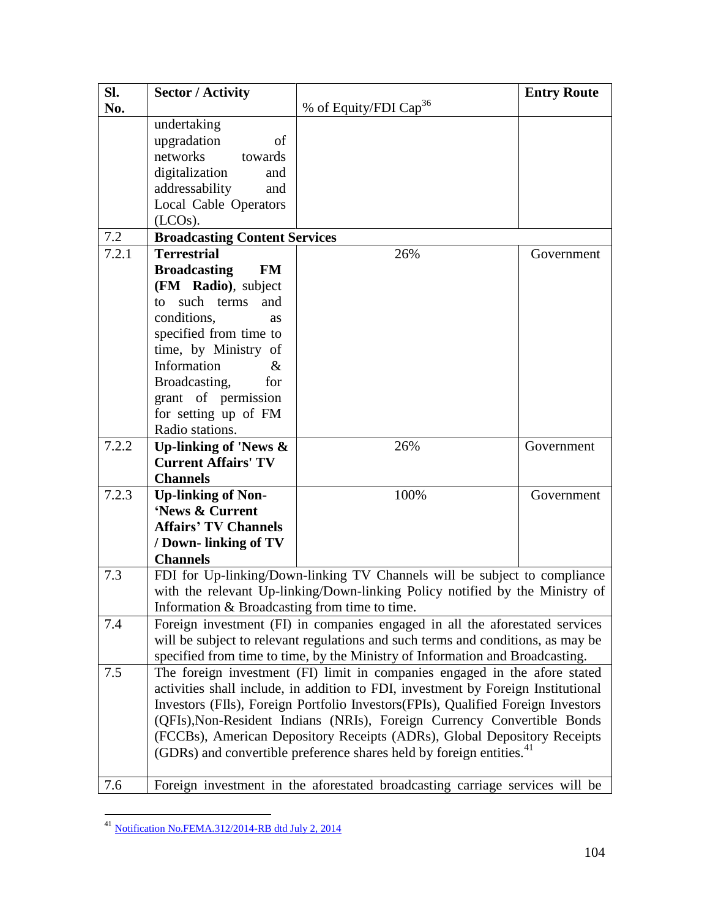| Sl.   | <b>Sector / Activity</b>                      |                                                                                   | <b>Entry Route</b> |
|-------|-----------------------------------------------|-----------------------------------------------------------------------------------|--------------------|
| No.   |                                               | % of Equity/FDI Cap <sup>36</sup>                                                 |                    |
|       | undertaking                                   |                                                                                   |                    |
|       | upgradation<br>of                             |                                                                                   |                    |
|       | networks<br>towards                           |                                                                                   |                    |
|       | digitalization<br>and                         |                                                                                   |                    |
|       | addressability<br>and                         |                                                                                   |                    |
|       | Local Cable Operators                         |                                                                                   |                    |
|       | (LCOs).                                       |                                                                                   |                    |
| 7.2   | <b>Broadcasting Content Services</b>          |                                                                                   |                    |
| 7.2.1 | <b>Terrestrial</b>                            | 26%                                                                               | Government         |
|       | <b>Broadcasting</b><br>FM                     |                                                                                   |                    |
|       | (FM Radio), subject                           |                                                                                   |                    |
|       | to such terms<br>and                          |                                                                                   |                    |
|       | conditions,<br><b>as</b>                      |                                                                                   |                    |
|       | specified from time to                        |                                                                                   |                    |
|       | time, by Ministry of                          |                                                                                   |                    |
|       | Information<br>$\&$                           |                                                                                   |                    |
|       | Broadcasting,<br>for                          |                                                                                   |                    |
|       | grant of permission                           |                                                                                   |                    |
|       | for setting up of FM                          |                                                                                   |                    |
|       | Radio stations.                               |                                                                                   |                    |
| 7.2.2 | Up-linking of 'News $\&$                      | 26%                                                                               | Government         |
|       | <b>Current Affairs' TV</b>                    |                                                                                   |                    |
|       | <b>Channels</b>                               |                                                                                   |                    |
| 7.2.3 | <b>Up-linking of Non-</b>                     | 100%                                                                              | Government         |
|       | 'News & Current                               |                                                                                   |                    |
|       | <b>Affairs' TV Channels</b>                   |                                                                                   |                    |
|       | / Down- linking of TV                         |                                                                                   |                    |
|       | <b>Channels</b>                               |                                                                                   |                    |
| 7.3   |                                               | FDI for Up-linking/Down-linking TV Channels will be subject to compliance         |                    |
|       |                                               | with the relevant Up-linking/Down-linking Policy notified by the Ministry of      |                    |
|       | Information & Broadcasting from time to time. |                                                                                   |                    |
| 7.4   |                                               | Foreign investment (FI) in companies engaged in all the aforestated services      |                    |
|       |                                               | will be subject to relevant regulations and such terms and conditions, as may be  |                    |
|       |                                               | specified from time to time, by the Ministry of Information and Broadcasting.     |                    |
| 7.5   |                                               | The foreign investment (FI) limit in companies engaged in the afore stated        |                    |
|       |                                               | activities shall include, in addition to FDI, investment by Foreign Institutional |                    |
|       |                                               | Investors (FIIs), Foreign Portfolio Investors (FPIs), Qualified Foreign Investors |                    |
|       |                                               | (QFIs), Non-Resident Indians (NRIs), Foreign Currency Convertible Bonds           |                    |
|       |                                               | (FCCBs), American Depository Receipts (ADRs), Global Depository Receipts          |                    |
|       |                                               | (GDRs) and convertible preference shares held by foreign entities. <sup>41</sup>  |                    |
|       |                                               |                                                                                   |                    |
| 7.6   |                                               | Foreign investment in the aforestated broadcasting carriage services will be      |                    |

<sup>&</sup>lt;sup>41</sup> [Notification No.FEMA.312/2014-RB dtd July 2, 2014](http://rbi.org.in/Scripts/NotificationUser.aspx?Id=9378&Mode=0)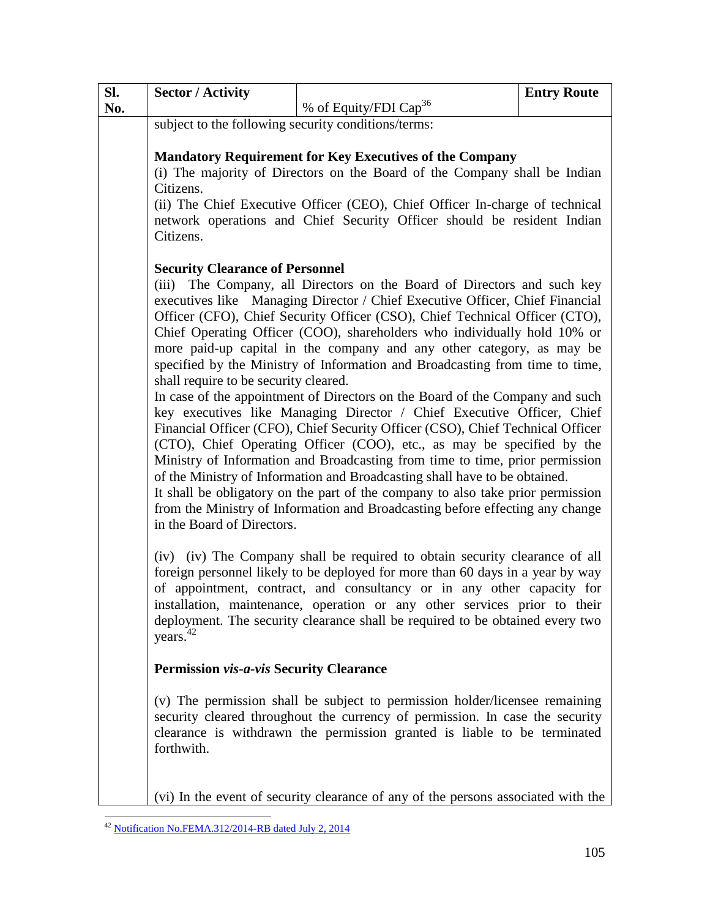| SI. | <b>Sector / Activity</b>                                                                                                                                             |                                                                                   | <b>Entry Route</b> |
|-----|----------------------------------------------------------------------------------------------------------------------------------------------------------------------|-----------------------------------------------------------------------------------|--------------------|
| No. |                                                                                                                                                                      | % of Equity/FDI Cap <sup>36</sup>                                                 |                    |
|     | subject to the following security conditions/terms:                                                                                                                  |                                                                                   |                    |
|     |                                                                                                                                                                      |                                                                                   |                    |
|     | <b>Mandatory Requirement for Key Executives of the Company</b>                                                                                                       |                                                                                   |                    |
|     | (i) The majority of Directors on the Board of the Company shall be Indian                                                                                            |                                                                                   |                    |
|     | Citizens.<br>(ii) The Chief Executive Officer (CEO), Chief Officer In-charge of technical<br>network operations and Chief Security Officer should be resident Indian |                                                                                   |                    |
|     |                                                                                                                                                                      |                                                                                   |                    |
|     | Citizens.                                                                                                                                                            |                                                                                   |                    |
|     |                                                                                                                                                                      |                                                                                   |                    |
|     | <b>Security Clearance of Personnel</b>                                                                                                                               |                                                                                   |                    |
|     |                                                                                                                                                                      | (iii) The Company, all Directors on the Board of Directors and such key           |                    |
|     |                                                                                                                                                                      | executives like Managing Director / Chief Executive Officer, Chief Financial      |                    |
|     |                                                                                                                                                                      | Officer (CFO), Chief Security Officer (CSO), Chief Technical Officer (CTO),       |                    |
|     |                                                                                                                                                                      | Chief Operating Officer (COO), shareholders who individually hold 10% or          |                    |
|     |                                                                                                                                                                      | more paid-up capital in the company and any other category, as may be             |                    |
|     |                                                                                                                                                                      | specified by the Ministry of Information and Broadcasting from time to time,      |                    |
|     | shall require to be security cleared.                                                                                                                                |                                                                                   |                    |
|     |                                                                                                                                                                      | In case of the appointment of Directors on the Board of the Company and such      |                    |
|     | key executives like Managing Director / Chief Executive Officer, Chief                                                                                               |                                                                                   |                    |
|     | Financial Officer (CFO), Chief Security Officer (CSO), Chief Technical Officer                                                                                       |                                                                                   |                    |
|     | (CTO), Chief Operating Officer (COO), etc., as may be specified by the                                                                                               |                                                                                   |                    |
|     | Ministry of Information and Broadcasting from time to time, prior permission                                                                                         |                                                                                   |                    |
|     | of the Ministry of Information and Broadcasting shall have to be obtained.<br>It shall be obligatory on the part of the company to also take prior permission        |                                                                                   |                    |
|     |                                                                                                                                                                      |                                                                                   |                    |
|     | from the Ministry of Information and Broadcasting before effecting any change<br>in the Board of Directors.                                                          |                                                                                   |                    |
|     |                                                                                                                                                                      |                                                                                   |                    |
|     |                                                                                                                                                                      | (iv) (iv) The Company shall be required to obtain security clearance of all       |                    |
|     |                                                                                                                                                                      | foreign personnel likely to be deployed for more than 60 days in a year by way    |                    |
|     |                                                                                                                                                                      | of appointment, contract, and consultancy or in any other capacity for            |                    |
|     |                                                                                                                                                                      | installation, maintenance, operation or any other services prior to their         |                    |
|     |                                                                                                                                                                      | deployment. The security clearance shall be required to be obtained every two     |                    |
|     | years. <sup>42</sup>                                                                                                                                                 |                                                                                   |                    |
|     | <b>Permission vis-a-vis Security Clearance</b>                                                                                                                       |                                                                                   |                    |
|     |                                                                                                                                                                      |                                                                                   |                    |
|     |                                                                                                                                                                      | (v) The permission shall be subject to permission holder/licensee remaining       |                    |
|     |                                                                                                                                                                      | security cleared throughout the currency of permission. In case the security      |                    |
|     |                                                                                                                                                                      | clearance is withdrawn the permission granted is liable to be terminated          |                    |
|     | forthwith.                                                                                                                                                           |                                                                                   |                    |
|     |                                                                                                                                                                      |                                                                                   |                    |
|     |                                                                                                                                                                      | (vi) In the event of security clearance of any of the persons associated with the |                    |

 $\overline{a}$ <sup>42</sup> [Notification No.FEMA.312/2014-RB dated July 2, 2014](http://rbi.org.in/Scripts/NotificationUser.aspx?Id=9378&Mode=0)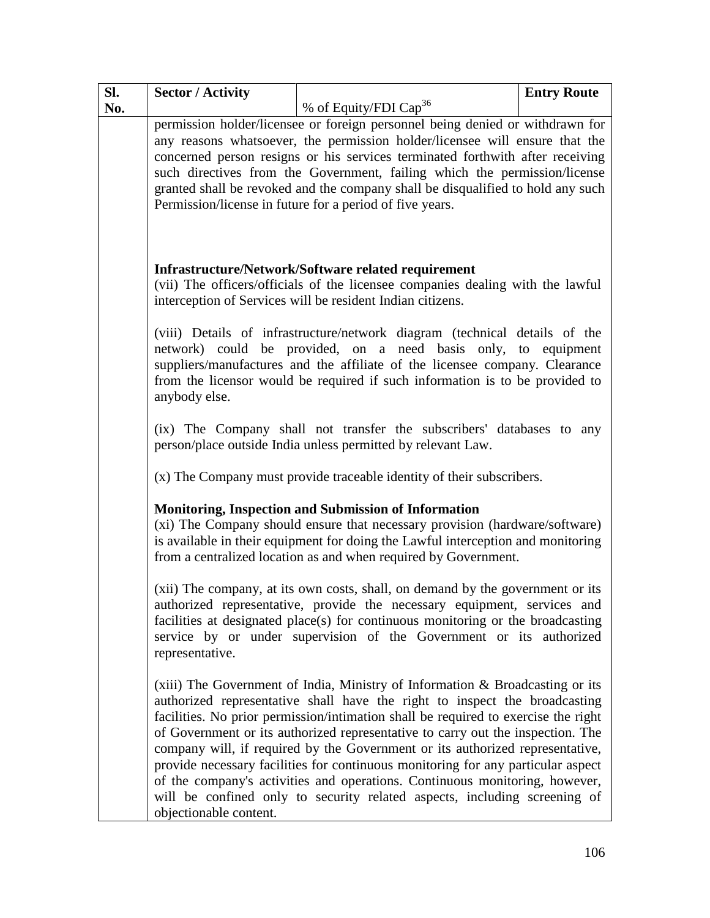| SI. | <b>Sector / Activity</b>                                                                                                                   |                                                                                    | <b>Entry Route</b> |
|-----|--------------------------------------------------------------------------------------------------------------------------------------------|------------------------------------------------------------------------------------|--------------------|
| No. |                                                                                                                                            | % of Equity/FDI Cap <sup>36</sup>                                                  |                    |
|     |                                                                                                                                            | permission holder/licensee or foreign personnel being denied or withdrawn for      |                    |
|     | any reasons whatsoever, the permission holder/licensee will ensure that the                                                                |                                                                                    |                    |
|     | concerned person resigns or his services terminated forthwith after receiving                                                              |                                                                                    |                    |
|     | such directives from the Government, failing which the permission/license                                                                  |                                                                                    |                    |
|     |                                                                                                                                            | granted shall be revoked and the company shall be disqualified to hold any such    |                    |
|     |                                                                                                                                            | Permission/license in future for a period of five years.                           |                    |
|     |                                                                                                                                            |                                                                                    |                    |
|     |                                                                                                                                            |                                                                                    |                    |
|     |                                                                                                                                            |                                                                                    |                    |
|     | <b>Infrastructure/Network/Software related requirement</b>                                                                                 |                                                                                    |                    |
|     |                                                                                                                                            | (vii) The officers/officials of the licensee companies dealing with the lawful     |                    |
|     |                                                                                                                                            | interception of Services will be resident Indian citizens.                         |                    |
|     |                                                                                                                                            | (viii) Details of infrastructure/network diagram (technical details of the         |                    |
|     |                                                                                                                                            | network) could be provided, on a need basis only, to equipment                     |                    |
|     |                                                                                                                                            | suppliers/manufactures and the affiliate of the licensee company. Clearance        |                    |
|     |                                                                                                                                            | from the licensor would be required if such information is to be provided to       |                    |
|     | anybody else.                                                                                                                              |                                                                                    |                    |
|     |                                                                                                                                            |                                                                                    |                    |
|     | (ix) The Company shall not transfer the subscribers' databases to any<br>person/place outside India unless permitted by relevant Law.      |                                                                                    |                    |
|     |                                                                                                                                            |                                                                                    |                    |
|     | (x) The Company must provide traceable identity of their subscribers.                                                                      |                                                                                    |                    |
|     |                                                                                                                                            |                                                                                    |                    |
|     |                                                                                                                                            |                                                                                    |                    |
|     | <b>Monitoring, Inspection and Submission of Information</b><br>(xi) The Company should ensure that necessary provision (hardware/software) |                                                                                    |                    |
|     |                                                                                                                                            | is available in their equipment for doing the Lawful interception and monitoring   |                    |
|     |                                                                                                                                            | from a centralized location as and when required by Government.                    |                    |
|     |                                                                                                                                            |                                                                                    |                    |
|     |                                                                                                                                            | (xii) The company, at its own costs, shall, on demand by the government or its     |                    |
|     |                                                                                                                                            | authorized representative, provide the necessary equipment, services and           |                    |
|     |                                                                                                                                            | facilities at designated place(s) for continuous monitoring or the broadcasting    |                    |
|     |                                                                                                                                            | service by or under supervision of the Government or its authorized                |                    |
|     | representative.                                                                                                                            |                                                                                    |                    |
|     |                                                                                                                                            |                                                                                    |                    |
|     |                                                                                                                                            | (xiii) The Government of India, Ministry of Information $\&$ Broadcasting or its   |                    |
|     |                                                                                                                                            | authorized representative shall have the right to inspect the broadcasting         |                    |
|     |                                                                                                                                            | facilities. No prior permission/intimation shall be required to exercise the right |                    |
|     |                                                                                                                                            | of Government or its authorized representative to carry out the inspection. The    |                    |
|     |                                                                                                                                            | company will, if required by the Government or its authorized representative,      |                    |
|     |                                                                                                                                            | provide necessary facilities for continuous monitoring for any particular aspect   |                    |
|     |                                                                                                                                            | of the company's activities and operations. Continuous monitoring, however,        |                    |
|     |                                                                                                                                            | will be confined only to security related aspects, including screening of          |                    |
|     | objectionable content.                                                                                                                     |                                                                                    |                    |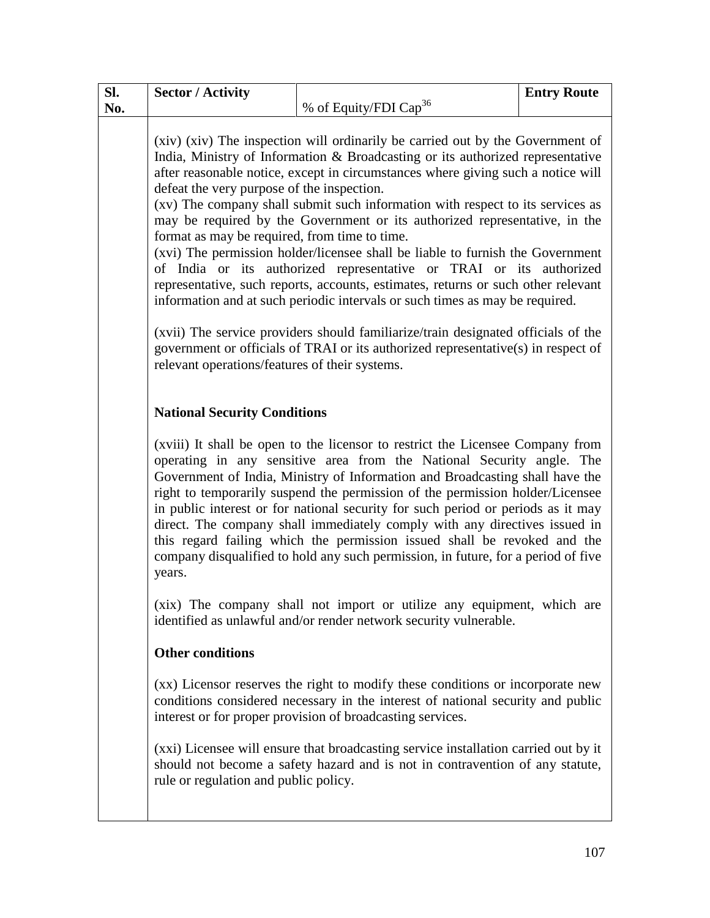| Sl. | <b>Sector / Activity</b>                                                                                                                      |                                                                                                                                                                                                                                                                                                                                                                                                                                                                                                                                                                                                                                                                                                                                                                                                                                                                                                                              | <b>Entry Route</b> |
|-----|-----------------------------------------------------------------------------------------------------------------------------------------------|------------------------------------------------------------------------------------------------------------------------------------------------------------------------------------------------------------------------------------------------------------------------------------------------------------------------------------------------------------------------------------------------------------------------------------------------------------------------------------------------------------------------------------------------------------------------------------------------------------------------------------------------------------------------------------------------------------------------------------------------------------------------------------------------------------------------------------------------------------------------------------------------------------------------------|--------------------|
| No. |                                                                                                                                               | % of Equity/FDI Cap <sup>36</sup>                                                                                                                                                                                                                                                                                                                                                                                                                                                                                                                                                                                                                                                                                                                                                                                                                                                                                            |                    |
|     | defeat the very purpose of the inspection.<br>format as may be required, from time to time.<br>relevant operations/features of their systems. | (xiv) (xiv) The inspection will ordinarily be carried out by the Government of<br>India, Ministry of Information & Broadcasting or its authorized representative<br>after reasonable notice, except in circumstances where giving such a notice will<br>(xv) The company shall submit such information with respect to its services as<br>may be required by the Government or its authorized representative, in the<br>(xvi) The permission holder/licensee shall be liable to furnish the Government<br>of India or its authorized representative or TRAI or its authorized<br>representative, such reports, accounts, estimates, returns or such other relevant<br>information and at such periodic intervals or such times as may be required.<br>(xvii) The service providers should familiarize/train designated officials of the<br>government or officials of TRAI or its authorized representative(s) in respect of |                    |
|     | <b>National Security Conditions</b><br>years.                                                                                                 | (xviii) It shall be open to the licensor to restrict the Licensee Company from<br>operating in any sensitive area from the National Security angle. The<br>Government of India, Ministry of Information and Broadcasting shall have the<br>right to temporarily suspend the permission of the permission holder/Licensee<br>in public interest or for national security for such period or periods as it may<br>direct. The company shall immediately comply with any directives issued in<br>this regard failing which the permission issued shall be revoked and the<br>company disqualified to hold any such permission, in future, for a period of five<br>(xix) The company shall not import or utilize any equipment, which are                                                                                                                                                                                        |                    |
|     |                                                                                                                                               | identified as unlawful and/or render network security vulnerable.                                                                                                                                                                                                                                                                                                                                                                                                                                                                                                                                                                                                                                                                                                                                                                                                                                                            |                    |
|     | <b>Other conditions</b>                                                                                                                       |                                                                                                                                                                                                                                                                                                                                                                                                                                                                                                                                                                                                                                                                                                                                                                                                                                                                                                                              |                    |
|     |                                                                                                                                               | (xx) Licensor reserves the right to modify these conditions or incorporate new<br>conditions considered necessary in the interest of national security and public<br>interest or for proper provision of broadcasting services.                                                                                                                                                                                                                                                                                                                                                                                                                                                                                                                                                                                                                                                                                              |                    |
|     | rule or regulation and public policy.                                                                                                         | (xxi) Licensee will ensure that broadcasting service installation carried out by it<br>should not become a safety hazard and is not in contravention of any statute,                                                                                                                                                                                                                                                                                                                                                                                                                                                                                                                                                                                                                                                                                                                                                         |                    |
|     |                                                                                                                                               |                                                                                                                                                                                                                                                                                                                                                                                                                                                                                                                                                                                                                                                                                                                                                                                                                                                                                                                              |                    |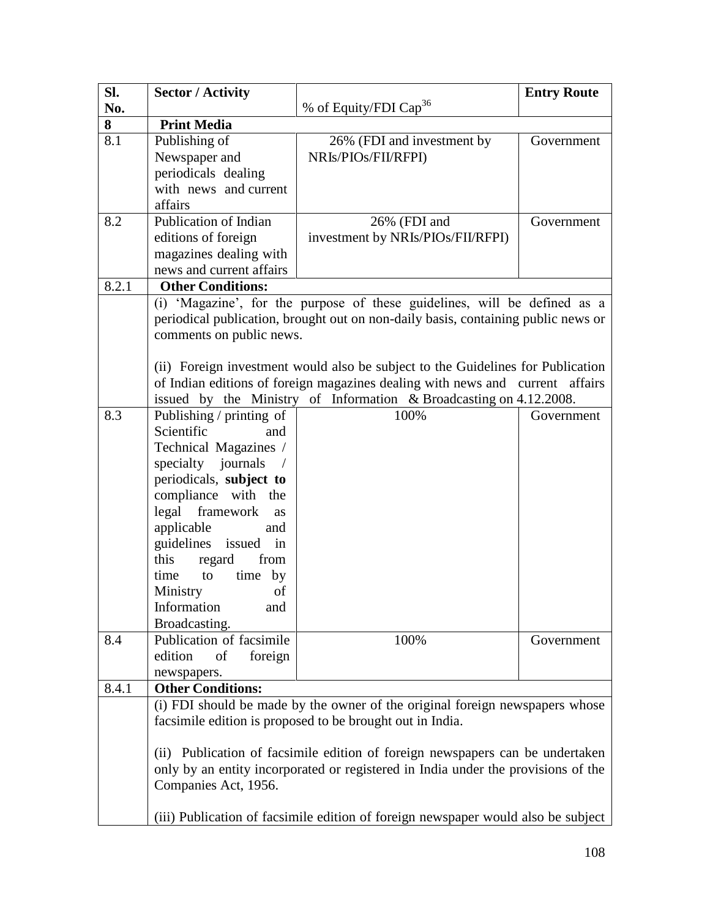| SI.   | <b>Sector / Activity</b> |                                                                                   | <b>Entry Route</b> |
|-------|--------------------------|-----------------------------------------------------------------------------------|--------------------|
| No.   |                          | % of Equity/FDI Cap <sup>36</sup>                                                 |                    |
| 8     | <b>Print Media</b>       |                                                                                   |                    |
| 8.1   | Publishing of            | 26% (FDI and investment by                                                        | Government         |
|       | Newspaper and            | NRIs/PIOs/FII/RFPI)                                                               |                    |
|       | periodicals dealing      |                                                                                   |                    |
|       | with news and current    |                                                                                   |                    |
|       | affairs                  |                                                                                   |                    |
| 8.2   | Publication of Indian    | 26% (FDI and                                                                      | Government         |
|       | editions of foreign      | investment by NRIs/PIOs/FII/RFPI)                                                 |                    |
|       | magazines dealing with   |                                                                                   |                    |
|       | news and current affairs |                                                                                   |                    |
| 8.2.1 | <b>Other Conditions:</b> |                                                                                   |                    |
|       |                          | (i) 'Magazine', for the purpose of these guidelines, will be defined as a         |                    |
|       |                          | periodical publication, brought out on non-daily basis, containing public news or |                    |
|       | comments on public news. |                                                                                   |                    |
|       |                          |                                                                                   |                    |
|       |                          | (ii) Foreign investment would also be subject to the Guidelines for Publication   |                    |
|       |                          | of Indian editions of foreign magazines dealing with news and current affairs     |                    |
|       |                          | issued by the Ministry of Information & Broadcasting on 4.12.2008.                |                    |
| 8.3   | Publishing / printing of | 100%                                                                              | Government         |
|       | Scientific<br>and        |                                                                                   |                    |
|       | Technical Magazines /    |                                                                                   |                    |
|       | specialty journals       |                                                                                   |                    |
|       | periodicals, subject to  |                                                                                   |                    |
|       | compliance with the      |                                                                                   |                    |
|       | legal framework<br>as    |                                                                                   |                    |
|       | applicable<br>and        |                                                                                   |                    |
|       | guidelines issued in     |                                                                                   |                    |
|       | this<br>regard<br>from   |                                                                                   |                    |
|       | time by<br>time to       |                                                                                   |                    |
|       | Ministry<br>of           |                                                                                   |                    |
|       | Information<br>and       |                                                                                   |                    |
|       | Broadcasting.            |                                                                                   |                    |
| 8.4   | Publication of facsimile | 100%                                                                              | Government         |
|       | edition<br>of<br>foreign |                                                                                   |                    |
|       | newspapers.              |                                                                                   |                    |
| 8.4.1 | <b>Other Conditions:</b> |                                                                                   |                    |
|       |                          | (i) FDI should be made by the owner of the original foreign newspapers whose      |                    |
|       |                          | facsimile edition is proposed to be brought out in India.                         |                    |
|       |                          |                                                                                   |                    |
|       |                          | (ii) Publication of facsimile edition of foreign newspapers can be undertaken     |                    |
|       |                          | only by an entity incorporated or registered in India under the provisions of the |                    |
|       | Companies Act, 1956.     |                                                                                   |                    |
|       |                          |                                                                                   |                    |
|       |                          | (iii) Publication of facsimile edition of foreign newspaper would also be subject |                    |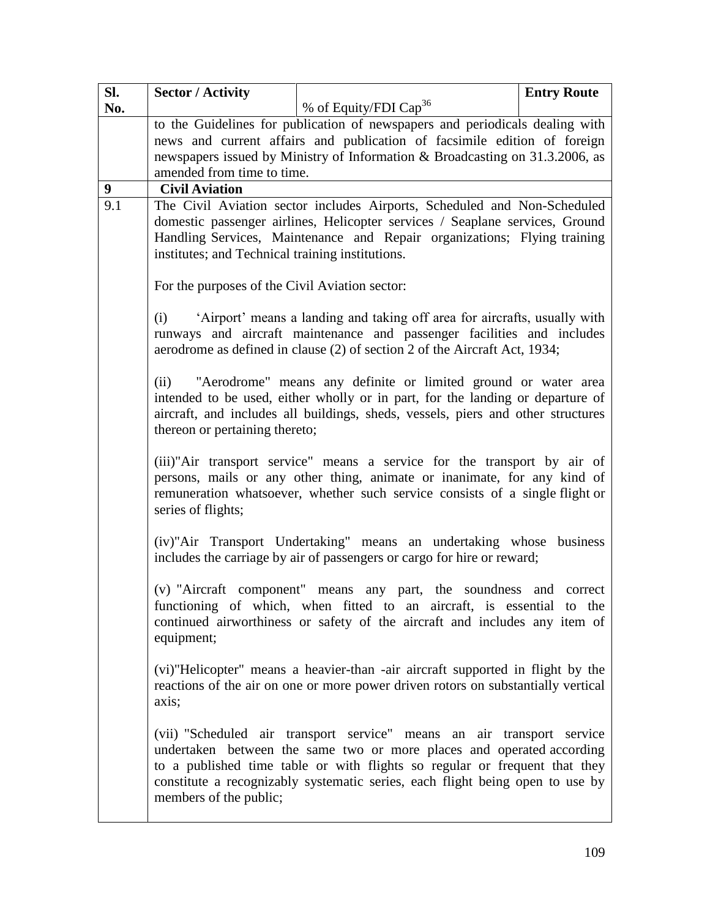| SI.              | <b>Sector / Activity</b>                                                                                                                                                                                                                                                       |                                                                                                                                                                                                                                                                                                                | <b>Entry Route</b> |  |
|------------------|--------------------------------------------------------------------------------------------------------------------------------------------------------------------------------------------------------------------------------------------------------------------------------|----------------------------------------------------------------------------------------------------------------------------------------------------------------------------------------------------------------------------------------------------------------------------------------------------------------|--------------------|--|
| No.              |                                                                                                                                                                                                                                                                                | % of Equity/FDI Cap <sup>36</sup>                                                                                                                                                                                                                                                                              |                    |  |
|                  |                                                                                                                                                                                                                                                                                | to the Guidelines for publication of newspapers and periodicals dealing with                                                                                                                                                                                                                                   |                    |  |
|                  |                                                                                                                                                                                                                                                                                | news and current affairs and publication of facsimile edition of foreign                                                                                                                                                                                                                                       |                    |  |
|                  |                                                                                                                                                                                                                                                                                | newspapers issued by Ministry of Information & Broadcasting on 31.3.2006, as                                                                                                                                                                                                                                   |                    |  |
|                  | amended from time to time.                                                                                                                                                                                                                                                     |                                                                                                                                                                                                                                                                                                                |                    |  |
| $\boldsymbol{9}$ | <b>Civil Aviation</b>                                                                                                                                                                                                                                                          |                                                                                                                                                                                                                                                                                                                |                    |  |
| 9.1              | institutes; and Technical training institutions.                                                                                                                                                                                                                               | The Civil Aviation sector includes Airports, Scheduled and Non-Scheduled<br>domestic passenger airlines, Helicopter services / Seaplane services, Ground<br>Handling Services, Maintenance and Repair organizations; Flying training                                                                           |                    |  |
|                  | For the purposes of the Civil Aviation sector:                                                                                                                                                                                                                                 |                                                                                                                                                                                                                                                                                                                |                    |  |
|                  | (i)                                                                                                                                                                                                                                                                            | 'Airport' means a landing and taking off area for aircrafts, usually with<br>runways and aircraft maintenance and passenger facilities and includes<br>aerodrome as defined in clause (2) of section 2 of the Aircraft Act, 1934;                                                                              |                    |  |
|                  | "Aerodrome" means any definite or limited ground or water area<br>(ii)<br>intended to be used, either wholly or in part, for the landing or departure of<br>aircraft, and includes all buildings, sheds, vessels, piers and other structures<br>thereon or pertaining thereto; |                                                                                                                                                                                                                                                                                                                |                    |  |
|                  | (iii)"Air transport service" means a service for the transport by air of<br>persons, mails or any other thing, animate or inanimate, for any kind of<br>remuneration whatsoever, whether such service consists of a single flight or<br>series of flights;                     |                                                                                                                                                                                                                                                                                                                |                    |  |
|                  |                                                                                                                                                                                                                                                                                | (iv)"Air Transport Undertaking" means an undertaking whose business<br>includes the carriage by air of passengers or cargo for hire or reward;                                                                                                                                                                 |                    |  |
|                  | (v) "Aircraft component" means any part, the soundness and correct<br>functioning of which, when fitted to an aircraft, is essential to the<br>continued airworthiness or safety of the aircraft and includes any item of<br>equipment;                                        |                                                                                                                                                                                                                                                                                                                |                    |  |
|                  | (vi)"Helicopter" means a heavier-than -air aircraft supported in flight by the<br>reactions of the air on one or more power driven rotors on substantially vertical<br>axis;                                                                                                   |                                                                                                                                                                                                                                                                                                                |                    |  |
|                  | members of the public;                                                                                                                                                                                                                                                         | (vii) "Scheduled air transport service" means an air transport service<br>undertaken between the same two or more places and operated according<br>to a published time table or with flights so regular or frequent that they<br>constitute a recognizably systematic series, each flight being open to use by |                    |  |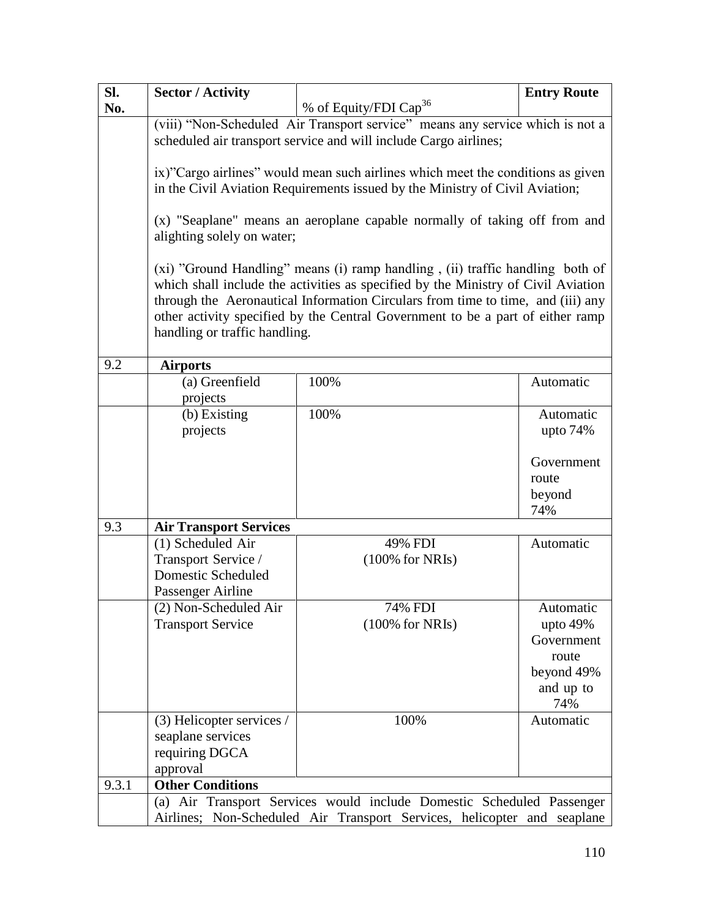| SI.   | <b>Sector / Activity</b>                                                                                                                                                                                                                                                                                                                                                 |                                                                               | <b>Entry Route</b> |  |
|-------|--------------------------------------------------------------------------------------------------------------------------------------------------------------------------------------------------------------------------------------------------------------------------------------------------------------------------------------------------------------------------|-------------------------------------------------------------------------------|--------------------|--|
| No.   |                                                                                                                                                                                                                                                                                                                                                                          | % of Equity/FDI Cap <sup>36</sup>                                             |                    |  |
|       |                                                                                                                                                                                                                                                                                                                                                                          | (viii) "Non-Scheduled Air Transport service" means any service which is not a |                    |  |
|       |                                                                                                                                                                                                                                                                                                                                                                          | scheduled air transport service and will include Cargo airlines;              |                    |  |
|       | ix)"Cargo airlines" would mean such airlines which meet the conditions as given                                                                                                                                                                                                                                                                                          |                                                                               |                    |  |
|       |                                                                                                                                                                                                                                                                                                                                                                          | in the Civil Aviation Requirements issued by the Ministry of Civil Aviation;  |                    |  |
|       |                                                                                                                                                                                                                                                                                                                                                                          |                                                                               |                    |  |
|       | (x) "Seaplane" means an aeroplane capable normally of taking off from and<br>alighting solely on water;                                                                                                                                                                                                                                                                  |                                                                               |                    |  |
|       | (xi) "Ground Handling" means (i) ramp handling, (ii) traffic handling both of<br>which shall include the activities as specified by the Ministry of Civil Aviation<br>through the Aeronautical Information Circulars from time to time, and (iii) any<br>other activity specified by the Central Government to be a part of either ramp<br>handling or traffic handling. |                                                                               |                    |  |
| 9.2   | <b>Airports</b>                                                                                                                                                                                                                                                                                                                                                          |                                                                               |                    |  |
|       | (a) Greenfield                                                                                                                                                                                                                                                                                                                                                           | 100%                                                                          | Automatic          |  |
|       | projects                                                                                                                                                                                                                                                                                                                                                                 |                                                                               |                    |  |
|       | (b) Existing                                                                                                                                                                                                                                                                                                                                                             | 100%                                                                          | Automatic          |  |
|       | projects                                                                                                                                                                                                                                                                                                                                                                 |                                                                               | upto $74%$         |  |
|       |                                                                                                                                                                                                                                                                                                                                                                          |                                                                               |                    |  |
|       |                                                                                                                                                                                                                                                                                                                                                                          |                                                                               | Government         |  |
|       |                                                                                                                                                                                                                                                                                                                                                                          |                                                                               | route              |  |
|       |                                                                                                                                                                                                                                                                                                                                                                          |                                                                               | beyond             |  |
|       |                                                                                                                                                                                                                                                                                                                                                                          |                                                                               | 74%                |  |
| 9.3   | <b>Air Transport Services</b>                                                                                                                                                                                                                                                                                                                                            |                                                                               |                    |  |
|       | (1) Scheduled Air                                                                                                                                                                                                                                                                                                                                                        | 49% FDI                                                                       | Automatic          |  |
|       | Transport Service /                                                                                                                                                                                                                                                                                                                                                      | $(100\% \text{ for NRIs})$                                                    |                    |  |
|       | <b>Domestic Scheduled</b>                                                                                                                                                                                                                                                                                                                                                |                                                                               |                    |  |
|       | Passenger Airline                                                                                                                                                                                                                                                                                                                                                        |                                                                               |                    |  |
|       | (2) Non-Scheduled Air                                                                                                                                                                                                                                                                                                                                                    | 74% FDI                                                                       | Automatic          |  |
|       | <b>Transport Service</b>                                                                                                                                                                                                                                                                                                                                                 | $(100\% \text{ for NRIs})$                                                    | upto $49\%$        |  |
|       |                                                                                                                                                                                                                                                                                                                                                                          |                                                                               | Government         |  |
|       |                                                                                                                                                                                                                                                                                                                                                                          |                                                                               | route              |  |
|       |                                                                                                                                                                                                                                                                                                                                                                          |                                                                               | beyond 49%         |  |
|       |                                                                                                                                                                                                                                                                                                                                                                          |                                                                               | and up to          |  |
|       |                                                                                                                                                                                                                                                                                                                                                                          |                                                                               | 74%                |  |
|       | (3) Helicopter services /                                                                                                                                                                                                                                                                                                                                                | 100%                                                                          | Automatic          |  |
|       | seaplane services                                                                                                                                                                                                                                                                                                                                                        |                                                                               |                    |  |
|       | requiring DGCA                                                                                                                                                                                                                                                                                                                                                           |                                                                               |                    |  |
|       | approval                                                                                                                                                                                                                                                                                                                                                                 |                                                                               |                    |  |
| 9.3.1 | <b>Other Conditions</b>                                                                                                                                                                                                                                                                                                                                                  |                                                                               |                    |  |
|       |                                                                                                                                                                                                                                                                                                                                                                          | (a) Air Transport Services would include Domestic Scheduled Passenger         |                    |  |
|       |                                                                                                                                                                                                                                                                                                                                                                          | Airlines; Non-Scheduled Air Transport Services, helicopter and seaplane       |                    |  |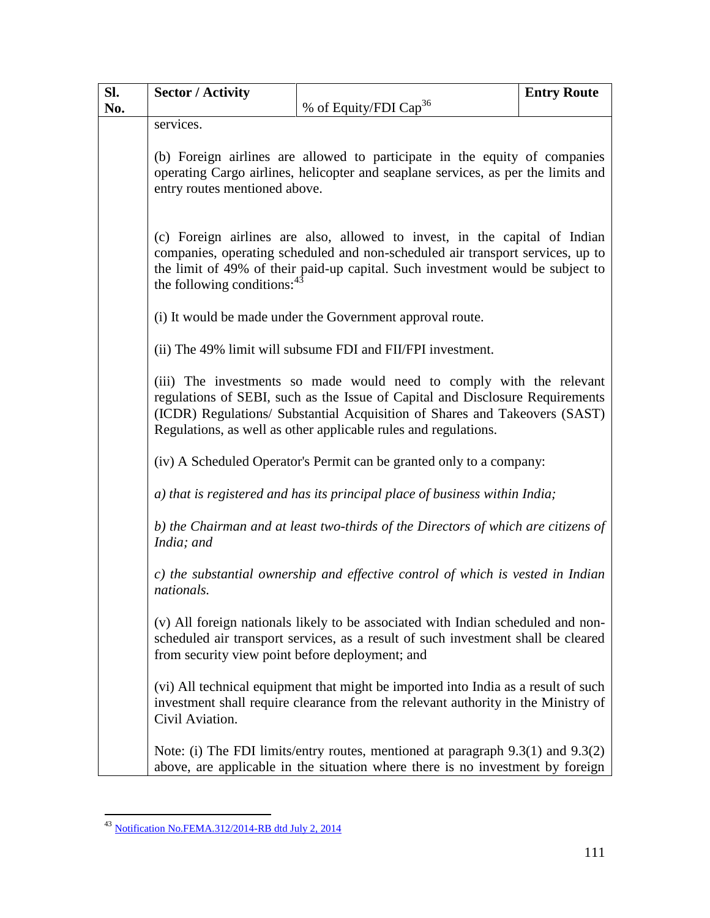| SI. | <b>Sector / Activity</b>                        |                                                                                                                                                                                                                                                                                                        | <b>Entry Route</b> |
|-----|-------------------------------------------------|--------------------------------------------------------------------------------------------------------------------------------------------------------------------------------------------------------------------------------------------------------------------------------------------------------|--------------------|
| No. |                                                 | % of Equity/FDI Cap <sup>36</sup>                                                                                                                                                                                                                                                                      |                    |
|     | services.<br>entry routes mentioned above.      | (b) Foreign airlines are allowed to participate in the equity of companies<br>operating Cargo airlines, helicopter and seaplane services, as per the limits and                                                                                                                                        |                    |
|     | the following conditions: $43$                  | (c) Foreign airlines are also, allowed to invest, in the capital of Indian<br>companies, operating scheduled and non-scheduled air transport services, up to<br>the limit of 49% of their paid-up capital. Such investment would be subject to                                                         |                    |
|     |                                                 | (i) It would be made under the Government approval route.                                                                                                                                                                                                                                              |                    |
|     |                                                 | (ii) The 49% limit will subsume FDI and FII/FPI investment.                                                                                                                                                                                                                                            |                    |
|     |                                                 | (iii) The investments so made would need to comply with the relevant<br>regulations of SEBI, such as the Issue of Capital and Disclosure Requirements<br>(ICDR) Regulations/ Substantial Acquisition of Shares and Takeovers (SAST)<br>Regulations, as well as other applicable rules and regulations. |                    |
|     |                                                 | (iv) A Scheduled Operator's Permit can be granted only to a company:                                                                                                                                                                                                                                   |                    |
|     |                                                 | a) that is registered and has its principal place of business within India;                                                                                                                                                                                                                            |                    |
|     | India; and                                      | b) the Chairman and at least two-thirds of the Directors of which are citizens of                                                                                                                                                                                                                      |                    |
|     | nationals.                                      | c) the substantial ownership and effective control of which is vested in Indian                                                                                                                                                                                                                        |                    |
|     | from security view point before deployment; and | (v) All foreign nationals likely to be associated with Indian scheduled and non-<br>scheduled air transport services, as a result of such investment shall be cleared                                                                                                                                  |                    |
|     | Civil Aviation.                                 | (vi) All technical equipment that might be imported into India as a result of such<br>investment shall require clearance from the relevant authority in the Ministry of                                                                                                                                |                    |
|     |                                                 | Note: (i) The FDI limits/entry routes, mentioned at paragraph 9.3(1) and 9.3(2)<br>above, are applicable in the situation where there is no investment by foreign                                                                                                                                      |                    |

<sup>&</sup>lt;sup>43</sup> [Notification No.FEMA.312/2014-RB dtd July 2, 2014](http://rbi.org.in/Scripts/NotificationUser.aspx?Id=9378&Mode=0)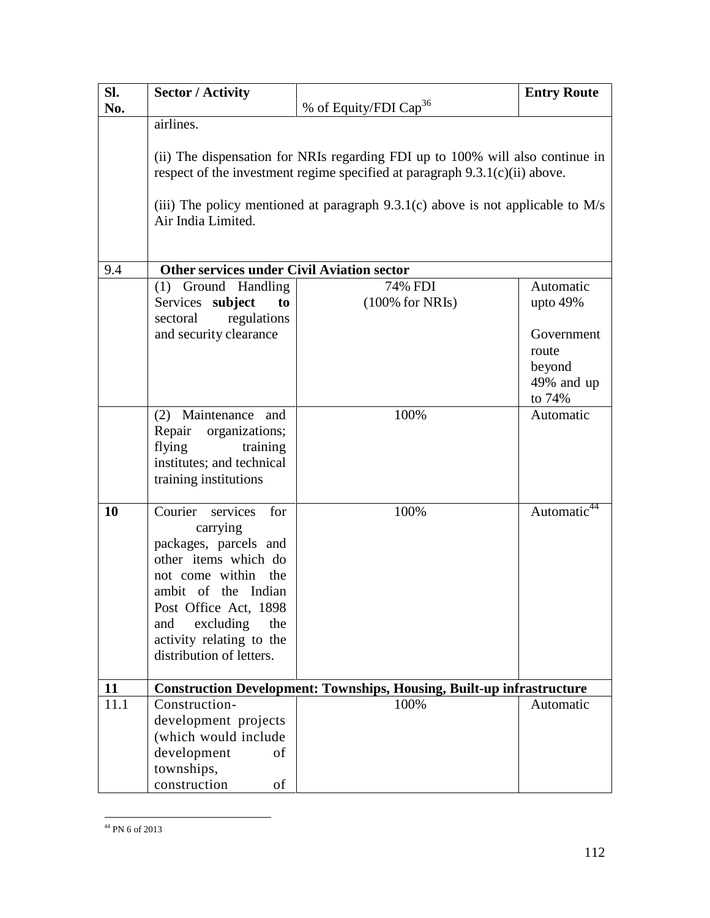| SI.  | <b>Sector / Activity</b>                          |                                                                                   | <b>Entry Route</b>    |
|------|---------------------------------------------------|-----------------------------------------------------------------------------------|-----------------------|
| No.  |                                                   | % of Equity/FDI Cap <sup>36</sup>                                                 |                       |
|      | airlines.                                         |                                                                                   |                       |
|      |                                                   |                                                                                   |                       |
|      |                                                   | (ii) The dispensation for NRIs regarding FDI up to 100% will also continue in     |                       |
|      |                                                   | respect of the investment regime specified at paragraph $9.3.1(c)(ii)$ above.     |                       |
|      |                                                   |                                                                                   |                       |
|      |                                                   | (iii) The policy mentioned at paragraph $9.3.1(c)$ above is not applicable to M/s |                       |
|      | Air India Limited.                                |                                                                                   |                       |
|      |                                                   |                                                                                   |                       |
|      |                                                   |                                                                                   |                       |
| 9.4  | <b>Other services under Civil Aviation sector</b> |                                                                                   |                       |
|      | Ground Handling<br>(1)                            | 74% FDI<br>$(100\% \text{ for NRIs})$                                             | Automatic<br>upto 49% |
|      | Services subject<br>to<br>regulations<br>sectoral |                                                                                   |                       |
|      | and security clearance                            |                                                                                   | Government            |
|      |                                                   |                                                                                   | route                 |
|      |                                                   |                                                                                   | beyond                |
|      |                                                   |                                                                                   | 49% and up            |
|      |                                                   |                                                                                   | to 74%                |
|      | (2) Maintenance<br>and                            | 100%                                                                              | Automatic             |
|      | Repair organizations;                             |                                                                                   |                       |
|      | flying<br>training                                |                                                                                   |                       |
|      | institutes; and technical                         |                                                                                   |                       |
|      | training institutions                             |                                                                                   |                       |
|      |                                                   |                                                                                   |                       |
| 10   | Courier<br>services<br>for                        | 100%                                                                              | Automatic             |
|      | carrying                                          |                                                                                   |                       |
|      | packages, parcels and                             |                                                                                   |                       |
|      | other items which do                              |                                                                                   |                       |
|      | not come within the                               |                                                                                   |                       |
|      | ambit of the Indian<br>Post Office Act, 1898      |                                                                                   |                       |
|      | excluding<br>and<br>the                           |                                                                                   |                       |
|      | activity relating to the                          |                                                                                   |                       |
|      | distribution of letters.                          |                                                                                   |                       |
|      |                                                   |                                                                                   |                       |
| 11   |                                                   | <b>Construction Development: Townships, Housing, Built-up infrastructure</b>      |                       |
| 11.1 | Construction-                                     | 100%                                                                              | Automatic             |
|      | development projects                              |                                                                                   |                       |
|      | (which would include                              |                                                                                   |                       |
|      | development<br>of                                 |                                                                                   |                       |
|      | townships,                                        |                                                                                   |                       |
|      | construction<br>of                                |                                                                                   |                       |

 $\overline{a}$ <sup>44</sup> PN 6 of 2013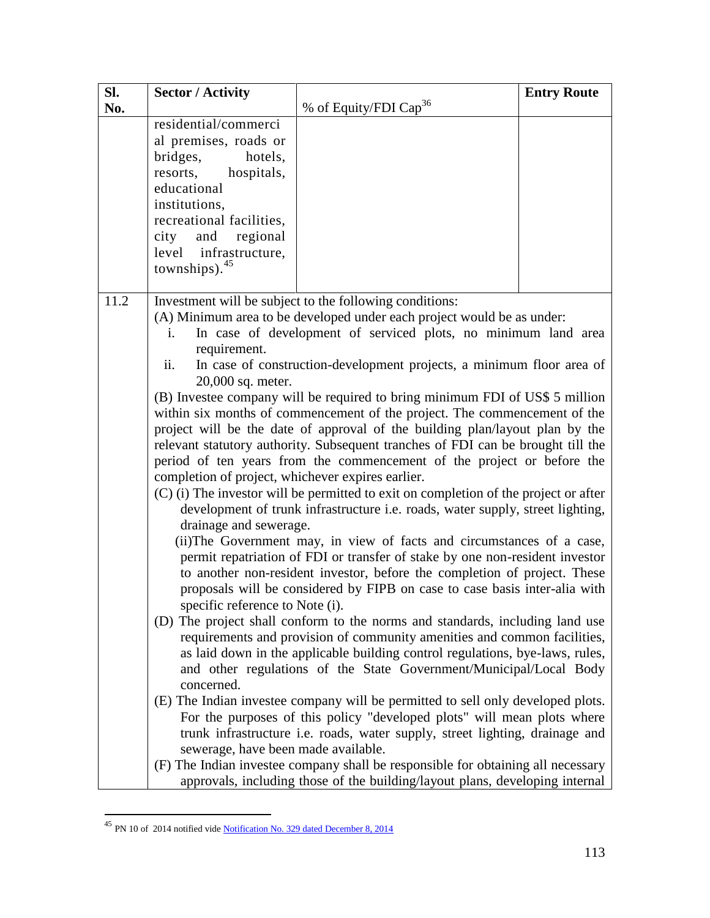| SI.  | <b>Sector / Activity</b>                                                     |                                                                                                                             | <b>Entry Route</b> |  |
|------|------------------------------------------------------------------------------|-----------------------------------------------------------------------------------------------------------------------------|--------------------|--|
| No.  |                                                                              | % of Equity/FDI Cap <sup>36</sup>                                                                                           |                    |  |
|      | residential/commerci                                                         |                                                                                                                             |                    |  |
|      | al premises, roads or                                                        |                                                                                                                             |                    |  |
|      | bridges,<br>hotels,                                                          |                                                                                                                             |                    |  |
|      | hospitals,<br>resorts,                                                       |                                                                                                                             |                    |  |
|      | educational                                                                  |                                                                                                                             |                    |  |
|      | institutions,                                                                |                                                                                                                             |                    |  |
|      | recreational facilities,                                                     |                                                                                                                             |                    |  |
|      | city<br>regional<br>and                                                      |                                                                                                                             |                    |  |
|      | level infrastructure,                                                        |                                                                                                                             |                    |  |
|      | townships). $45$                                                             |                                                                                                                             |                    |  |
|      |                                                                              |                                                                                                                             |                    |  |
| 11.2 |                                                                              | Investment will be subject to the following conditions:                                                                     |                    |  |
|      |                                                                              | (A) Minimum area to be developed under each project would be as under:                                                      |                    |  |
|      | i.                                                                           | In case of development of serviced plots, no minimum land area                                                              |                    |  |
|      | requirement.                                                                 |                                                                                                                             |                    |  |
|      | ii.                                                                          | In case of construction-development projects, a minimum floor area of                                                       |                    |  |
|      | 20,000 sq. meter.                                                            |                                                                                                                             |                    |  |
|      |                                                                              | (B) Investee company will be required to bring minimum FDI of US\$ 5 million                                                |                    |  |
|      |                                                                              | within six months of commencement of the project. The commencement of the                                                   |                    |  |
|      | project will be the date of approval of the building plan/layout plan by the |                                                                                                                             |                    |  |
|      |                                                                              | relevant statutory authority. Subsequent tranches of FDI can be brought till the                                            |                    |  |
|      |                                                                              | period of ten years from the commencement of the project or before the<br>completion of project, whichever expires earlier. |                    |  |
|      |                                                                              | (C) (i) The investor will be permitted to exit on completion of the project or after                                        |                    |  |
|      |                                                                              | development of trunk infrastructure i.e. roads, water supply, street lighting,                                              |                    |  |
|      | drainage and sewerage.                                                       |                                                                                                                             |                    |  |
|      |                                                                              | (ii) The Government may, in view of facts and circumstances of a case,                                                      |                    |  |
|      |                                                                              | permit repatriation of FDI or transfer of stake by one non-resident investor                                                |                    |  |
|      |                                                                              | to another non-resident investor, before the completion of project. These                                                   |                    |  |
|      |                                                                              | proposals will be considered by FIPB on case to case basis inter-alia with                                                  |                    |  |
|      | specific reference to Note (i).                                              |                                                                                                                             |                    |  |
|      |                                                                              | (D) The project shall conform to the norms and standards, including land use                                                |                    |  |
|      |                                                                              | requirements and provision of community amenities and common facilities,                                                    |                    |  |
|      |                                                                              | as laid down in the applicable building control regulations, bye-laws, rules,                                               |                    |  |
|      |                                                                              | and other regulations of the State Government/Municipal/Local Body                                                          |                    |  |
|      | concerned.                                                                   |                                                                                                                             |                    |  |
|      |                                                                              | (E) The Indian investee company will be permitted to sell only developed plots.                                             |                    |  |
|      |                                                                              | For the purposes of this policy "developed plots" will mean plots where                                                     |                    |  |
|      |                                                                              | trunk infrastructure i.e. roads, water supply, street lighting, drainage and                                                |                    |  |
|      | sewerage, have been made available.                                          |                                                                                                                             |                    |  |
|      |                                                                              | (F) The Indian investee company shall be responsible for obtaining all necessary                                            |                    |  |
|      |                                                                              | approvals, including those of the building/layout plans, developing internal                                                |                    |  |

<sup>&</sup>lt;sup>45</sup> PN 10 of 2014 notified vid[e Notification No. 329 dated December 8, 2014](http://rbi.org.in/Scripts/NotificationUser.aspx?Id=9478&Mode=0)

 $\overline{\phantom{a}}$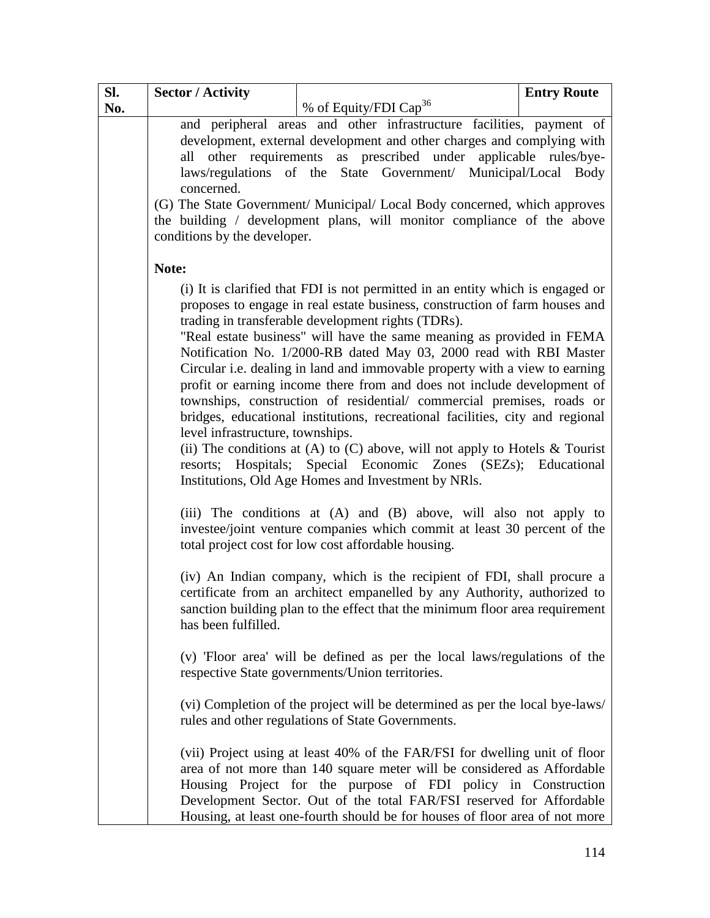| SI. | <b>Sector / Activity</b>                                               |                                                                                | <b>Entry Route</b> |
|-----|------------------------------------------------------------------------|--------------------------------------------------------------------------------|--------------------|
| No. |                                                                        | % of Equity/FDI Cap <sup>36</sup>                                              |                    |
|     |                                                                        | and peripheral areas and other infrastructure facilities, payment of           |                    |
|     | development, external development and other charges and complying with |                                                                                |                    |
|     | all                                                                    | other requirements as prescribed under applicable rules/bye-                   |                    |
|     |                                                                        | laws/regulations of the State Government/ Municipal/Local Body                 |                    |
|     | concerned.                                                             |                                                                                |                    |
|     |                                                                        | (G) The State Government/ Municipal/ Local Body concerned, which approves      |                    |
|     |                                                                        | the building / development plans, will monitor compliance of the above         |                    |
|     | conditions by the developer.                                           |                                                                                |                    |
|     |                                                                        |                                                                                |                    |
|     | Note:                                                                  |                                                                                |                    |
|     |                                                                        | (i) It is clarified that FDI is not permitted in an entity which is engaged or |                    |
|     |                                                                        | proposes to engage in real estate business, construction of farm houses and    |                    |
|     |                                                                        | trading in transferable development rights (TDRs).                             |                    |
|     |                                                                        | "Real estate business" will have the same meaning as provided in FEMA          |                    |
|     |                                                                        | Notification No. 1/2000-RB dated May 03, 2000 read with RBI Master             |                    |
|     |                                                                        | Circular i.e. dealing in land and immovable property with a view to earning    |                    |
|     |                                                                        | profit or earning income there from and does not include development of        |                    |
|     |                                                                        | townships, construction of residential/ commercial premises, roads or          |                    |
|     |                                                                        | bridges, educational institutions, recreational facilities, city and regional  |                    |
|     | level infrastructure, townships.                                       |                                                                                |                    |
|     |                                                                        | (ii) The conditions at (A) to (C) above, will not apply to Hotels $\&$ Tourist |                    |
|     |                                                                        | resorts; Hospitals; Special Economic Zones (SEZs); Educational                 |                    |
|     |                                                                        | Institutions, Old Age Homes and Investment by NRIs.                            |                    |
|     |                                                                        |                                                                                |                    |
|     |                                                                        | (iii) The conditions at (A) and (B) above, will also not apply to              |                    |
|     |                                                                        | investee/joint venture companies which commit at least 30 percent of the       |                    |
|     |                                                                        | total project cost for low cost affordable housing.                            |                    |
|     |                                                                        | (iv) An Indian company, which is the recipient of FDI, shall procure a         |                    |
|     |                                                                        | certificate from an architect empanelled by any Authority, authorized to       |                    |
|     |                                                                        | sanction building plan to the effect that the minimum floor area requirement   |                    |
|     | has been fulfilled.                                                    |                                                                                |                    |
|     |                                                                        |                                                                                |                    |
|     |                                                                        | (v) 'Floor area' will be defined as per the local laws/regulations of the      |                    |
|     |                                                                        | respective State governments/Union territories.                                |                    |
|     |                                                                        |                                                                                |                    |
|     |                                                                        | (vi) Completion of the project will be determined as per the local bye-laws/   |                    |
|     |                                                                        | rules and other regulations of State Governments.                              |                    |
|     |                                                                        |                                                                                |                    |
|     |                                                                        | (vii) Project using at least 40% of the FAR/FSI for dwelling unit of floor     |                    |
|     |                                                                        | area of not more than 140 square meter will be considered as Affordable        |                    |
|     |                                                                        | Housing Project for the purpose of FDI policy in Construction                  |                    |
|     |                                                                        | Development Sector. Out of the total FAR/FSI reserved for Affordable           |                    |
|     |                                                                        | Housing, at least one-fourth should be for houses of floor area of not more    |                    |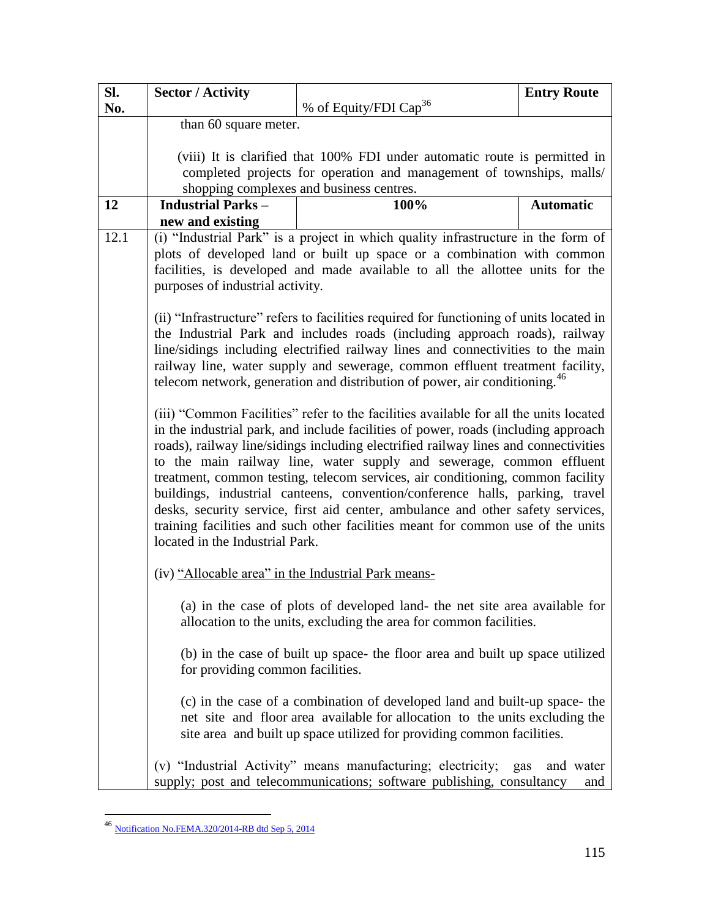| Sl.  | <b>Sector / Activity</b>                                                                                                                                    |                                                                                                                                      | <b>Entry Route</b>      |  |
|------|-------------------------------------------------------------------------------------------------------------------------------------------------------------|--------------------------------------------------------------------------------------------------------------------------------------|-------------------------|--|
| No.  |                                                                                                                                                             | % of Equity/FDI Cap <sup>36</sup>                                                                                                    |                         |  |
|      | than 60 square meter.                                                                                                                                       |                                                                                                                                      |                         |  |
|      |                                                                                                                                                             |                                                                                                                                      |                         |  |
|      |                                                                                                                                                             | (viii) It is clarified that 100% FDI under automatic route is permitted in                                                           |                         |  |
|      |                                                                                                                                                             | completed projects for operation and management of townships, malls/                                                                 |                         |  |
|      | shopping complexes and business centres.                                                                                                                    |                                                                                                                                      |                         |  |
| 12   | <b>Industrial Parks -</b><br>new and existing                                                                                                               | 100%                                                                                                                                 | <b>Automatic</b>        |  |
| 12.1 |                                                                                                                                                             |                                                                                                                                      |                         |  |
|      | (i) "Industrial Park" is a project in which quality infrastructure in the form of<br>plots of developed land or built up space or a combination with common |                                                                                                                                      |                         |  |
|      |                                                                                                                                                             | facilities, is developed and made available to all the allottee units for the                                                        |                         |  |
|      | purposes of industrial activity.                                                                                                                            |                                                                                                                                      |                         |  |
|      |                                                                                                                                                             |                                                                                                                                      |                         |  |
|      |                                                                                                                                                             | (ii) "Infrastructure" refers to facilities required for functioning of units located in                                              |                         |  |
|      |                                                                                                                                                             | the Industrial Park and includes roads (including approach roads), railway                                                           |                         |  |
|      |                                                                                                                                                             | line/sidings including electrified railway lines and connectivities to the main                                                      |                         |  |
|      |                                                                                                                                                             | railway line, water supply and sewerage, common effluent treatment facility,                                                         |                         |  |
|      | telecom network, generation and distribution of power, air conditioning. <sup>46</sup>                                                                      |                                                                                                                                      |                         |  |
|      | (iii) "Common Facilities" refer to the facilities available for all the units located                                                                       |                                                                                                                                      |                         |  |
|      | in the industrial park, and include facilities of power, roads (including approach                                                                          |                                                                                                                                      |                         |  |
|      | roads), railway line/sidings including electrified railway lines and connectivities                                                                         |                                                                                                                                      |                         |  |
|      | to the main railway line, water supply and sewerage, common effluent                                                                                        |                                                                                                                                      |                         |  |
|      | treatment, common testing, telecom services, air conditioning, common facility                                                                              |                                                                                                                                      |                         |  |
|      |                                                                                                                                                             | buildings, industrial canteens, convention/conference halls, parking, travel                                                         |                         |  |
|      |                                                                                                                                                             | desks, security service, first aid center, ambulance and other safety services,                                                      |                         |  |
|      |                                                                                                                                                             | training facilities and such other facilities meant for common use of the units                                                      |                         |  |
|      | located in the Industrial Park.                                                                                                                             |                                                                                                                                      |                         |  |
|      | (iv) "Allocable area" in the Industrial Park means-                                                                                                         |                                                                                                                                      |                         |  |
|      |                                                                                                                                                             |                                                                                                                                      |                         |  |
|      |                                                                                                                                                             | (a) in the case of plots of developed land- the net site area available for                                                          |                         |  |
|      |                                                                                                                                                             | allocation to the units, excluding the area for common facilities.                                                                   |                         |  |
|      |                                                                                                                                                             |                                                                                                                                      |                         |  |
|      |                                                                                                                                                             | (b) in the case of built up space- the floor area and built up space utilized                                                        |                         |  |
|      | for providing common facilities.                                                                                                                            |                                                                                                                                      |                         |  |
|      |                                                                                                                                                             | (c) in the case of a combination of developed land and built-up space- the                                                           |                         |  |
|      |                                                                                                                                                             | net site and floor area available for allocation to the units excluding the                                                          |                         |  |
|      |                                                                                                                                                             | site area and built up space utilized for providing common facilities.                                                               |                         |  |
|      |                                                                                                                                                             |                                                                                                                                      |                         |  |
|      |                                                                                                                                                             | (v) "Industrial Activity" means manufacturing; electricity;<br>supply; post and telecommunications; software publishing, consultancy | gas<br>and water<br>and |  |

<sup>46</sup> [Notification No.FEMA.320/2014-RB dtd Sep 5, 2014](http://rbi.org.in/Scripts/NotificationUser.aspx?Id=9379&Mode=0)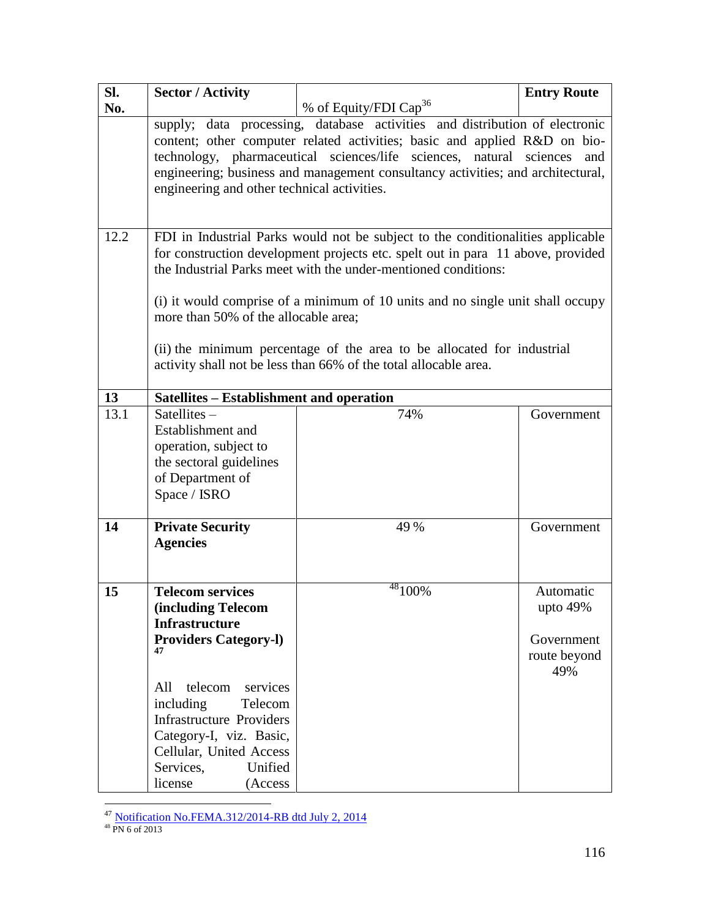| SI.  | <b>Sector / Activity</b>                                                                                                                                                                                                                                                                                                                                                                                                                                                                                     |                                   | <b>Entry Route</b>                                           |  |
|------|--------------------------------------------------------------------------------------------------------------------------------------------------------------------------------------------------------------------------------------------------------------------------------------------------------------------------------------------------------------------------------------------------------------------------------------------------------------------------------------------------------------|-----------------------------------|--------------------------------------------------------------|--|
| No.  |                                                                                                                                                                                                                                                                                                                                                                                                                                                                                                              | % of Equity/FDI Cap <sup>36</sup> |                                                              |  |
|      | supply; data processing, database activities and distribution of electronic<br>content; other computer related activities; basic and applied R&D on bio-<br>technology, pharmaceutical sciences/life sciences, natural sciences<br>and<br>engineering; business and management consultancy activities; and architectural,<br>engineering and other technical activities.                                                                                                                                     |                                   |                                                              |  |
| 12.2 | FDI in Industrial Parks would not be subject to the conditionalities applicable<br>for construction development projects etc. spelt out in para 11 above, provided<br>the Industrial Parks meet with the under-mentioned conditions:<br>(i) it would comprise of a minimum of 10 units and no single unit shall occupy<br>more than 50% of the allocable area;<br>(ii) the minimum percentage of the area to be allocated for industrial<br>activity shall not be less than 66% of the total allocable area. |                                   |                                                              |  |
| 13   | Satellites – Establishment and operation                                                                                                                                                                                                                                                                                                                                                                                                                                                                     |                                   |                                                              |  |
| 13.1 | Satellites $-$<br>Establishment and<br>operation, subject to<br>the sectoral guidelines<br>of Department of<br>Space / ISRO                                                                                                                                                                                                                                                                                                                                                                                  | 74%                               | Government                                                   |  |
| 14   | <b>Private Security</b><br><b>Agencies</b>                                                                                                                                                                                                                                                                                                                                                                                                                                                                   | 49 %                              | Government                                                   |  |
| 15   | <b>Telecom services</b><br><b>(including Telecom</b><br><b>Infrastructure</b><br><b>Providers Category-I)</b><br>47<br>telecom<br>services<br>All<br>Telecom<br>including<br><b>Infrastructure Providers</b><br>Category-I, viz. Basic,<br>Cellular, United Access<br>Services,<br>Unified<br>license<br>(Access                                                                                                                                                                                             | $48100\%$                         | Automatic<br>upto $49%$<br>Government<br>route beyond<br>49% |  |

<sup>&</sup>lt;sup>47</sup> [Notification No.FEMA.312/2014-RB dtd July 2, 2014](http://rbi.org.in/Scripts/NotificationUser.aspx?Id=9378&Mode=0)

<sup>48</sup> PN 6 of 2013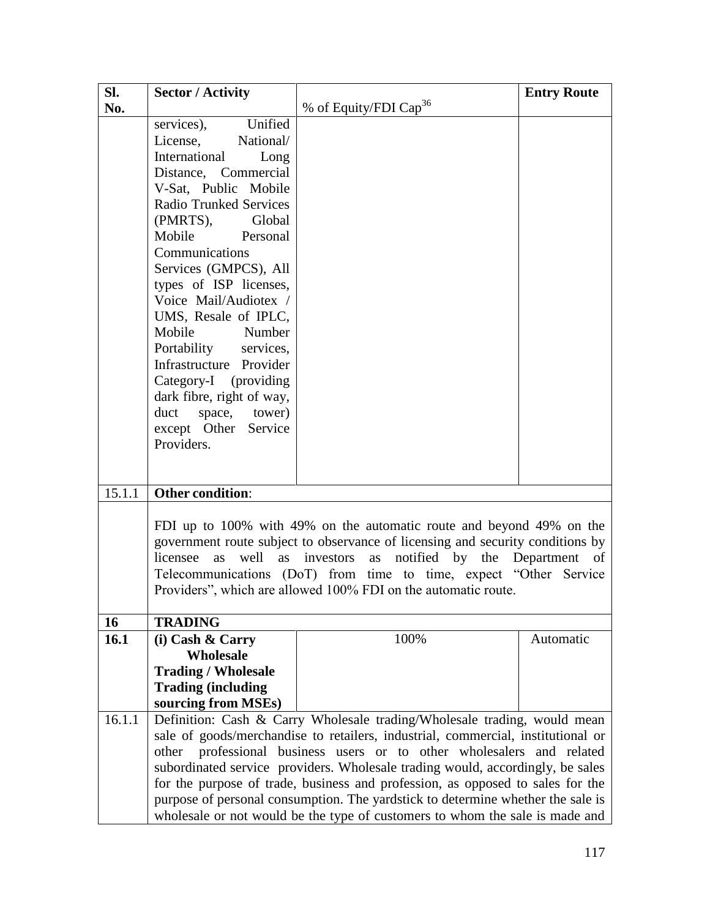| Sl.    | <b>Sector / Activity</b>                                                                                                                          |                                                                                  | <b>Entry Route</b> |
|--------|---------------------------------------------------------------------------------------------------------------------------------------------------|----------------------------------------------------------------------------------|--------------------|
| No.    |                                                                                                                                                   | % of Equity/FDI Cap <sup>36</sup>                                                |                    |
|        | Unified<br>services),                                                                                                                             |                                                                                  |                    |
|        | National/<br>License,                                                                                                                             |                                                                                  |                    |
|        | International<br>Long                                                                                                                             |                                                                                  |                    |
|        | Distance, Commercial                                                                                                                              |                                                                                  |                    |
|        | V-Sat, Public Mobile                                                                                                                              |                                                                                  |                    |
|        | <b>Radio Trunked Services</b>                                                                                                                     |                                                                                  |                    |
|        | (PMRTS),<br>Global                                                                                                                                |                                                                                  |                    |
|        | Mobile<br>Personal                                                                                                                                |                                                                                  |                    |
|        | Communications                                                                                                                                    |                                                                                  |                    |
|        | Services (GMPCS), All                                                                                                                             |                                                                                  |                    |
|        | types of ISP licenses,                                                                                                                            |                                                                                  |                    |
|        | Voice Mail/Audiotex /                                                                                                                             |                                                                                  |                    |
|        | UMS, Resale of IPLC,                                                                                                                              |                                                                                  |                    |
|        | Mobile<br>Number                                                                                                                                  |                                                                                  |                    |
|        | Portability services,                                                                                                                             |                                                                                  |                    |
|        | Infrastructure Provider                                                                                                                           |                                                                                  |                    |
|        | Category-I (providing                                                                                                                             |                                                                                  |                    |
|        | dark fibre, right of way,                                                                                                                         |                                                                                  |                    |
|        | duct<br>space, tower)                                                                                                                             |                                                                                  |                    |
|        | except Other Service                                                                                                                              |                                                                                  |                    |
|        | Providers.                                                                                                                                        |                                                                                  |                    |
|        |                                                                                                                                                   |                                                                                  |                    |
|        |                                                                                                                                                   |                                                                                  |                    |
| 15.1.1 | <b>Other condition:</b>                                                                                                                           |                                                                                  |                    |
|        |                                                                                                                                                   |                                                                                  |                    |
|        |                                                                                                                                                   | FDI up to 100% with 49% on the automatic route and beyond 49% on the             |                    |
|        |                                                                                                                                                   | government route subject to observance of licensing and security conditions by   |                    |
|        | licensee<br>well<br>as<br><b>as</b>                                                                                                               | notified by the Department of<br>investors<br>as                                 |                    |
|        |                                                                                                                                                   | Telecommunications (DoT) from time to time, expect "Other Service                |                    |
|        |                                                                                                                                                   | Providers", which are allowed 100% FDI on the automatic route.                   |                    |
|        |                                                                                                                                                   |                                                                                  |                    |
| 16     | <b>TRADING</b>                                                                                                                                    |                                                                                  |                    |
| 16.1   | (i) Cash & Carry<br>Wholesale                                                                                                                     | 100%                                                                             | Automatic          |
|        |                                                                                                                                                   |                                                                                  |                    |
|        | <b>Trading / Wholesale</b><br><b>Trading (including</b>                                                                                           |                                                                                  |                    |
|        | sourcing from MSEs)                                                                                                                               |                                                                                  |                    |
| 16.1.1 |                                                                                                                                                   | Definition: Cash & Carry Wholesale trading/Wholesale trading, would mean         |                    |
|        |                                                                                                                                                   | sale of goods/merchandise to retailers, industrial, commercial, institutional or |                    |
|        | other                                                                                                                                             |                                                                                  |                    |
|        | professional business users or to other wholesalers and related<br>subordinated service providers. Wholesale trading would, accordingly, be sales |                                                                                  |                    |
|        |                                                                                                                                                   | for the purpose of trade, business and profession, as opposed to sales for the   |                    |
|        |                                                                                                                                                   | purpose of personal consumption. The yardstick to determine whether the sale is  |                    |
|        |                                                                                                                                                   | wholesale or not would be the type of customers to whom the sale is made and     |                    |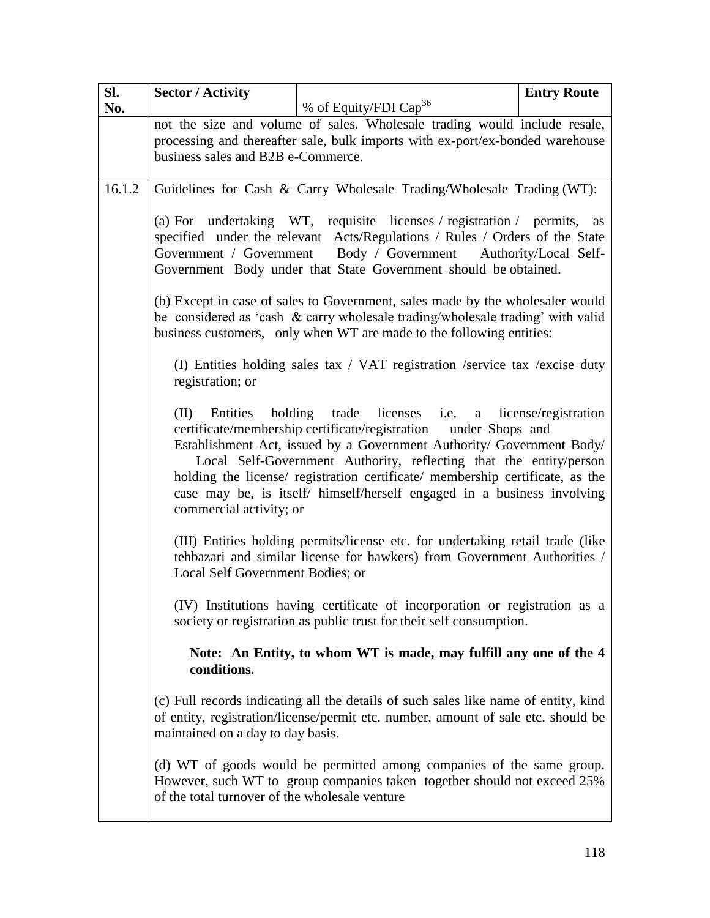| Sl.    | <b>Sector / Activity</b>                                                      |                                                                                                                                                                                                                                                                                                                                                                                                                  | <b>Entry Route</b>     |
|--------|-------------------------------------------------------------------------------|------------------------------------------------------------------------------------------------------------------------------------------------------------------------------------------------------------------------------------------------------------------------------------------------------------------------------------------------------------------------------------------------------------------|------------------------|
| No.    |                                                                               | % of Equity/FDI Cap <sup>36</sup>                                                                                                                                                                                                                                                                                                                                                                                |                        |
|        |                                                                               | not the size and volume of sales. Wholesale trading would include resale,                                                                                                                                                                                                                                                                                                                                        |                        |
|        | processing and thereafter sale, bulk imports with ex-port/ex-bonded warehouse |                                                                                                                                                                                                                                                                                                                                                                                                                  |                        |
|        | business sales and B2B e-Commerce.                                            |                                                                                                                                                                                                                                                                                                                                                                                                                  |                        |
|        |                                                                               |                                                                                                                                                                                                                                                                                                                                                                                                                  |                        |
| 16.1.2 |                                                                               | Guidelines for Cash & Carry Wholesale Trading/Wholesale Trading (WT):                                                                                                                                                                                                                                                                                                                                            |                        |
|        |                                                                               | (a) For undertaking WT, requisite licenses / registration / permits, as<br>specified under the relevant Acts/Regulations / Rules / Orders of the State<br>Government / Government Body / Government Authority/Local Self-<br>Government Body under that State Government should be obtained.                                                                                                                     |                        |
|        |                                                                               | (b) Except in case of sales to Government, sales made by the wholesaler would<br>be considered as 'cash & carry wholesale trading/wholesale trading' with valid<br>business customers, only when WT are made to the following entities:                                                                                                                                                                          |                        |
|        | registration; or                                                              | (I) Entities holding sales tax / VAT registration /service tax /excise duty                                                                                                                                                                                                                                                                                                                                      |                        |
|        | (II)<br>Entities<br>commercial activity; or                                   | holding trade licenses <i>i.e.</i><br>certificate/membership certificate/registration under Shops and<br>Establishment Act, issued by a Government Authority/ Government Body/<br>Local Self-Government Authority, reflecting that the entity/person<br>holding the license/ registration certificate/ membership certificate, as the<br>case may be, is itself/ himself/herself engaged in a business involving | a license/registration |
|        | Local Self Government Bodies; or                                              | (III) Entities holding permits/license etc. for undertaking retail trade (like<br>tehbazari and similar license for hawkers) from Government Authorities /                                                                                                                                                                                                                                                       |                        |
|        |                                                                               | (IV) Institutions having certificate of incorporation or registration as a<br>society or registration as public trust for their self consumption.                                                                                                                                                                                                                                                                |                        |
|        | conditions.                                                                   | Note: An Entity, to whom WT is made, may fulfill any one of the 4                                                                                                                                                                                                                                                                                                                                                |                        |
|        | maintained on a day to day basis.                                             | (c) Full records indicating all the details of such sales like name of entity, kind<br>of entity, registration/license/permit etc. number, amount of sale etc. should be                                                                                                                                                                                                                                         |                        |
|        | of the total turnover of the wholesale venture                                | (d) WT of goods would be permitted among companies of the same group.<br>However, such WT to group companies taken together should not exceed 25%                                                                                                                                                                                                                                                                |                        |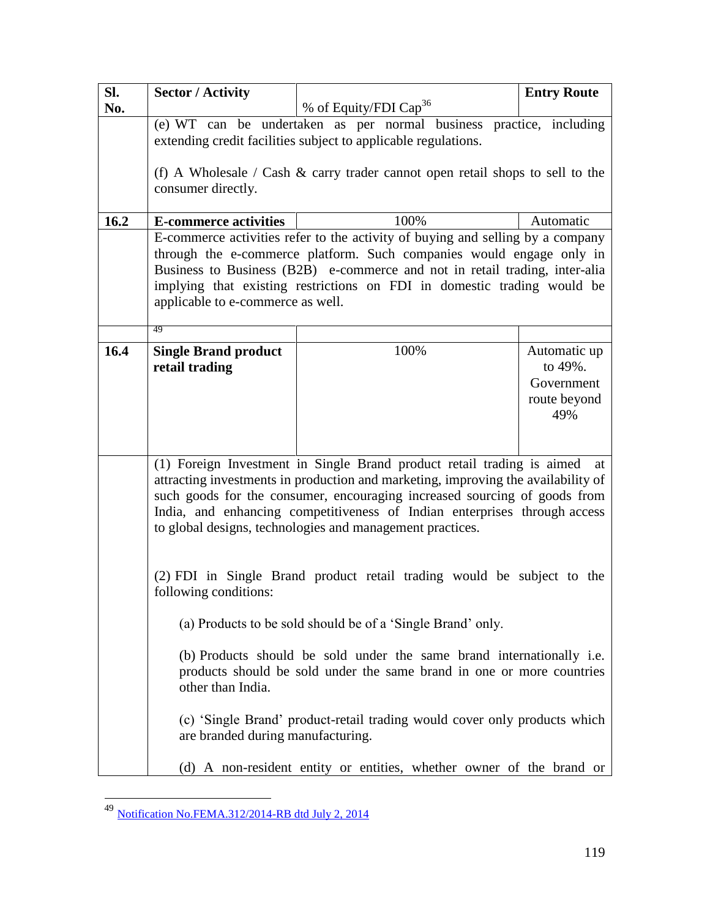| % of Equity/FDI Cap <sup>36</sup><br>No.                                                                       |                                                                                   |  |  |
|----------------------------------------------------------------------------------------------------------------|-----------------------------------------------------------------------------------|--|--|
|                                                                                                                |                                                                                   |  |  |
| (e) WT can be undertaken as per normal business practice, including                                            |                                                                                   |  |  |
|                                                                                                                | extending credit facilities subject to applicable regulations.                    |  |  |
|                                                                                                                |                                                                                   |  |  |
| (f) A Wholesale / Cash & carry trader cannot open retail shops to sell to the                                  |                                                                                   |  |  |
| consumer directly.                                                                                             |                                                                                   |  |  |
| 16.2<br>100%<br><b>E-commerce activities</b>                                                                   | Automatic                                                                         |  |  |
| E-commerce activities refer to the activity of buying and selling by a company                                 |                                                                                   |  |  |
| through the e-commerce platform. Such companies would engage only in                                           |                                                                                   |  |  |
| Business to Business (B2B) e-commerce and not in retail trading, inter-alia                                    |                                                                                   |  |  |
| implying that existing restrictions on FDI in domestic trading would be                                        |                                                                                   |  |  |
| applicable to e-commerce as well.                                                                              |                                                                                   |  |  |
| 49                                                                                                             |                                                                                   |  |  |
|                                                                                                                |                                                                                   |  |  |
| 16.4<br>100%<br><b>Single Brand product</b>                                                                    | Automatic up                                                                      |  |  |
| retail trading                                                                                                 | to 49%.<br>Government                                                             |  |  |
|                                                                                                                |                                                                                   |  |  |
|                                                                                                                | route beyond<br>49%                                                               |  |  |
|                                                                                                                |                                                                                   |  |  |
|                                                                                                                |                                                                                   |  |  |
| (1) Foreign Investment in Single Brand product retail trading is aimed at                                      |                                                                                   |  |  |
|                                                                                                                | attracting investments in production and marketing, improving the availability of |  |  |
|                                                                                                                | such goods for the consumer, encouraging increased sourcing of goods from         |  |  |
| India, and enhancing competitiveness of Indian enterprises through access                                      |                                                                                   |  |  |
| to global designs, technologies and management practices.                                                      |                                                                                   |  |  |
|                                                                                                                |                                                                                   |  |  |
|                                                                                                                |                                                                                   |  |  |
| (2) FDI in Single Brand product retail trading would be subject to the                                         |                                                                                   |  |  |
| following conditions:                                                                                          |                                                                                   |  |  |
| (a) Products to be sold should be of a 'Single Brand' only.                                                    |                                                                                   |  |  |
|                                                                                                                |                                                                                   |  |  |
| (b) Products should be sold under the same brand internationally i.e.                                          |                                                                                   |  |  |
| products should be sold under the same brand in one or more countries                                          |                                                                                   |  |  |
| other than India.                                                                                              |                                                                                   |  |  |
|                                                                                                                |                                                                                   |  |  |
| (c) 'Single Brand' product-retail trading would cover only products which<br>are branded during manufacturing. |                                                                                   |  |  |
|                                                                                                                |                                                                                   |  |  |
| (d) A non-resident entity or entities, whether owner of the brand or                                           |                                                                                   |  |  |

<sup>49</sup> [Notification No.FEMA.312/2014-RB dtd July 2, 2014](http://rbi.org.in/Scripts/NotificationUser.aspx?Id=9378&Mode=0)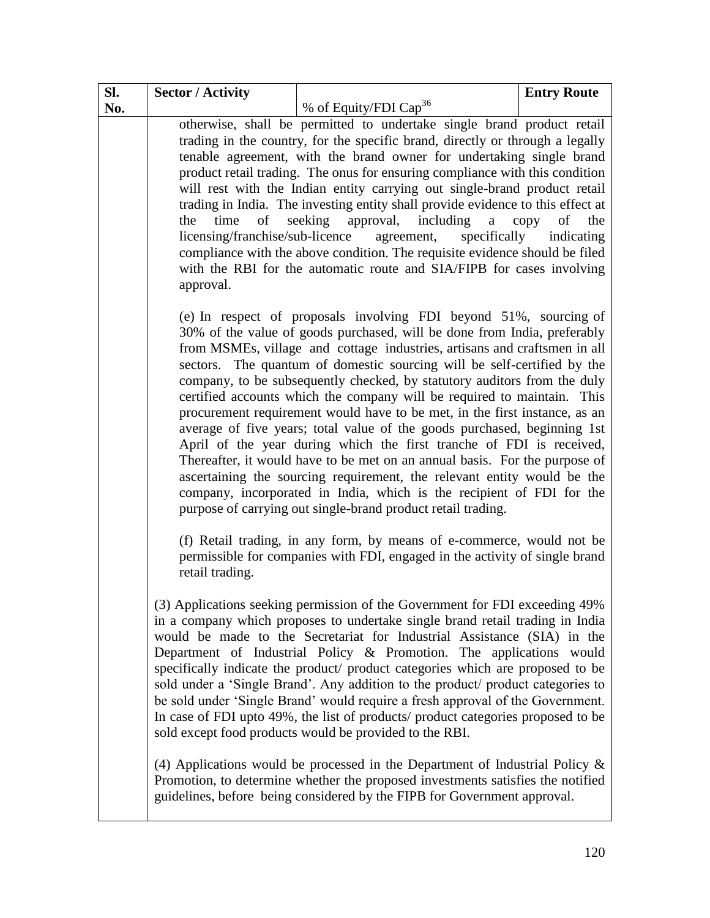| SI. | <b>Sector / Activity</b>       |                                                                                                                                                                                                                                                                                                                                                                                                                                                                                                                                                                                                                                                                                                                                                                                                                                                                                                                                                                                                  | <b>Entry Route</b>              |
|-----|--------------------------------|--------------------------------------------------------------------------------------------------------------------------------------------------------------------------------------------------------------------------------------------------------------------------------------------------------------------------------------------------------------------------------------------------------------------------------------------------------------------------------------------------------------------------------------------------------------------------------------------------------------------------------------------------------------------------------------------------------------------------------------------------------------------------------------------------------------------------------------------------------------------------------------------------------------------------------------------------------------------------------------------------|---------------------------------|
| No. |                                | % of Equity/FDI Cap <sup>36</sup>                                                                                                                                                                                                                                                                                                                                                                                                                                                                                                                                                                                                                                                                                                                                                                                                                                                                                                                                                                |                                 |
|     | time<br>of<br>the<br>approval. | otherwise, shall be permitted to undertake single brand product retail<br>trading in the country, for the specific brand, directly or through a legally<br>tenable agreement, with the brand owner for undertaking single brand<br>product retail trading. The onus for ensuring compliance with this condition<br>will rest with the Indian entity carrying out single-brand product retail<br>trading in India. The investing entity shall provide evidence to this effect at<br>seeking approval, including<br>a<br>licensing/franchise/sub-licence agreement,<br>specifically<br>compliance with the above condition. The requisite evidence should be filed<br>with the RBI for the automatic route and SIA/FIPB for cases involving                                                                                                                                                                                                                                                        | copy<br>of<br>the<br>indicating |
|     |                                | (e) In respect of proposals involving FDI beyond 51%, sourcing of<br>30% of the value of goods purchased, will be done from India, preferably<br>from MSMEs, village and cottage industries, artisans and craftsmen in all<br>sectors. The quantum of domestic sourcing will be self-certified by the<br>company, to be subsequently checked, by statutory auditors from the duly<br>certified accounts which the company will be required to maintain. This<br>procurement requirement would have to be met, in the first instance, as an<br>average of five years; total value of the goods purchased, beginning 1st<br>April of the year during which the first tranche of FDI is received,<br>Thereafter, it would have to be met on an annual basis. For the purpose of<br>ascertaining the sourcing requirement, the relevant entity would be the<br>company, incorporated in India, which is the recipient of FDI for the<br>purpose of carrying out single-brand product retail trading. |                                 |
|     | retail trading.                | (f) Retail trading, in any form, by means of e-commerce, would not be<br>permissible for companies with FDI, engaged in the activity of single brand                                                                                                                                                                                                                                                                                                                                                                                                                                                                                                                                                                                                                                                                                                                                                                                                                                             |                                 |
|     |                                | (3) Applications seeking permission of the Government for FDI exceeding 49%<br>in a company which proposes to undertake single brand retail trading in India<br>would be made to the Secretariat for Industrial Assistance (SIA) in the<br>Department of Industrial Policy & Promotion. The applications would<br>specifically indicate the product/ product categories which are proposed to be<br>sold under a 'Single Brand'. Any addition to the product/ product categories to<br>be sold under 'Single Brand' would require a fresh approval of the Government.<br>In case of FDI upto 49%, the list of products/ product categories proposed to be<br>sold except food products would be provided to the RBI.                                                                                                                                                                                                                                                                             |                                 |
|     |                                | (4) Applications would be processed in the Department of Industrial Policy $\&$<br>Promotion, to determine whether the proposed investments satisfies the notified<br>guidelines, before being considered by the FIPB for Government approval.                                                                                                                                                                                                                                                                                                                                                                                                                                                                                                                                                                                                                                                                                                                                                   |                                 |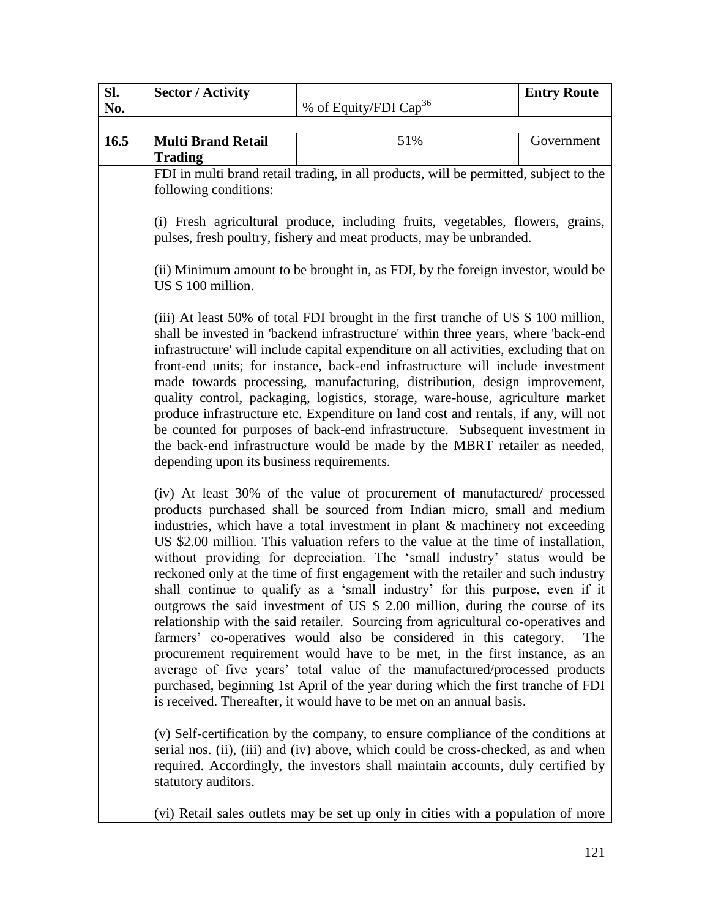| Sl.  | <b>Sector / Activity</b>                                                                                                                                                                                                                                                                                                                                                                                                                                                                                                                                                                                                                                                                                                                                                                                          |                                                                                                                                                                                                                                                                                                                                                                                                                                                                                                                                                                                                                                                                                                                                                                                                                                                                                                                                                                                                                                                                                                                                                                                                                                                                                                                         | <b>Entry Route</b> |
|------|-------------------------------------------------------------------------------------------------------------------------------------------------------------------------------------------------------------------------------------------------------------------------------------------------------------------------------------------------------------------------------------------------------------------------------------------------------------------------------------------------------------------------------------------------------------------------------------------------------------------------------------------------------------------------------------------------------------------------------------------------------------------------------------------------------------------|-------------------------------------------------------------------------------------------------------------------------------------------------------------------------------------------------------------------------------------------------------------------------------------------------------------------------------------------------------------------------------------------------------------------------------------------------------------------------------------------------------------------------------------------------------------------------------------------------------------------------------------------------------------------------------------------------------------------------------------------------------------------------------------------------------------------------------------------------------------------------------------------------------------------------------------------------------------------------------------------------------------------------------------------------------------------------------------------------------------------------------------------------------------------------------------------------------------------------------------------------------------------------------------------------------------------------|--------------------|
| No.  |                                                                                                                                                                                                                                                                                                                                                                                                                                                                                                                                                                                                                                                                                                                                                                                                                   | % of Equity/FDI Cap <sup>36</sup>                                                                                                                                                                                                                                                                                                                                                                                                                                                                                                                                                                                                                                                                                                                                                                                                                                                                                                                                                                                                                                                                                                                                                                                                                                                                                       |                    |
|      |                                                                                                                                                                                                                                                                                                                                                                                                                                                                                                                                                                                                                                                                                                                                                                                                                   |                                                                                                                                                                                                                                                                                                                                                                                                                                                                                                                                                                                                                                                                                                                                                                                                                                                                                                                                                                                                                                                                                                                                                                                                                                                                                                                         |                    |
| 16.5 | <b>Multi Brand Retail</b>                                                                                                                                                                                                                                                                                                                                                                                                                                                                                                                                                                                                                                                                                                                                                                                         | 51%                                                                                                                                                                                                                                                                                                                                                                                                                                                                                                                                                                                                                                                                                                                                                                                                                                                                                                                                                                                                                                                                                                                                                                                                                                                                                                                     | Government         |
|      | <b>Trading</b>                                                                                                                                                                                                                                                                                                                                                                                                                                                                                                                                                                                                                                                                                                                                                                                                    |                                                                                                                                                                                                                                                                                                                                                                                                                                                                                                                                                                                                                                                                                                                                                                                                                                                                                                                                                                                                                                                                                                                                                                                                                                                                                                                         |                    |
|      |                                                                                                                                                                                                                                                                                                                                                                                                                                                                                                                                                                                                                                                                                                                                                                                                                   | FDI in multi brand retail trading, in all products, will be permitted, subject to the                                                                                                                                                                                                                                                                                                                                                                                                                                                                                                                                                                                                                                                                                                                                                                                                                                                                                                                                                                                                                                                                                                                                                                                                                                   |                    |
|      | following conditions:                                                                                                                                                                                                                                                                                                                                                                                                                                                                                                                                                                                                                                                                                                                                                                                             |                                                                                                                                                                                                                                                                                                                                                                                                                                                                                                                                                                                                                                                                                                                                                                                                                                                                                                                                                                                                                                                                                                                                                                                                                                                                                                                         |                    |
|      |                                                                                                                                                                                                                                                                                                                                                                                                                                                                                                                                                                                                                                                                                                                                                                                                                   | (i) Fresh agricultural produce, including fruits, vegetables, flowers, grains,<br>pulses, fresh poultry, fishery and meat products, may be unbranded.                                                                                                                                                                                                                                                                                                                                                                                                                                                                                                                                                                                                                                                                                                                                                                                                                                                                                                                                                                                                                                                                                                                                                                   |                    |
|      | US \$100 million.                                                                                                                                                                                                                                                                                                                                                                                                                                                                                                                                                                                                                                                                                                                                                                                                 | (ii) Minimum amount to be brought in, as FDI, by the foreign investor, would be                                                                                                                                                                                                                                                                                                                                                                                                                                                                                                                                                                                                                                                                                                                                                                                                                                                                                                                                                                                                                                                                                                                                                                                                                                         |                    |
|      | (iii) At least 50% of total FDI brought in the first tranche of US \$ 100 million,<br>shall be invested in 'backend infrastructure' within three years, where 'back-end<br>infrastructure' will include capital expenditure on all activities, excluding that on<br>front-end units; for instance, back-end infrastructure will include investment<br>made towards processing, manufacturing, distribution, design improvement,<br>quality control, packaging, logistics, storage, ware-house, agriculture market<br>produce infrastructure etc. Expenditure on land cost and rentals, if any, will not<br>be counted for purposes of back-end infrastructure. Subsequent investment in<br>the back-end infrastructure would be made by the MBRT retailer as needed,<br>depending upon its business requirements. |                                                                                                                                                                                                                                                                                                                                                                                                                                                                                                                                                                                                                                                                                                                                                                                                                                                                                                                                                                                                                                                                                                                                                                                                                                                                                                                         |                    |
|      |                                                                                                                                                                                                                                                                                                                                                                                                                                                                                                                                                                                                                                                                                                                                                                                                                   | (iv) At least 30% of the value of procurement of manufactured/ processed<br>products purchased shall be sourced from Indian micro, small and medium<br>industries, which have a total investment in plant $\&$ machinery not exceeding<br>US \$2.00 million. This valuation refers to the value at the time of installation,<br>without providing for depreciation. The 'small industry' status would be<br>reckoned only at the time of first engagement with the retailer and such industry<br>shall continue to qualify as a 'small industry' for this purpose, even if it<br>outgrows the said investment of US \$ 2.00 million, during the course of its<br>relationship with the said retailer. Sourcing from agricultural co-operatives and<br>farmers' co-operatives would also be considered in this category.<br>procurement requirement would have to be met, in the first instance, as an<br>average of five years' total value of the manufactured/processed products<br>purchased, beginning 1st April of the year during which the first tranche of FDI<br>is received. Thereafter, it would have to be met on an annual basis.<br>(v) Self-certification by the company, to ensure compliance of the conditions at<br>serial nos. (ii), (iii) and (iv) above, which could be cross-checked, as and when | The                |
|      | statutory auditors.                                                                                                                                                                                                                                                                                                                                                                                                                                                                                                                                                                                                                                                                                                                                                                                               | required. Accordingly, the investors shall maintain accounts, duly certified by                                                                                                                                                                                                                                                                                                                                                                                                                                                                                                                                                                                                                                                                                                                                                                                                                                                                                                                                                                                                                                                                                                                                                                                                                                         |                    |
|      |                                                                                                                                                                                                                                                                                                                                                                                                                                                                                                                                                                                                                                                                                                                                                                                                                   | (vi) Retail sales outlets may be set up only in cities with a population of more                                                                                                                                                                                                                                                                                                                                                                                                                                                                                                                                                                                                                                                                                                                                                                                                                                                                                                                                                                                                                                                                                                                                                                                                                                        |                    |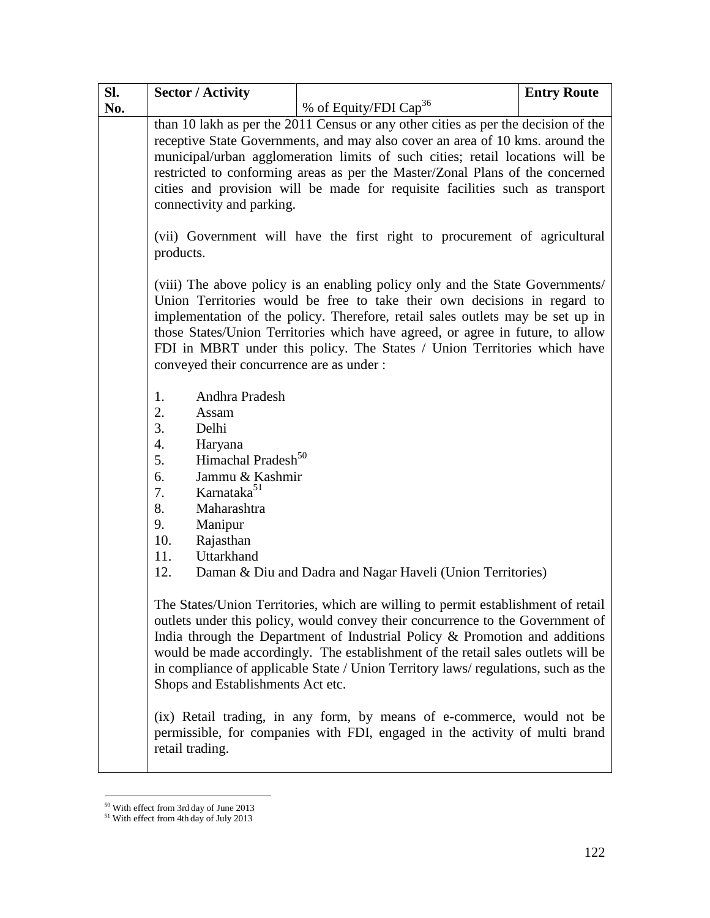| SI. | <b>Sector / Activity</b>                                                                                  |                                                                                                                                                                                                                                                                                                                                                                                                                              | <b>Entry Route</b> |
|-----|-----------------------------------------------------------------------------------------------------------|------------------------------------------------------------------------------------------------------------------------------------------------------------------------------------------------------------------------------------------------------------------------------------------------------------------------------------------------------------------------------------------------------------------------------|--------------------|
| No. |                                                                                                           | % of Equity/FDI Cap <sup>36</sup>                                                                                                                                                                                                                                                                                                                                                                                            |                    |
|     |                                                                                                           | than 10 lakh as per the 2011 Census or any other cities as per the decision of the                                                                                                                                                                                                                                                                                                                                           |                    |
|     |                                                                                                           | receptive State Governments, and may also cover an area of 10 kms. around the                                                                                                                                                                                                                                                                                                                                                |                    |
|     | municipal/urban agglomeration limits of such cities; retail locations will be                             |                                                                                                                                                                                                                                                                                                                                                                                                                              |                    |
|     | restricted to conforming areas as per the Master/Zonal Plans of the concerned                             |                                                                                                                                                                                                                                                                                                                                                                                                                              |                    |
|     | cities and provision will be made for requisite facilities such as transport<br>connectivity and parking. |                                                                                                                                                                                                                                                                                                                                                                                                                              |                    |
|     | (vii) Government will have the first right to procurement of agricultural<br>products.                    |                                                                                                                                                                                                                                                                                                                                                                                                                              |                    |
|     | conveyed their concurrence are as under :                                                                 | (viii) The above policy is an enabling policy only and the State Governments/<br>Union Territories would be free to take their own decisions in regard to<br>implementation of the policy. Therefore, retail sales outlets may be set up in<br>those States/Union Territories which have agreed, or agree in future, to allow<br>FDI in MBRT under this policy. The States / Union Territories which have                    |                    |
|     | Andhra Pradesh<br>1.                                                                                      |                                                                                                                                                                                                                                                                                                                                                                                                                              |                    |
|     | 2.<br>Assam                                                                                               |                                                                                                                                                                                                                                                                                                                                                                                                                              |                    |
|     | 3.<br>Delhi                                                                                               |                                                                                                                                                                                                                                                                                                                                                                                                                              |                    |
|     | 4.<br>Haryana                                                                                             |                                                                                                                                                                                                                                                                                                                                                                                                                              |                    |
|     | Himachal Pradesh <sup>50</sup><br>5.                                                                      |                                                                                                                                                                                                                                                                                                                                                                                                                              |                    |
|     | 6.<br>Jammu & Kashmir                                                                                     |                                                                                                                                                                                                                                                                                                                                                                                                                              |                    |
|     | Karnataka <sup>51</sup><br>7.                                                                             |                                                                                                                                                                                                                                                                                                                                                                                                                              |                    |
|     | 8.<br>Maharashtra                                                                                         |                                                                                                                                                                                                                                                                                                                                                                                                                              |                    |
|     | Manipur<br>9.                                                                                             |                                                                                                                                                                                                                                                                                                                                                                                                                              |                    |
|     | 10.<br>Rajasthan                                                                                          |                                                                                                                                                                                                                                                                                                                                                                                                                              |                    |
|     | 11.<br>Uttarkhand                                                                                         |                                                                                                                                                                                                                                                                                                                                                                                                                              |                    |
|     | 12.                                                                                                       | Daman & Diu and Dadra and Nagar Haveli (Union Territories)                                                                                                                                                                                                                                                                                                                                                                   |                    |
|     | Shops and Establishments Act etc.                                                                         | The States/Union Territories, which are willing to permit establishment of retail<br>outlets under this policy, would convey their concurrence to the Government of<br>India through the Department of Industrial Policy & Promotion and additions<br>would be made accordingly. The establishment of the retail sales outlets will be<br>in compliance of applicable State / Union Territory laws/ regulations, such as the |                    |
|     | retail trading.                                                                                           | (ix) Retail trading, in any form, by means of e-commerce, would not be<br>permissible, for companies with FDI, engaged in the activity of multi brand                                                                                                                                                                                                                                                                        |                    |

 $\overline{a}$ <sup>50</sup> With effect from 3rd day of June 2013

<sup>&</sup>lt;sup>51</sup> With effect from 4th day of July 2013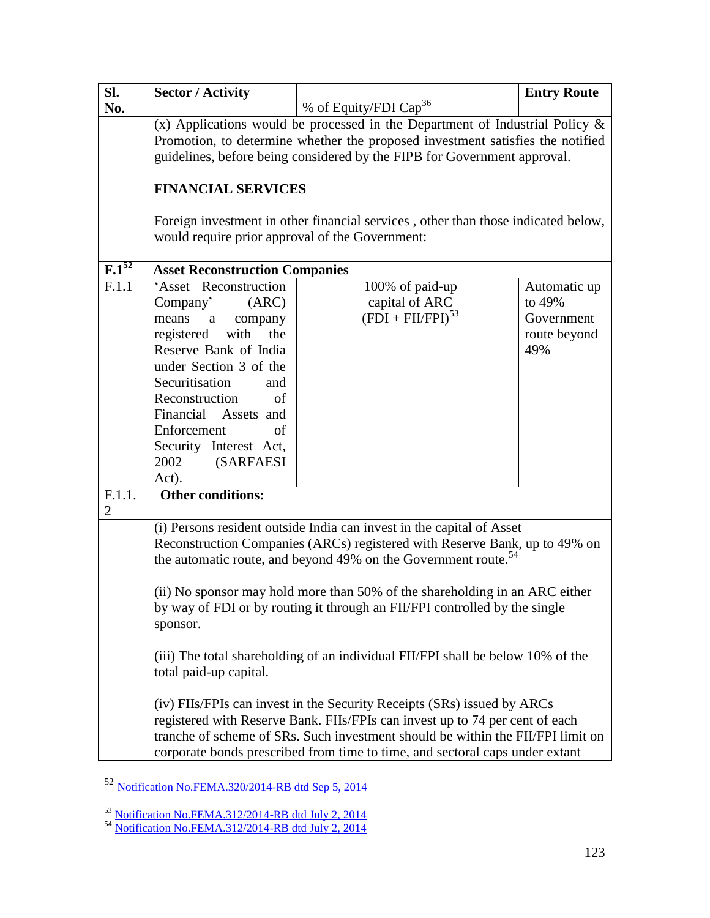| <b>Sector / Activity</b>                                                       |                                   | <b>Entry Route</b>                                                                                                                                                                                                                                                                                                                                                                                                                                                                                                                                                                                                                                                                                                                                                                                                                                                                                                                                                                                                                                                                                                                                                                                         |
|--------------------------------------------------------------------------------|-----------------------------------|------------------------------------------------------------------------------------------------------------------------------------------------------------------------------------------------------------------------------------------------------------------------------------------------------------------------------------------------------------------------------------------------------------------------------------------------------------------------------------------------------------------------------------------------------------------------------------------------------------------------------------------------------------------------------------------------------------------------------------------------------------------------------------------------------------------------------------------------------------------------------------------------------------------------------------------------------------------------------------------------------------------------------------------------------------------------------------------------------------------------------------------------------------------------------------------------------------|
|                                                                                | % of Equity/FDI Cap <sup>36</sup> |                                                                                                                                                                                                                                                                                                                                                                                                                                                                                                                                                                                                                                                                                                                                                                                                                                                                                                                                                                                                                                                                                                                                                                                                            |
|                                                                                |                                   |                                                                                                                                                                                                                                                                                                                                                                                                                                                                                                                                                                                                                                                                                                                                                                                                                                                                                                                                                                                                                                                                                                                                                                                                            |
| Promotion, to determine whether the proposed investment satisfies the notified |                                   |                                                                                                                                                                                                                                                                                                                                                                                                                                                                                                                                                                                                                                                                                                                                                                                                                                                                                                                                                                                                                                                                                                                                                                                                            |
|                                                                                |                                   |                                                                                                                                                                                                                                                                                                                                                                                                                                                                                                                                                                                                                                                                                                                                                                                                                                                                                                                                                                                                                                                                                                                                                                                                            |
| <b>FINANCIAL SERVICES</b>                                                      |                                   |                                                                                                                                                                                                                                                                                                                                                                                                                                                                                                                                                                                                                                                                                                                                                                                                                                                                                                                                                                                                                                                                                                                                                                                                            |
|                                                                                |                                   |                                                                                                                                                                                                                                                                                                                                                                                                                                                                                                                                                                                                                                                                                                                                                                                                                                                                                                                                                                                                                                                                                                                                                                                                            |
|                                                                                |                                   |                                                                                                                                                                                                                                                                                                                                                                                                                                                                                                                                                                                                                                                                                                                                                                                                                                                                                                                                                                                                                                                                                                                                                                                                            |
|                                                                                |                                   |                                                                                                                                                                                                                                                                                                                                                                                                                                                                                                                                                                                                                                                                                                                                                                                                                                                                                                                                                                                                                                                                                                                                                                                                            |
|                                                                                |                                   |                                                                                                                                                                                                                                                                                                                                                                                                                                                                                                                                                                                                                                                                                                                                                                                                                                                                                                                                                                                                                                                                                                                                                                                                            |
| 'Asset Reconstruction                                                          | 100% of paid-up                   | Automatic up                                                                                                                                                                                                                                                                                                                                                                                                                                                                                                                                                                                                                                                                                                                                                                                                                                                                                                                                                                                                                                                                                                                                                                                               |
| Company'<br>(ARC)                                                              |                                   | to 49%                                                                                                                                                                                                                                                                                                                                                                                                                                                                                                                                                                                                                                                                                                                                                                                                                                                                                                                                                                                                                                                                                                                                                                                                     |
| means<br>company<br>a                                                          |                                   | Government                                                                                                                                                                                                                                                                                                                                                                                                                                                                                                                                                                                                                                                                                                                                                                                                                                                                                                                                                                                                                                                                                                                                                                                                 |
| registered<br>with<br>the                                                      |                                   | route beyond                                                                                                                                                                                                                                                                                                                                                                                                                                                                                                                                                                                                                                                                                                                                                                                                                                                                                                                                                                                                                                                                                                                                                                                               |
| Reserve Bank of India                                                          |                                   | 49%                                                                                                                                                                                                                                                                                                                                                                                                                                                                                                                                                                                                                                                                                                                                                                                                                                                                                                                                                                                                                                                                                                                                                                                                        |
| under Section 3 of the                                                         |                                   |                                                                                                                                                                                                                                                                                                                                                                                                                                                                                                                                                                                                                                                                                                                                                                                                                                                                                                                                                                                                                                                                                                                                                                                                            |
| Securitisation<br>and                                                          |                                   |                                                                                                                                                                                                                                                                                                                                                                                                                                                                                                                                                                                                                                                                                                                                                                                                                                                                                                                                                                                                                                                                                                                                                                                                            |
| Reconstruction<br>of                                                           |                                   |                                                                                                                                                                                                                                                                                                                                                                                                                                                                                                                                                                                                                                                                                                                                                                                                                                                                                                                                                                                                                                                                                                                                                                                                            |
| Financial Assets and                                                           |                                   |                                                                                                                                                                                                                                                                                                                                                                                                                                                                                                                                                                                                                                                                                                                                                                                                                                                                                                                                                                                                                                                                                                                                                                                                            |
| Enforcement<br>of                                                              |                                   |                                                                                                                                                                                                                                                                                                                                                                                                                                                                                                                                                                                                                                                                                                                                                                                                                                                                                                                                                                                                                                                                                                                                                                                                            |
| Security Interest Act,                                                         |                                   |                                                                                                                                                                                                                                                                                                                                                                                                                                                                                                                                                                                                                                                                                                                                                                                                                                                                                                                                                                                                                                                                                                                                                                                                            |
| 2002<br><b>(SARFAESI)</b>                                                      |                                   |                                                                                                                                                                                                                                                                                                                                                                                                                                                                                                                                                                                                                                                                                                                                                                                                                                                                                                                                                                                                                                                                                                                                                                                                            |
| Act).                                                                          |                                   |                                                                                                                                                                                                                                                                                                                                                                                                                                                                                                                                                                                                                                                                                                                                                                                                                                                                                                                                                                                                                                                                                                                                                                                                            |
| <b>Other conditions:</b>                                                       |                                   |                                                                                                                                                                                                                                                                                                                                                                                                                                                                                                                                                                                                                                                                                                                                                                                                                                                                                                                                                                                                                                                                                                                                                                                                            |
|                                                                                |                                   |                                                                                                                                                                                                                                                                                                                                                                                                                                                                                                                                                                                                                                                                                                                                                                                                                                                                                                                                                                                                                                                                                                                                                                                                            |
|                                                                                |                                   |                                                                                                                                                                                                                                                                                                                                                                                                                                                                                                                                                                                                                                                                                                                                                                                                                                                                                                                                                                                                                                                                                                                                                                                                            |
|                                                                                |                                   |                                                                                                                                                                                                                                                                                                                                                                                                                                                                                                                                                                                                                                                                                                                                                                                                                                                                                                                                                                                                                                                                                                                                                                                                            |
|                                                                                |                                   |                                                                                                                                                                                                                                                                                                                                                                                                                                                                                                                                                                                                                                                                                                                                                                                                                                                                                                                                                                                                                                                                                                                                                                                                            |
|                                                                                |                                   |                                                                                                                                                                                                                                                                                                                                                                                                                                                                                                                                                                                                                                                                                                                                                                                                                                                                                                                                                                                                                                                                                                                                                                                                            |
|                                                                                |                                   |                                                                                                                                                                                                                                                                                                                                                                                                                                                                                                                                                                                                                                                                                                                                                                                                                                                                                                                                                                                                                                                                                                                                                                                                            |
| sponsor.                                                                       |                                   |                                                                                                                                                                                                                                                                                                                                                                                                                                                                                                                                                                                                                                                                                                                                                                                                                                                                                                                                                                                                                                                                                                                                                                                                            |
|                                                                                |                                   |                                                                                                                                                                                                                                                                                                                                                                                                                                                                                                                                                                                                                                                                                                                                                                                                                                                                                                                                                                                                                                                                                                                                                                                                            |
| total paid-up capital.                                                         |                                   |                                                                                                                                                                                                                                                                                                                                                                                                                                                                                                                                                                                                                                                                                                                                                                                                                                                                                                                                                                                                                                                                                                                                                                                                            |
|                                                                                |                                   |                                                                                                                                                                                                                                                                                                                                                                                                                                                                                                                                                                                                                                                                                                                                                                                                                                                                                                                                                                                                                                                                                                                                                                                                            |
|                                                                                |                                   |                                                                                                                                                                                                                                                                                                                                                                                                                                                                                                                                                                                                                                                                                                                                                                                                                                                                                                                                                                                                                                                                                                                                                                                                            |
|                                                                                |                                   |                                                                                                                                                                                                                                                                                                                                                                                                                                                                                                                                                                                                                                                                                                                                                                                                                                                                                                                                                                                                                                                                                                                                                                                                            |
|                                                                                |                                   |                                                                                                                                                                                                                                                                                                                                                                                                                                                                                                                                                                                                                                                                                                                                                                                                                                                                                                                                                                                                                                                                                                                                                                                                            |
|                                                                                |                                   | (x) Applications would be processed in the Department of Industrial Policy $\&$<br>guidelines, before being considered by the FIPB for Government approval.<br>Foreign investment in other financial services, other than those indicated below,<br>would require prior approval of the Government:<br><b>Asset Reconstruction Companies</b><br>capital of ARC<br>$(FDI + FI/FPI)^{53}$<br>(i) Persons resident outside India can invest in the capital of Asset<br>Reconstruction Companies (ARCs) registered with Reserve Bank, up to 49% on<br>the automatic route, and beyond 49% on the Government route. <sup>54</sup><br>(ii) No sponsor may hold more than 50% of the shareholding in an ARC either<br>by way of FDI or by routing it through an FII/FPI controlled by the single<br>(iii) The total shareholding of an individual FII/FPI shall be below 10% of the<br>(iv) FIIs/FPIs can invest in the Security Receipts (SRs) issued by ARCs<br>registered with Reserve Bank. FIIs/FPIs can invest up to 74 per cent of each<br>tranche of scheme of SRs. Such investment should be within the FII/FPI limit on<br>corporate bonds prescribed from time to time, and sectoral caps under extant |

<sup>52</sup> [Notification No.FEMA.320/2014-RB dtd Sep 5, 2014](http://rbi.org.in/Scripts/NotificationUser.aspx?Id=9379&Mode=0)

<sup>&</sup>lt;sup>53</sup> [Notification No.FEMA.312/2014-RB dtd July 2, 2014](http://rbi.org.in/Scripts/NotificationUser.aspx?Id=9378&Mode=0)

<sup>&</sup>lt;sup>54</sup> [Notification No.FEMA.312/2014-RB dtd July 2, 2014](http://rbi.org.in/Scripts/NotificationUser.aspx?Id=9378&Mode=0)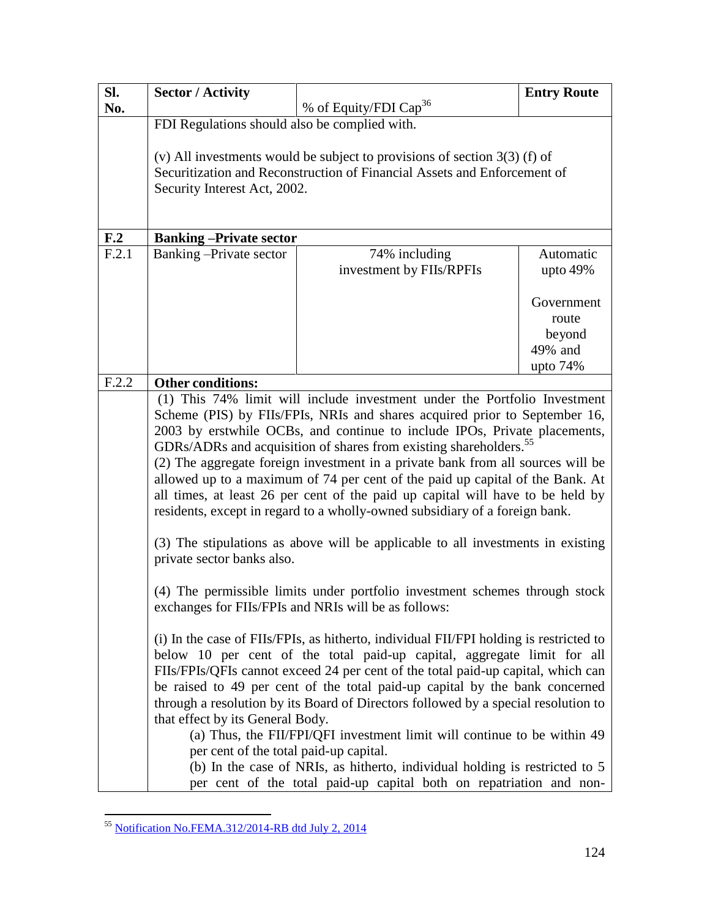| SI.              | <b>Sector / Activity</b>                                                                                                                                                                                                                                                                                                                                                                                                                                                                                                                                                                                                                                            |                                                                                 | <b>Entry Route</b> |
|------------------|---------------------------------------------------------------------------------------------------------------------------------------------------------------------------------------------------------------------------------------------------------------------------------------------------------------------------------------------------------------------------------------------------------------------------------------------------------------------------------------------------------------------------------------------------------------------------------------------------------------------------------------------------------------------|---------------------------------------------------------------------------------|--------------------|
| No.              |                                                                                                                                                                                                                                                                                                                                                                                                                                                                                                                                                                                                                                                                     | % of Equity/FDI Cap <sup>36</sup>                                               |                    |
|                  | FDI Regulations should also be complied with.                                                                                                                                                                                                                                                                                                                                                                                                                                                                                                                                                                                                                       |                                                                                 |                    |
|                  |                                                                                                                                                                                                                                                                                                                                                                                                                                                                                                                                                                                                                                                                     |                                                                                 |                    |
|                  | (v) All investments would be subject to provisions of section $3(3)$ (f) of                                                                                                                                                                                                                                                                                                                                                                                                                                                                                                                                                                                         |                                                                                 |                    |
|                  |                                                                                                                                                                                                                                                                                                                                                                                                                                                                                                                                                                                                                                                                     | Securitization and Reconstruction of Financial Assets and Enforcement of        |                    |
|                  | Security Interest Act, 2002.                                                                                                                                                                                                                                                                                                                                                                                                                                                                                                                                                                                                                                        |                                                                                 |                    |
|                  |                                                                                                                                                                                                                                                                                                                                                                                                                                                                                                                                                                                                                                                                     |                                                                                 |                    |
|                  |                                                                                                                                                                                                                                                                                                                                                                                                                                                                                                                                                                                                                                                                     |                                                                                 |                    |
| F <sub>1</sub> 2 | <b>Banking-Private sector</b>                                                                                                                                                                                                                                                                                                                                                                                                                                                                                                                                                                                                                                       |                                                                                 |                    |
| F.2.1            | Banking-Private sector                                                                                                                                                                                                                                                                                                                                                                                                                                                                                                                                                                                                                                              | 74% including                                                                   | Automatic          |
|                  |                                                                                                                                                                                                                                                                                                                                                                                                                                                                                                                                                                                                                                                                     | investment by FIIs/RPFIs                                                        | upto $49%$         |
|                  |                                                                                                                                                                                                                                                                                                                                                                                                                                                                                                                                                                                                                                                                     |                                                                                 |                    |
|                  |                                                                                                                                                                                                                                                                                                                                                                                                                                                                                                                                                                                                                                                                     |                                                                                 | Government         |
|                  |                                                                                                                                                                                                                                                                                                                                                                                                                                                                                                                                                                                                                                                                     |                                                                                 | route              |
|                  |                                                                                                                                                                                                                                                                                                                                                                                                                                                                                                                                                                                                                                                                     |                                                                                 | beyond             |
|                  |                                                                                                                                                                                                                                                                                                                                                                                                                                                                                                                                                                                                                                                                     |                                                                                 | 49% and            |
|                  |                                                                                                                                                                                                                                                                                                                                                                                                                                                                                                                                                                                                                                                                     |                                                                                 | upto $74%$         |
| F.2.2            | <b>Other conditions:</b>                                                                                                                                                                                                                                                                                                                                                                                                                                                                                                                                                                                                                                            |                                                                                 |                    |
|                  |                                                                                                                                                                                                                                                                                                                                                                                                                                                                                                                                                                                                                                                                     | (1) This 74% limit will include investment under the Portfolio Investment       |                    |
|                  |                                                                                                                                                                                                                                                                                                                                                                                                                                                                                                                                                                                                                                                                     | Scheme (PIS) by FIIs/FPIs, NRIs and shares acquired prior to September 16,      |                    |
|                  | 2003 by erstwhile OCBs, and continue to include IPOs, Private placements,<br>GDRs/ADRs and acquisition of shares from existing shareholders. <sup>55</sup>                                                                                                                                                                                                                                                                                                                                                                                                                                                                                                          |                                                                                 |                    |
|                  | (2) The aggregate foreign investment in a private bank from all sources will be                                                                                                                                                                                                                                                                                                                                                                                                                                                                                                                                                                                     |                                                                                 |                    |
|                  | allowed up to a maximum of 74 per cent of the paid up capital of the Bank. At                                                                                                                                                                                                                                                                                                                                                                                                                                                                                                                                                                                       |                                                                                 |                    |
|                  | all times, at least 26 per cent of the paid up capital will have to be held by                                                                                                                                                                                                                                                                                                                                                                                                                                                                                                                                                                                      |                                                                                 |                    |
|                  | residents, except in regard to a wholly-owned subsidiary of a foreign bank.                                                                                                                                                                                                                                                                                                                                                                                                                                                                                                                                                                                         |                                                                                 |                    |
|                  |                                                                                                                                                                                                                                                                                                                                                                                                                                                                                                                                                                                                                                                                     |                                                                                 |                    |
|                  |                                                                                                                                                                                                                                                                                                                                                                                                                                                                                                                                                                                                                                                                     | (3) The stipulations as above will be applicable to all investments in existing |                    |
|                  | private sector banks also.                                                                                                                                                                                                                                                                                                                                                                                                                                                                                                                                                                                                                                          |                                                                                 |                    |
|                  |                                                                                                                                                                                                                                                                                                                                                                                                                                                                                                                                                                                                                                                                     |                                                                                 |                    |
|                  |                                                                                                                                                                                                                                                                                                                                                                                                                                                                                                                                                                                                                                                                     | (4) The permissible limits under portfolio investment schemes through stock     |                    |
|                  |                                                                                                                                                                                                                                                                                                                                                                                                                                                                                                                                                                                                                                                                     | exchanges for FIIs/FPIs and NRIs will be as follows:                            |                    |
|                  |                                                                                                                                                                                                                                                                                                                                                                                                                                                                                                                                                                                                                                                                     |                                                                                 |                    |
|                  |                                                                                                                                                                                                                                                                                                                                                                                                                                                                                                                                                                                                                                                                     |                                                                                 |                    |
|                  |                                                                                                                                                                                                                                                                                                                                                                                                                                                                                                                                                                                                                                                                     |                                                                                 |                    |
|                  |                                                                                                                                                                                                                                                                                                                                                                                                                                                                                                                                                                                                                                                                     |                                                                                 |                    |
|                  |                                                                                                                                                                                                                                                                                                                                                                                                                                                                                                                                                                                                                                                                     |                                                                                 |                    |
|                  |                                                                                                                                                                                                                                                                                                                                                                                                                                                                                                                                                                                                                                                                     |                                                                                 |                    |
|                  |                                                                                                                                                                                                                                                                                                                                                                                                                                                                                                                                                                                                                                                                     |                                                                                 |                    |
|                  |                                                                                                                                                                                                                                                                                                                                                                                                                                                                                                                                                                                                                                                                     |                                                                                 |                    |
|                  |                                                                                                                                                                                                                                                                                                                                                                                                                                                                                                                                                                                                                                                                     |                                                                                 |                    |
|                  |                                                                                                                                                                                                                                                                                                                                                                                                                                                                                                                                                                                                                                                                     | per cent of the total paid-up capital both on repatriation and non-             |                    |
|                  | (i) In the case of FIIs/FPIs, as hitherto, individual FII/FPI holding is restricted to<br>below 10 per cent of the total paid-up capital, aggregate limit for all<br>FIIs/FPIs/QFIs cannot exceed 24 per cent of the total paid-up capital, which can<br>be raised to 49 per cent of the total paid-up capital by the bank concerned<br>through a resolution by its Board of Directors followed by a special resolution to<br>that effect by its General Body.<br>(a) Thus, the FII/FPI/QFI investment limit will continue to be within 49<br>per cent of the total paid-up capital.<br>(b) In the case of NRIs, as hitherto, individual holding is restricted to 5 |                                                                                 |                    |

 $\overline{a}$ <sup>55</sup> [Notification No.FEMA.312/2014-RB dtd July 2, 2014](http://rbi.org.in/Scripts/NotificationUser.aspx?Id=9378&Mode=0)

 $\overline{\phantom{a}}$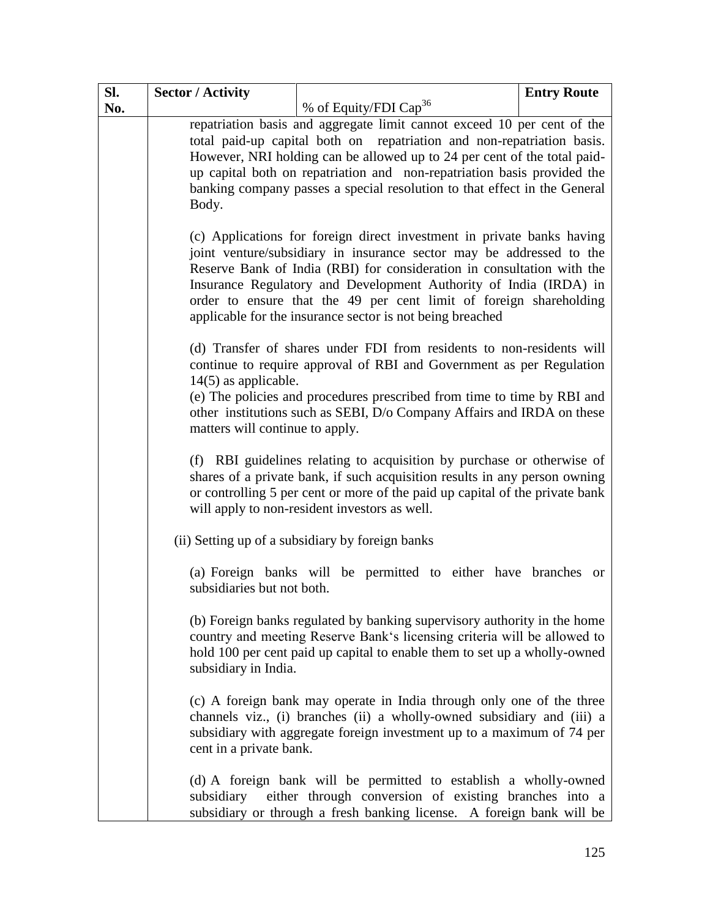| SI. | <b>Sector / Activity</b>        |                                                                                                                                                                                                                                                                                                                                                                                                                                  | <b>Entry Route</b> |
|-----|---------------------------------|----------------------------------------------------------------------------------------------------------------------------------------------------------------------------------------------------------------------------------------------------------------------------------------------------------------------------------------------------------------------------------------------------------------------------------|--------------------|
| No. |                                 | % of Equity/FDI Cap <sup>36</sup>                                                                                                                                                                                                                                                                                                                                                                                                |                    |
|     |                                 | repatriation basis and aggregate limit cannot exceed 10 per cent of the                                                                                                                                                                                                                                                                                                                                                          |                    |
|     |                                 | total paid-up capital both on repatriation and non-repatriation basis.                                                                                                                                                                                                                                                                                                                                                           |                    |
|     |                                 | However, NRI holding can be allowed up to 24 per cent of the total paid-                                                                                                                                                                                                                                                                                                                                                         |                    |
|     |                                 | up capital both on repatriation and non-repatriation basis provided the                                                                                                                                                                                                                                                                                                                                                          |                    |
|     |                                 | banking company passes a special resolution to that effect in the General                                                                                                                                                                                                                                                                                                                                                        |                    |
|     | Body.                           |                                                                                                                                                                                                                                                                                                                                                                                                                                  |                    |
|     |                                 | (c) Applications for foreign direct investment in private banks having<br>joint venture/subsidiary in insurance sector may be addressed to the<br>Reserve Bank of India (RBI) for consideration in consultation with the<br>Insurance Regulatory and Development Authority of India (IRDA) in<br>order to ensure that the 49 per cent limit of foreign shareholding<br>applicable for the insurance sector is not being breached |                    |
|     |                                 | (d) Transfer of shares under FDI from residents to non-residents will<br>continue to require approval of RBI and Government as per Regulation                                                                                                                                                                                                                                                                                    |                    |
|     | $14(5)$ as applicable.          | (e) The policies and procedures prescribed from time to time by RBI and                                                                                                                                                                                                                                                                                                                                                          |                    |
|     | matters will continue to apply. | other institutions such as SEBI, D/o Company Affairs and IRDA on these                                                                                                                                                                                                                                                                                                                                                           |                    |
|     |                                 | (f) RBI guidelines relating to acquisition by purchase or otherwise of<br>shares of a private bank, if such acquisition results in any person owning<br>or controlling 5 per cent or more of the paid up capital of the private bank<br>will apply to non-resident investors as well.                                                                                                                                            |                    |
|     |                                 | (ii) Setting up of a subsidiary by foreign banks                                                                                                                                                                                                                                                                                                                                                                                 |                    |
|     | subsidiaries but not both.      | (a) Foreign banks will be permitted to either have branches or                                                                                                                                                                                                                                                                                                                                                                   |                    |
|     | subsidiary in India.            | (b) Foreign banks regulated by banking supervisory authority in the home<br>country and meeting Reserve Bank's licensing criteria will be allowed to<br>hold 100 per cent paid up capital to enable them to set up a wholly-owned                                                                                                                                                                                                |                    |
|     | cent in a private bank.         | (c) A foreign bank may operate in India through only one of the three<br>channels viz., (i) branches (ii) a wholly-owned subsidiary and (iii) a<br>subsidiary with aggregate foreign investment up to a maximum of 74 per                                                                                                                                                                                                        |                    |
|     |                                 | (d) A foreign bank will be permitted to establish a wholly-owned<br>subsidiary either through conversion of existing branches into a<br>subsidiary or through a fresh banking license. A foreign bank will be                                                                                                                                                                                                                    |                    |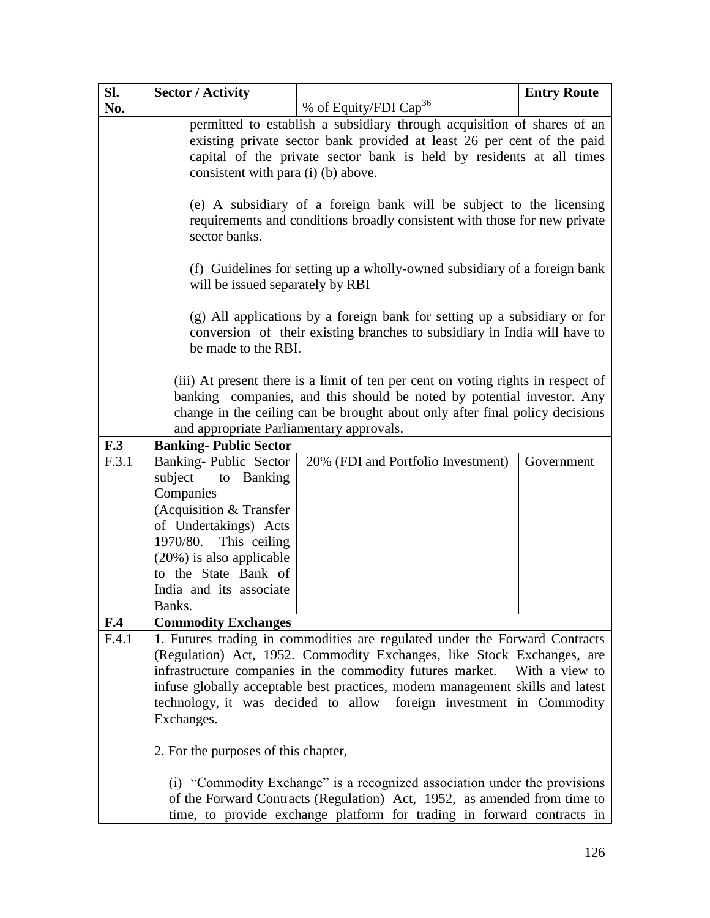| Sl.            | <b>Sector / Activity</b>                                             |                                                                                  | <b>Entry Route</b> |
|----------------|----------------------------------------------------------------------|----------------------------------------------------------------------------------|--------------------|
| No.            |                                                                      | % of Equity/FDI Cap <sup>36</sup>                                                |                    |
|                |                                                                      | permitted to establish a subsidiary through acquisition of shares of an          |                    |
|                |                                                                      | existing private sector bank provided at least 26 per cent of the paid           |                    |
|                | capital of the private sector bank is held by residents at all times |                                                                                  |                    |
|                | consistent with para (i) (b) above.                                  |                                                                                  |                    |
|                |                                                                      |                                                                                  |                    |
|                |                                                                      | (e) A subsidiary of a foreign bank will be subject to the licensing              |                    |
|                |                                                                      | requirements and conditions broadly consistent with those for new private        |                    |
|                | sector banks.                                                        |                                                                                  |                    |
|                |                                                                      |                                                                                  |                    |
|                |                                                                      | (f) Guidelines for setting up a wholly-owned subsidiary of a foreign bank        |                    |
|                | will be issued separately by RBI                                     |                                                                                  |                    |
|                |                                                                      |                                                                                  |                    |
|                |                                                                      | (g) All applications by a foreign bank for setting up a subsidiary or for        |                    |
|                | be made to the RBI.                                                  | conversion of their existing branches to subsidiary in India will have to        |                    |
|                |                                                                      |                                                                                  |                    |
|                |                                                                      | (iii) At present there is a limit of ten per cent on voting rights in respect of |                    |
|                |                                                                      | banking companies, and this should be noted by potential investor. Any           |                    |
|                |                                                                      | change in the ceiling can be brought about only after final policy decisions     |                    |
|                | and appropriate Parliamentary approvals.                             |                                                                                  |                    |
| F.3            | <b>Banking-Public Sector</b>                                         |                                                                                  |                    |
| F.3.1          | Banking-Public Sector                                                | 20% (FDI and Portfolio Investment)                                               | Government         |
|                | subject<br>to Banking                                                |                                                                                  |                    |
|                | Companies                                                            |                                                                                  |                    |
|                | (Acquisition & Transfer                                              |                                                                                  |                    |
|                | of Undertakings) Acts                                                |                                                                                  |                    |
|                | This ceiling<br>1970/80.                                             |                                                                                  |                    |
|                | $(20\%)$ is also applicable                                          |                                                                                  |                    |
|                | to the State Bank of                                                 |                                                                                  |                    |
|                | India and its associate                                              |                                                                                  |                    |
|                | Banks.                                                               |                                                                                  |                    |
| F <sub>4</sub> | <b>Commodity Exchanges</b>                                           |                                                                                  |                    |
| F.4.1          |                                                                      | 1. Futures trading in commodities are regulated under the Forward Contracts      |                    |
|                |                                                                      | (Regulation) Act, 1952. Commodity Exchanges, like Stock Exchanges, are           |                    |
|                |                                                                      | infrastructure companies in the commodity futures market.                        | With a view to     |
|                |                                                                      | infuse globally acceptable best practices, modern management skills and latest   |                    |
|                |                                                                      | technology, it was decided to allow foreign investment in Commodity              |                    |
|                | Exchanges.                                                           |                                                                                  |                    |
|                |                                                                      |                                                                                  |                    |
|                | 2. For the purposes of this chapter,                                 |                                                                                  |                    |
|                |                                                                      |                                                                                  |                    |
|                |                                                                      | (i) "Commodity Exchange" is a recognized association under the provisions        |                    |
|                |                                                                      | of the Forward Contracts (Regulation) Act, 1952, as amended from time to         |                    |
|                |                                                                      | time, to provide exchange platform for trading in forward contracts in           |                    |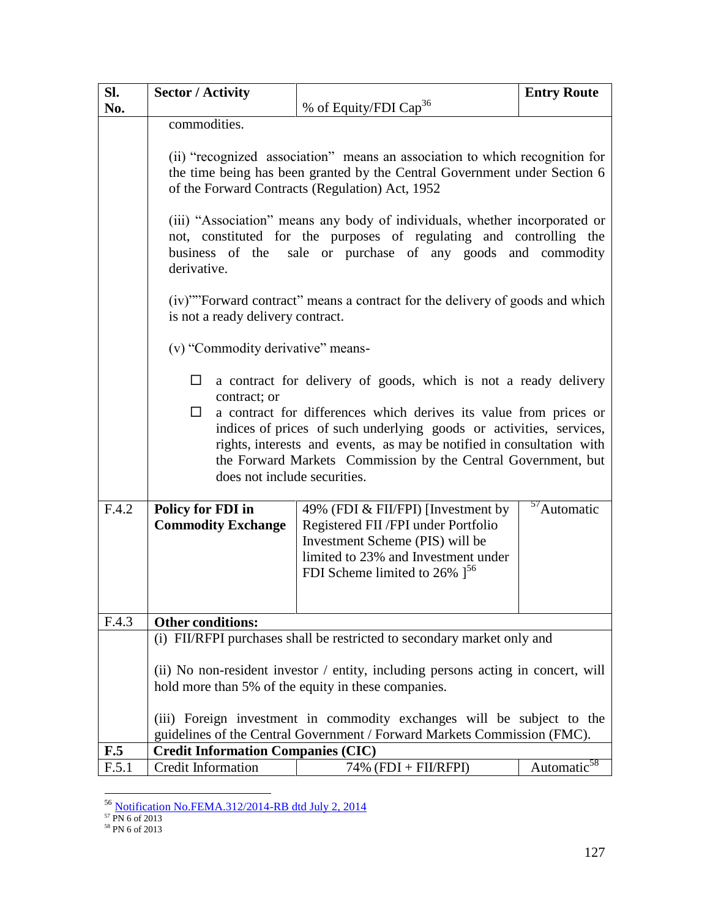| SI.   | <b>Sector / Activity</b>                                                                                                                                                                                                        |                                                                                                                                                                                                                                                                                                                                                                                                                                                                                                                                                     | <b>Entry Route</b>       |  |
|-------|---------------------------------------------------------------------------------------------------------------------------------------------------------------------------------------------------------------------------------|-----------------------------------------------------------------------------------------------------------------------------------------------------------------------------------------------------------------------------------------------------------------------------------------------------------------------------------------------------------------------------------------------------------------------------------------------------------------------------------------------------------------------------------------------------|--------------------------|--|
| No.   |                                                                                                                                                                                                                                 | % of Equity/FDI Cap <sup>36</sup>                                                                                                                                                                                                                                                                                                                                                                                                                                                                                                                   |                          |  |
|       | commodities.                                                                                                                                                                                                                    |                                                                                                                                                                                                                                                                                                                                                                                                                                                                                                                                                     |                          |  |
|       |                                                                                                                                                                                                                                 | (ii) "recognized association" means an association to which recognition for<br>the time being has been granted by the Central Government under Section 6<br>of the Forward Contracts (Regulation) Act, 1952                                                                                                                                                                                                                                                                                                                                         |                          |  |
|       | (iii) "Association" means any body of individuals, whether incorporated or<br>not, constituted for the purposes of regulating and controlling the<br>business of the sale or purchase of any goods and commodity<br>derivative. |                                                                                                                                                                                                                                                                                                                                                                                                                                                                                                                                                     |                          |  |
|       | is not a ready delivery contract.                                                                                                                                                                                               | (iv)""Forward contract" means a contract for the delivery of goods and which                                                                                                                                                                                                                                                                                                                                                                                                                                                                        |                          |  |
|       | (v) "Commodity derivative" means-                                                                                                                                                                                               |                                                                                                                                                                                                                                                                                                                                                                                                                                                                                                                                                     |                          |  |
| F.4.2 | ப<br>contract; or<br>does not include securities.<br><b>Policy for FDI in</b><br><b>Commodity Exchange</b>                                                                                                                      | a contract for delivery of goods, which is not a ready delivery<br>a contract for differences which derives its value from prices or<br>indices of prices of such underlying goods or activities, services,<br>rights, interests and events, as may be notified in consultation with<br>the Forward Markets Commission by the Central Government, but<br>49% (FDI & FII/FPI) [Investment by<br>Registered FII / FPI under Portfolio<br>Investment Scheme (PIS) will be<br>limited to 23% and Investment under<br>FDI Scheme limited to 26% $]^{56}$ | $\frac{37}{2}$ Automatic |  |
|       |                                                                                                                                                                                                                                 |                                                                                                                                                                                                                                                                                                                                                                                                                                                                                                                                                     |                          |  |
| F.4.3 | <b>Other conditions:</b>                                                                                                                                                                                                        |                                                                                                                                                                                                                                                                                                                                                                                                                                                                                                                                                     |                          |  |
|       |                                                                                                                                                                                                                                 | (i) FII/RFPI purchases shall be restricted to secondary market only and                                                                                                                                                                                                                                                                                                                                                                                                                                                                             |                          |  |
|       |                                                                                                                                                                                                                                 | (ii) No non-resident investor / entity, including persons acting in concert, will<br>hold more than 5% of the equity in these companies.                                                                                                                                                                                                                                                                                                                                                                                                            |                          |  |
|       |                                                                                                                                                                                                                                 | (iii) Foreign investment in commodity exchanges will be subject to the                                                                                                                                                                                                                                                                                                                                                                                                                                                                              |                          |  |
|       |                                                                                                                                                                                                                                 | guidelines of the Central Government / Forward Markets Commission (FMC).                                                                                                                                                                                                                                                                                                                                                                                                                                                                            |                          |  |
| F.5   | <b>Credit Information Companies (CIC)</b>                                                                                                                                                                                       |                                                                                                                                                                                                                                                                                                                                                                                                                                                                                                                                                     |                          |  |
| F.5.1 | Credit Information                                                                                                                                                                                                              | $74\%$ (FDI + FII/RFPI)                                                                                                                                                                                                                                                                                                                                                                                                                                                                                                                             | Automatic <sup>58</sup>  |  |

 $\overline{a}$ <sup>56</sup> [Notification No.FEMA.312/2014-RB dtd July 2, 2014](http://rbi.org.in/Scripts/NotificationUser.aspx?Id=9378&Mode=0)

<sup>57</sup> PN 6 of 2013

<sup>58</sup> PN 6 of 2013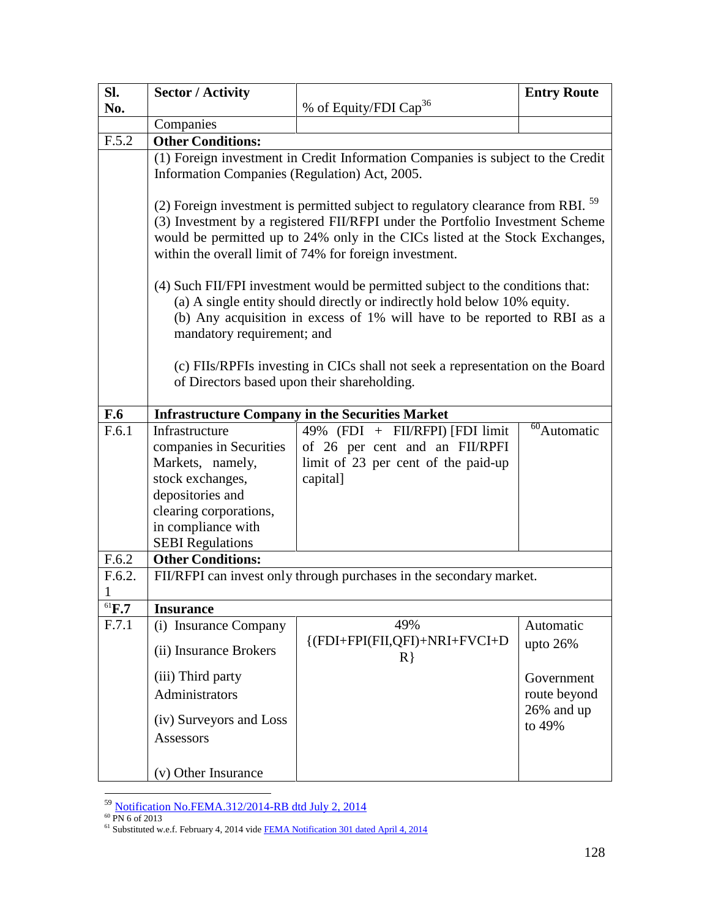| SI.               | <b>Sector / Activity</b>                                                                    |                                                                                                                                                      | <b>Entry Route</b>         |  |
|-------------------|---------------------------------------------------------------------------------------------|------------------------------------------------------------------------------------------------------------------------------------------------------|----------------------------|--|
| No.               |                                                                                             | % of Equity/FDI Cap <sup>36</sup>                                                                                                                    |                            |  |
|                   | Companies                                                                                   |                                                                                                                                                      |                            |  |
| F.5.2             | <b>Other Conditions:</b>                                                                    |                                                                                                                                                      |                            |  |
|                   |                                                                                             | (1) Foreign investment in Credit Information Companies is subject to the Credit                                                                      |                            |  |
|                   | Information Companies (Regulation) Act, 2005.                                               |                                                                                                                                                      |                            |  |
|                   |                                                                                             |                                                                                                                                                      |                            |  |
|                   | (2) Foreign investment is permitted subject to regulatory clearance from RBI. <sup>59</sup> |                                                                                                                                                      |                            |  |
|                   | (3) Investment by a registered FII/RFPI under the Portfolio Investment Scheme               |                                                                                                                                                      |                            |  |
|                   | would be permitted up to 24% only in the CICs listed at the Stock Exchanges,                |                                                                                                                                                      |                            |  |
|                   | within the overall limit of 74% for foreign investment.                                     |                                                                                                                                                      |                            |  |
|                   |                                                                                             |                                                                                                                                                      |                            |  |
|                   |                                                                                             | (4) Such FII/FPI investment would be permitted subject to the conditions that:                                                                       |                            |  |
|                   |                                                                                             | (a) A single entity should directly or indirectly hold below 10% equity.<br>(b) Any acquisition in excess of 1% will have to be reported to RBI as a |                            |  |
|                   | mandatory requirement; and                                                                  |                                                                                                                                                      |                            |  |
|                   |                                                                                             |                                                                                                                                                      |                            |  |
|                   |                                                                                             | (c) FIIs/RPFIs investing in CICs shall not seek a representation on the Board                                                                        |                            |  |
|                   | of Directors based upon their shareholding.                                                 |                                                                                                                                                      |                            |  |
|                   |                                                                                             |                                                                                                                                                      |                            |  |
| <b>F.6</b>        |                                                                                             | <b>Infrastructure Company in the Securities Market</b>                                                                                               |                            |  |
| F.6.1             | Infrastructure                                                                              | 49% (FDI + FII/RFPI) [FDI limit                                                                                                                      | $60$ Automatic             |  |
|                   | companies in Securities                                                                     | of 26 per cent and an FII/RPFI                                                                                                                       |                            |  |
|                   | Markets, namely,                                                                            | limit of 23 per cent of the paid-up                                                                                                                  |                            |  |
|                   | stock exchanges,                                                                            | capital]                                                                                                                                             |                            |  |
|                   | depositories and                                                                            |                                                                                                                                                      |                            |  |
|                   | clearing corporations,                                                                      |                                                                                                                                                      |                            |  |
|                   | in compliance with                                                                          |                                                                                                                                                      |                            |  |
|                   | <b>SEBI</b> Regulations                                                                     |                                                                                                                                                      |                            |  |
| F.6.2             | <b>Other Conditions:</b>                                                                    |                                                                                                                                                      |                            |  |
| F.6.2.            |                                                                                             | FII/RFPI can invest only through purchases in the secondary market.                                                                                  |                            |  |
| 1<br>${}^{61}F.7$ | <b>Insurance</b>                                                                            |                                                                                                                                                      |                            |  |
| F.7.1             | (i) Insurance Company                                                                       | 49%                                                                                                                                                  | Automatic                  |  |
|                   |                                                                                             | {(FDI+FPI(FII,QFI)+NRI+FVCI+D                                                                                                                        |                            |  |
|                   | (ii) Insurance Brokers                                                                      | R                                                                                                                                                    | upto 26%                   |  |
|                   | (iii) Third party                                                                           |                                                                                                                                                      |                            |  |
|                   | Administrators                                                                              |                                                                                                                                                      | Government                 |  |
|                   |                                                                                             |                                                                                                                                                      | route beyond<br>26% and up |  |
|                   | (iv) Surveyors and Loss                                                                     |                                                                                                                                                      | to 49%                     |  |
|                   | Assessors                                                                                   |                                                                                                                                                      |                            |  |
|                   |                                                                                             |                                                                                                                                                      |                            |  |
|                   | (v) Other Insurance                                                                         |                                                                                                                                                      |                            |  |

<sup>59</sup> [Notification No.FEMA.312/2014-RB dtd July 2, 2014](http://rbi.org.in/Scripts/NotificationUser.aspx?Id=9378&Mode=0)

<sup>60</sup> PN 6 of 2013

<sup>&</sup>lt;sup>61</sup> Substituted w.e.f. February 4, 2014 vid[e FEMA Notification 301 dated April 4, 2014](http://rbi.org.in/scripts/NotificationUser.aspx?Id=8923&Mode=0)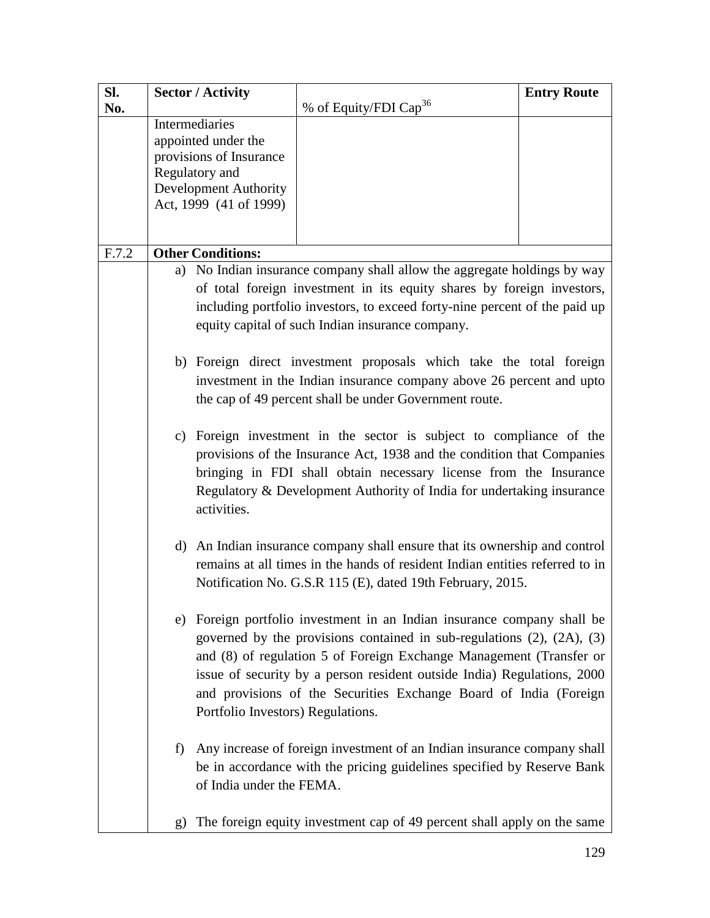| SI.   |    | <b>Sector / Activity</b>                                                                                                                                                                                                                                                                                   |                                                                                                                                                                                                                                                                                                                                                                                  | <b>Entry Route</b> |
|-------|----|------------------------------------------------------------------------------------------------------------------------------------------------------------------------------------------------------------------------------------------------------------------------------------------------------------|----------------------------------------------------------------------------------------------------------------------------------------------------------------------------------------------------------------------------------------------------------------------------------------------------------------------------------------------------------------------------------|--------------------|
| No.   |    |                                                                                                                                                                                                                                                                                                            | % of Equity/FDI Cap <sup>36</sup>                                                                                                                                                                                                                                                                                                                                                |                    |
|       |    | Intermediaries<br>appointed under the<br>provisions of Insurance<br>Regulatory and<br><b>Development Authority</b><br>Act, 1999 (41 of 1999)                                                                                                                                                               |                                                                                                                                                                                                                                                                                                                                                                                  |                    |
|       |    |                                                                                                                                                                                                                                                                                                            |                                                                                                                                                                                                                                                                                                                                                                                  |                    |
| F.7.2 |    | <b>Other Conditions:</b>                                                                                                                                                                                                                                                                                   |                                                                                                                                                                                                                                                                                                                                                                                  |                    |
|       | a) |                                                                                                                                                                                                                                                                                                            | No Indian insurance company shall allow the aggregate holdings by way<br>of total foreign investment in its equity shares by foreign investors,<br>including portfolio investors, to exceed forty-nine percent of the paid up<br>equity capital of such Indian insurance company.                                                                                                |                    |
|       |    | b) Foreign direct investment proposals which take the total foreign<br>investment in the Indian insurance company above 26 percent and upto<br>the cap of 49 percent shall be under Government route.                                                                                                      |                                                                                                                                                                                                                                                                                                                                                                                  |                    |
|       |    | c) Foreign investment in the sector is subject to compliance of the<br>provisions of the Insurance Act, 1938 and the condition that Companies<br>bringing in FDI shall obtain necessary license from the Insurance<br>Regulatory & Development Authority of India for undertaking insurance<br>activities. |                                                                                                                                                                                                                                                                                                                                                                                  |                    |
|       |    |                                                                                                                                                                                                                                                                                                            | d) An Indian insurance company shall ensure that its ownership and control<br>remains at all times in the hands of resident Indian entities referred to in<br>Notification No. G.S.R 115 (E), dated 19th February, 2015.                                                                                                                                                         |                    |
|       |    | Portfolio Investors) Regulations.                                                                                                                                                                                                                                                                          | e) Foreign portfolio investment in an Indian insurance company shall be<br>governed by the provisions contained in sub-regulations $(2)$ , $(2A)$ , $(3)$<br>and (8) of regulation 5 of Foreign Exchange Management (Transfer or<br>issue of security by a person resident outside India) Regulations, 2000<br>and provisions of the Securities Exchange Board of India (Foreign |                    |
|       | f) | of India under the FEMA.                                                                                                                                                                                                                                                                                   | Any increase of foreign investment of an Indian insurance company shall<br>be in accordance with the pricing guidelines specified by Reserve Bank                                                                                                                                                                                                                                |                    |
|       |    |                                                                                                                                                                                                                                                                                                            | g) The foreign equity investment cap of 49 percent shall apply on the same                                                                                                                                                                                                                                                                                                       |                    |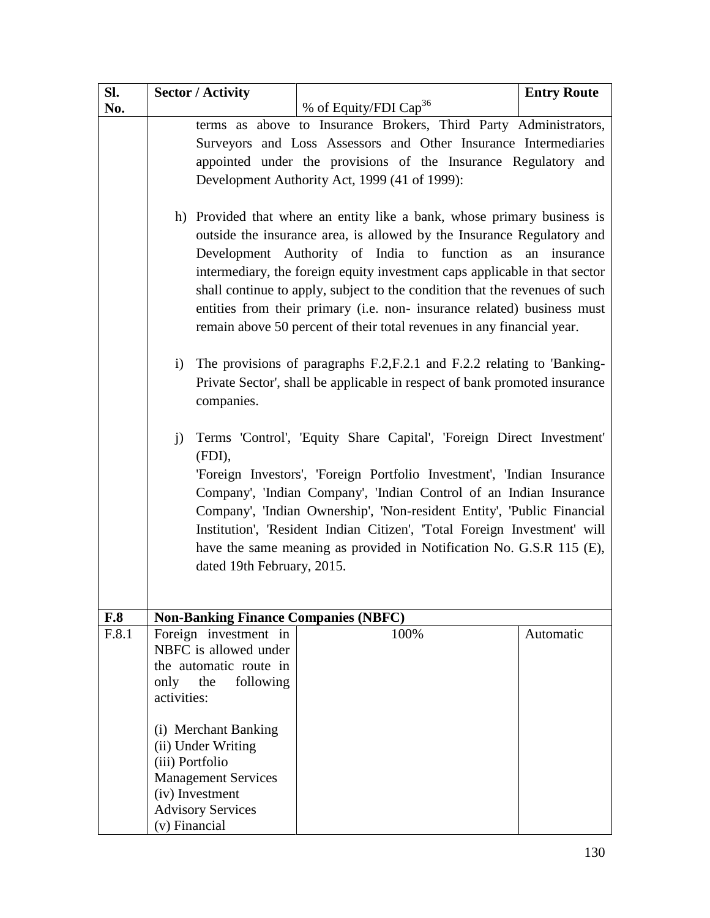| SI.   |                                                                             | <b>Sector / Activity</b>                                                 |                                                                            | <b>Entry Route</b> |  |
|-------|-----------------------------------------------------------------------------|--------------------------------------------------------------------------|----------------------------------------------------------------------------|--------------------|--|
| No.   |                                                                             |                                                                          | % of Equity/FDI Cap <sup>36</sup>                                          |                    |  |
|       |                                                                             |                                                                          | terms as above to Insurance Brokers, Third Party Administrators,           |                    |  |
|       |                                                                             | Surveyors and Loss Assessors and Other Insurance Intermediaries          |                                                                            |                    |  |
|       |                                                                             | appointed under the provisions of the Insurance Regulatory and           |                                                                            |                    |  |
|       |                                                                             | Development Authority Act, 1999 (41 of 1999):                            |                                                                            |                    |  |
|       |                                                                             |                                                                          |                                                                            |                    |  |
|       |                                                                             | h) Provided that where an entity like a bank, whose primary business is  |                                                                            |                    |  |
|       |                                                                             | outside the insurance area, is allowed by the Insurance Regulatory and   |                                                                            |                    |  |
|       |                                                                             | Development Authority of India to function as an insurance               |                                                                            |                    |  |
|       |                                                                             |                                                                          | intermediary, the foreign equity investment caps applicable in that sector |                    |  |
|       | shall continue to apply, subject to the condition that the revenues of such |                                                                          |                                                                            |                    |  |
|       | entities from their primary (i.e. non- insurance related) business must     |                                                                          |                                                                            |                    |  |
|       |                                                                             |                                                                          | remain above 50 percent of their total revenues in any financial year.     |                    |  |
|       |                                                                             |                                                                          |                                                                            |                    |  |
|       | i)                                                                          | The provisions of paragraphs F.2, F.2.1 and F.2.2 relating to 'Banking-  |                                                                            |                    |  |
|       | Private Sector', shall be applicable in respect of bank promoted insurance  |                                                                          |                                                                            |                    |  |
|       |                                                                             | companies.                                                               |                                                                            |                    |  |
|       |                                                                             |                                                                          |                                                                            |                    |  |
|       | $\ddot{1}$                                                                  | Terms 'Control', 'Equity Share Capital', 'Foreign Direct Investment'     |                                                                            |                    |  |
|       |                                                                             | (FDI),                                                                   |                                                                            |                    |  |
|       |                                                                             | 'Foreign Investors', 'Foreign Portfolio Investment', 'Indian Insurance   |                                                                            |                    |  |
|       |                                                                             | Company', 'Indian Company', 'Indian Control of an Indian Insurance       |                                                                            |                    |  |
|       |                                                                             | Company', 'Indian Ownership', 'Non-resident Entity', 'Public Financial   |                                                                            |                    |  |
|       |                                                                             | Institution', 'Resident Indian Citizen', 'Total Foreign Investment' will |                                                                            |                    |  |
|       |                                                                             | have the same meaning as provided in Notification No. G.S.R 115 (E),     |                                                                            |                    |  |
|       |                                                                             | dated 19th February, 2015.                                               |                                                                            |                    |  |
|       |                                                                             |                                                                          |                                                                            |                    |  |
| F.8   |                                                                             |                                                                          | <b>Non-Banking Finance Companies (NBFC)</b>                                |                    |  |
| F.8.1 |                                                                             | Foreign investment in                                                    | 100%                                                                       | Automatic          |  |
|       |                                                                             | NBFC is allowed under                                                    |                                                                            |                    |  |
|       |                                                                             | the automatic route in                                                   |                                                                            |                    |  |
|       |                                                                             | only the following                                                       |                                                                            |                    |  |
|       | activities:                                                                 |                                                                          |                                                                            |                    |  |
|       |                                                                             | (i) Merchant Banking                                                     |                                                                            |                    |  |
|       |                                                                             | (ii) Under Writing                                                       |                                                                            |                    |  |
|       | (iii) Portfolio                                                             |                                                                          |                                                                            |                    |  |
|       |                                                                             | <b>Management Services</b>                                               |                                                                            |                    |  |
|       |                                                                             | (iv) Investment                                                          |                                                                            |                    |  |
|       |                                                                             | <b>Advisory Services</b>                                                 |                                                                            |                    |  |
|       | (v) Financial                                                               |                                                                          |                                                                            |                    |  |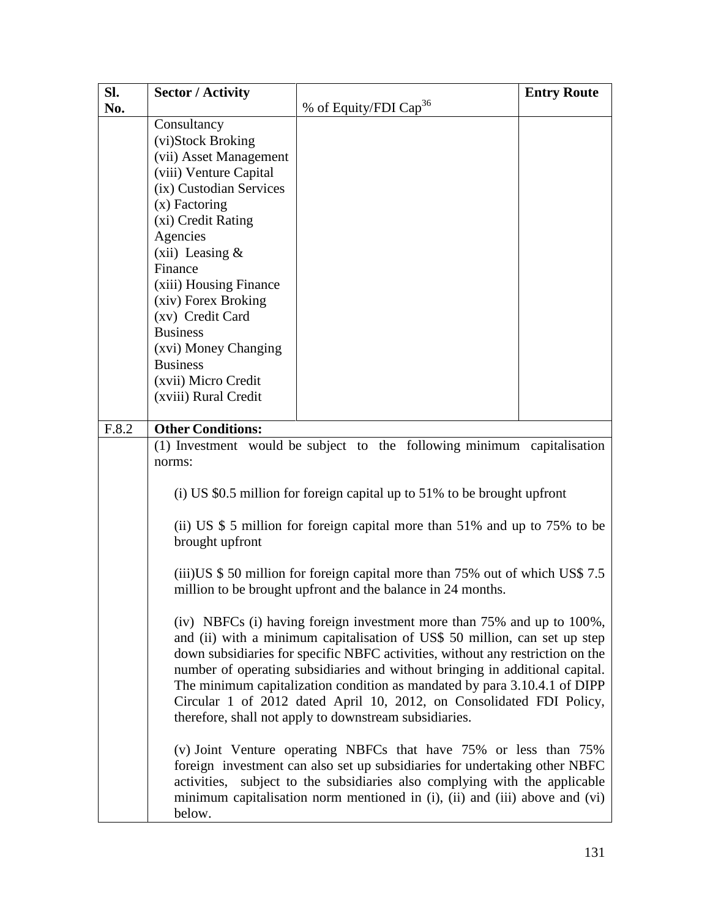| Sl.   | <b>Sector / Activity</b>                                                                                                                                                                                                                                                                                                                                                                                                                                                                                                              |                                                                                                                                                                                                                                                                                                 | <b>Entry Route</b> |
|-------|---------------------------------------------------------------------------------------------------------------------------------------------------------------------------------------------------------------------------------------------------------------------------------------------------------------------------------------------------------------------------------------------------------------------------------------------------------------------------------------------------------------------------------------|-------------------------------------------------------------------------------------------------------------------------------------------------------------------------------------------------------------------------------------------------------------------------------------------------|--------------------|
| No.   |                                                                                                                                                                                                                                                                                                                                                                                                                                                                                                                                       | % of Equity/FDI Cap <sup>36</sup>                                                                                                                                                                                                                                                               |                    |
|       | Consultancy                                                                                                                                                                                                                                                                                                                                                                                                                                                                                                                           |                                                                                                                                                                                                                                                                                                 |                    |
|       | (vi)Stock Broking                                                                                                                                                                                                                                                                                                                                                                                                                                                                                                                     |                                                                                                                                                                                                                                                                                                 |                    |
|       | (vii) Asset Management                                                                                                                                                                                                                                                                                                                                                                                                                                                                                                                |                                                                                                                                                                                                                                                                                                 |                    |
|       | (viii) Venture Capital                                                                                                                                                                                                                                                                                                                                                                                                                                                                                                                |                                                                                                                                                                                                                                                                                                 |                    |
|       | (ix) Custodian Services                                                                                                                                                                                                                                                                                                                                                                                                                                                                                                               |                                                                                                                                                                                                                                                                                                 |                    |
|       | $(x)$ Factoring                                                                                                                                                                                                                                                                                                                                                                                                                                                                                                                       |                                                                                                                                                                                                                                                                                                 |                    |
|       | (xi) Credit Rating                                                                                                                                                                                                                                                                                                                                                                                                                                                                                                                    |                                                                                                                                                                                                                                                                                                 |                    |
|       | Agencies                                                                                                                                                                                                                                                                                                                                                                                                                                                                                                                              |                                                                                                                                                                                                                                                                                                 |                    |
|       | $(xii)$ Leasing &                                                                                                                                                                                                                                                                                                                                                                                                                                                                                                                     |                                                                                                                                                                                                                                                                                                 |                    |
|       | Finance                                                                                                                                                                                                                                                                                                                                                                                                                                                                                                                               |                                                                                                                                                                                                                                                                                                 |                    |
|       | (xiii) Housing Finance                                                                                                                                                                                                                                                                                                                                                                                                                                                                                                                |                                                                                                                                                                                                                                                                                                 |                    |
|       | (xiv) Forex Broking                                                                                                                                                                                                                                                                                                                                                                                                                                                                                                                   |                                                                                                                                                                                                                                                                                                 |                    |
|       | (xv) Credit Card                                                                                                                                                                                                                                                                                                                                                                                                                                                                                                                      |                                                                                                                                                                                                                                                                                                 |                    |
|       | <b>Business</b>                                                                                                                                                                                                                                                                                                                                                                                                                                                                                                                       |                                                                                                                                                                                                                                                                                                 |                    |
|       | (xvi) Money Changing                                                                                                                                                                                                                                                                                                                                                                                                                                                                                                                  |                                                                                                                                                                                                                                                                                                 |                    |
|       | <b>Business</b>                                                                                                                                                                                                                                                                                                                                                                                                                                                                                                                       |                                                                                                                                                                                                                                                                                                 |                    |
|       | (xvii) Micro Credit                                                                                                                                                                                                                                                                                                                                                                                                                                                                                                                   |                                                                                                                                                                                                                                                                                                 |                    |
|       | (xviii) Rural Credit                                                                                                                                                                                                                                                                                                                                                                                                                                                                                                                  |                                                                                                                                                                                                                                                                                                 |                    |
|       |                                                                                                                                                                                                                                                                                                                                                                                                                                                                                                                                       |                                                                                                                                                                                                                                                                                                 |                    |
| F.8.2 | <b>Other Conditions:</b>                                                                                                                                                                                                                                                                                                                                                                                                                                                                                                              |                                                                                                                                                                                                                                                                                                 |                    |
|       |                                                                                                                                                                                                                                                                                                                                                                                                                                                                                                                                       | (1) Investment would be subject to the following minimum capitalisation                                                                                                                                                                                                                         |                    |
|       | norms:                                                                                                                                                                                                                                                                                                                                                                                                                                                                                                                                |                                                                                                                                                                                                                                                                                                 |                    |
|       | (i) US \$0.5 million for foreign capital up to 51% to be brought upfront                                                                                                                                                                                                                                                                                                                                                                                                                                                              |                                                                                                                                                                                                                                                                                                 |                    |
|       | (ii) US $$5$ million for foreign capital more than $51\%$ and up to 75% to be<br>brought upfront                                                                                                                                                                                                                                                                                                                                                                                                                                      |                                                                                                                                                                                                                                                                                                 |                    |
|       | (iii) US $$50$ million for foreign capital more than 75% out of which US\$ 7.5<br>million to be brought upfront and the balance in 24 months.                                                                                                                                                                                                                                                                                                                                                                                         |                                                                                                                                                                                                                                                                                                 |                    |
|       | (iv) NBFCs (i) having foreign investment more than 75% and up to 100%,<br>and (ii) with a minimum capitalisation of US\$ 50 million, can set up step<br>down subsidiaries for specific NBFC activities, without any restriction on the<br>number of operating subsidiaries and without bringing in additional capital.<br>The minimum capitalization condition as mandated by para 3.10.4.1 of DIPP<br>Circular 1 of 2012 dated April 10, 2012, on Consolidated FDI Policy,<br>therefore, shall not apply to downstream subsidiaries. |                                                                                                                                                                                                                                                                                                 |                    |
|       | activities,<br>below.                                                                                                                                                                                                                                                                                                                                                                                                                                                                                                                 | (v) Joint Venture operating NBFCs that have 75% or less than 75%<br>foreign investment can also set up subsidiaries for undertaking other NBFC<br>subject to the subsidiaries also complying with the applicable<br>minimum capitalisation norm mentioned in (i), (ii) and (iii) above and (vi) |                    |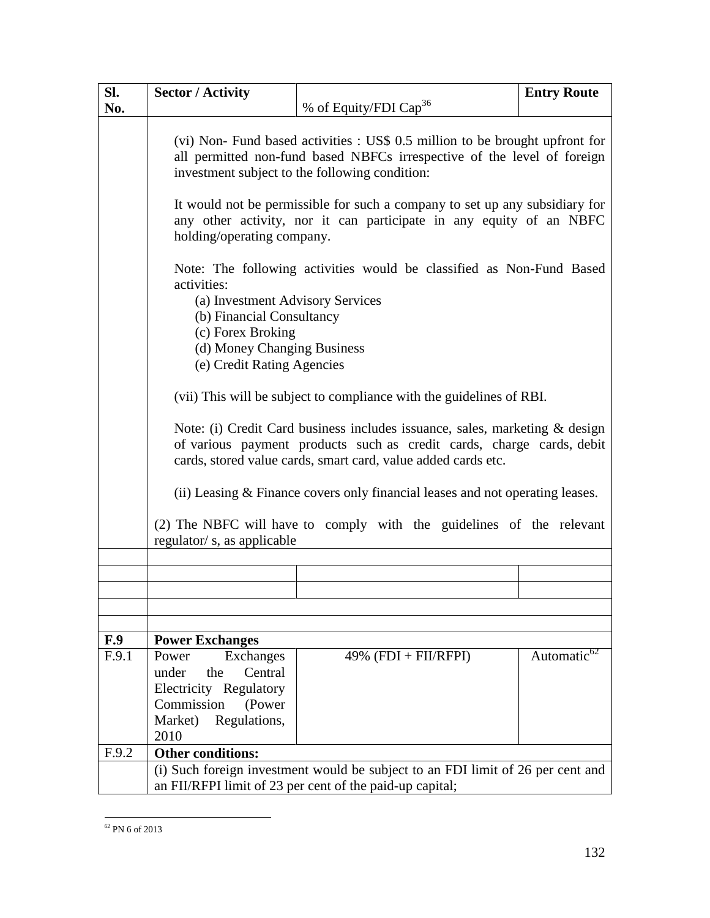| Sl.   | <b>Sector / Activity</b>                                                        |                                                                              | <b>Entry Route</b>      |  |  |
|-------|---------------------------------------------------------------------------------|------------------------------------------------------------------------------|-------------------------|--|--|
| No.   |                                                                                 | % of Equity/FDI Cap <sup>36</sup>                                            |                         |  |  |
|       |                                                                                 |                                                                              |                         |  |  |
|       |                                                                                 | (vi) Non- Fund based activities : US\$ 0.5 million to be brought upfront for |                         |  |  |
|       |                                                                                 | all permitted non-fund based NBFCs irrespective of the level of foreign      |                         |  |  |
|       |                                                                                 | investment subject to the following condition:                               |                         |  |  |
|       |                                                                                 |                                                                              |                         |  |  |
|       |                                                                                 | It would not be permissible for such a company to set up any subsidiary for  |                         |  |  |
|       | any other activity, nor it can participate in any equity of an NBFC             |                                                                              |                         |  |  |
|       | holding/operating company.                                                      |                                                                              |                         |  |  |
|       |                                                                                 |                                                                              |                         |  |  |
|       | Note: The following activities would be classified as Non-Fund Based            |                                                                              |                         |  |  |
|       | activities:                                                                     |                                                                              |                         |  |  |
|       | (a) Investment Advisory Services                                                |                                                                              |                         |  |  |
|       | (b) Financial Consultancy                                                       |                                                                              |                         |  |  |
|       | (c) Forex Broking                                                               |                                                                              |                         |  |  |
|       | (d) Money Changing Business                                                     |                                                                              |                         |  |  |
|       | (e) Credit Rating Agencies                                                      |                                                                              |                         |  |  |
|       |                                                                                 |                                                                              |                         |  |  |
|       | (vii) This will be subject to compliance with the guidelines of RBI.            |                                                                              |                         |  |  |
|       | Note: (i) Credit Card business includes issuance, sales, marketing & design     |                                                                              |                         |  |  |
|       | of various payment products such as credit cards, charge cards, debit           |                                                                              |                         |  |  |
|       | cards, stored value cards, smart card, value added cards etc.                   |                                                                              |                         |  |  |
|       |                                                                                 |                                                                              |                         |  |  |
|       | (ii) Leasing & Finance covers only financial leases and not operating leases.   |                                                                              |                         |  |  |
|       |                                                                                 |                                                                              |                         |  |  |
|       | (2) The NBFC will have to comply with the guidelines of the relevant            |                                                                              |                         |  |  |
|       | regulator/s, as applicable                                                      |                                                                              |                         |  |  |
|       |                                                                                 |                                                                              |                         |  |  |
|       |                                                                                 |                                                                              |                         |  |  |
|       |                                                                                 |                                                                              |                         |  |  |
|       |                                                                                 |                                                                              |                         |  |  |
|       |                                                                                 |                                                                              |                         |  |  |
| F.9   | <b>Power Exchanges</b>                                                          |                                                                              |                         |  |  |
| F.9.1 | Power<br>Exchanges                                                              | $49\%$ (FDI + FII/RFPI)                                                      | Automatic <sup>62</sup> |  |  |
|       | under<br>the<br>Central                                                         |                                                                              |                         |  |  |
|       | Electricity Regulatory                                                          |                                                                              |                         |  |  |
|       | Commission<br>(Power                                                            |                                                                              |                         |  |  |
|       | Regulations,<br>Market)                                                         |                                                                              |                         |  |  |
|       | 2010<br><b>Other conditions:</b>                                                |                                                                              |                         |  |  |
| F.9.2 |                                                                                 |                                                                              |                         |  |  |
|       | (i) Such foreign investment would be subject to an FDI limit of 26 per cent and |                                                                              |                         |  |  |
|       | an FII/RFPI limit of 23 per cent of the paid-up capital;                        |                                                                              |                         |  |  |

 $\overline{a}$ <sup>62</sup> PN 6 of 2013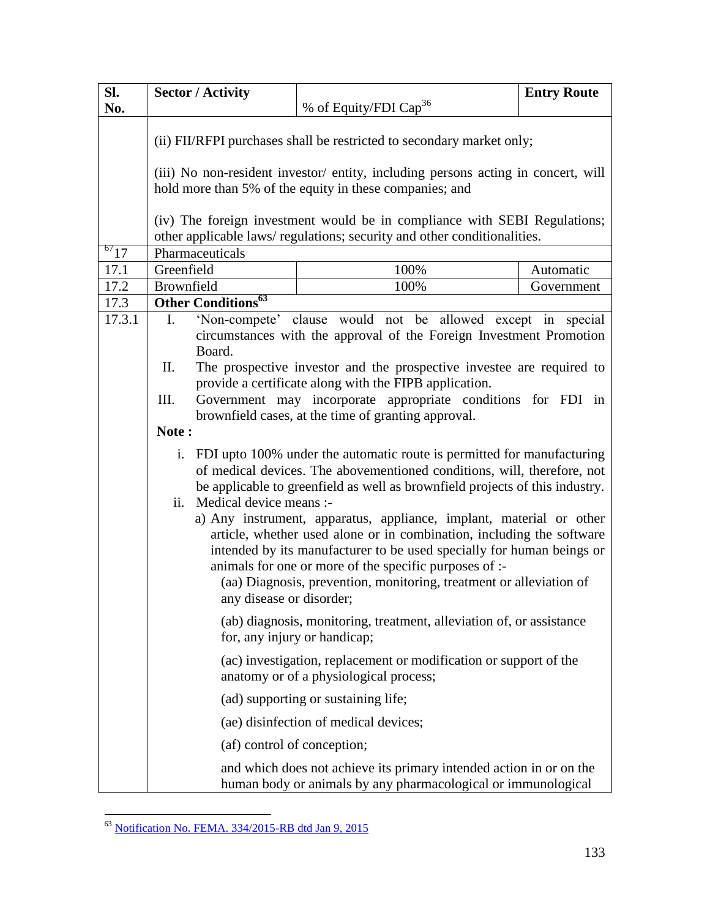| SI.       | <b>Sector / Activity</b>                                                                                                                                                                                                                                                                                                                                                                                                                                                                                                                                                                                                                                  |                                                                                                                                      | <b>Entry Route</b> |  |
|-----------|-----------------------------------------------------------------------------------------------------------------------------------------------------------------------------------------------------------------------------------------------------------------------------------------------------------------------------------------------------------------------------------------------------------------------------------------------------------------------------------------------------------------------------------------------------------------------------------------------------------------------------------------------------------|--------------------------------------------------------------------------------------------------------------------------------------|--------------------|--|
| No.       |                                                                                                                                                                                                                                                                                                                                                                                                                                                                                                                                                                                                                                                           | % of Equity/FDI Cap <sup>36</sup>                                                                                                    |                    |  |
|           | (ii) FII/RFPI purchases shall be restricted to secondary market only;<br>(iii) No non-resident investor/ entity, including persons acting in concert, will                                                                                                                                                                                                                                                                                                                                                                                                                                                                                                |                                                                                                                                      |                    |  |
|           | hold more than 5% of the equity in these companies; and                                                                                                                                                                                                                                                                                                                                                                                                                                                                                                                                                                                                   |                                                                                                                                      |                    |  |
|           | (iv) The foreign investment would be in compliance with SEBI Regulations;<br>other applicable laws/regulations; security and other conditionalities.                                                                                                                                                                                                                                                                                                                                                                                                                                                                                                      |                                                                                                                                      |                    |  |
| $^{67}17$ | Pharmaceuticals                                                                                                                                                                                                                                                                                                                                                                                                                                                                                                                                                                                                                                           |                                                                                                                                      |                    |  |
| 17.1      | Greenfield                                                                                                                                                                                                                                                                                                                                                                                                                                                                                                                                                                                                                                                | 100%                                                                                                                                 | Automatic          |  |
| 17.2      | Brownfield                                                                                                                                                                                                                                                                                                                                                                                                                                                                                                                                                                                                                                                | 100%                                                                                                                                 | Government         |  |
| 17.3      | Other Conditions <sup>63</sup>                                                                                                                                                                                                                                                                                                                                                                                                                                                                                                                                                                                                                            |                                                                                                                                      |                    |  |
| 17.3.1    | $\mathbf{I}$ .                                                                                                                                                                                                                                                                                                                                                                                                                                                                                                                                                                                                                                            | 'Non-compete' clause would not be allowed except in special                                                                          |                    |  |
|           | Board.                                                                                                                                                                                                                                                                                                                                                                                                                                                                                                                                                                                                                                                    | circumstances with the approval of the Foreign Investment Promotion                                                                  |                    |  |
|           | The prospective investor and the prospective investee are required to<br>П.                                                                                                                                                                                                                                                                                                                                                                                                                                                                                                                                                                               |                                                                                                                                      |                    |  |
|           | provide a certificate along with the FIPB application.                                                                                                                                                                                                                                                                                                                                                                                                                                                                                                                                                                                                    |                                                                                                                                      |                    |  |
|           | Government may incorporate appropriate conditions for FDI in<br>Ш.                                                                                                                                                                                                                                                                                                                                                                                                                                                                                                                                                                                        |                                                                                                                                      |                    |  |
|           |                                                                                                                                                                                                                                                                                                                                                                                                                                                                                                                                                                                                                                                           | brownfield cases, at the time of granting approval.                                                                                  |                    |  |
|           | Note:                                                                                                                                                                                                                                                                                                                                                                                                                                                                                                                                                                                                                                                     |                                                                                                                                      |                    |  |
|           | i. FDI upto 100% under the automatic route is permitted for manufacturing<br>of medical devices. The abovementioned conditions, will, therefore, not<br>be applicable to greenfield as well as brownfield projects of this industry.<br>ii. Medical device means :-<br>a) Any instrument, apparatus, appliance, implant, material or other<br>article, whether used alone or in combination, including the software<br>intended by its manufacturer to be used specially for human beings or<br>animals for one or more of the specific purposes of :-<br>(aa) Diagnosis, prevention, monitoring, treatment or alleviation of<br>any disease or disorder; |                                                                                                                                      |                    |  |
|           |                                                                                                                                                                                                                                                                                                                                                                                                                                                                                                                                                                                                                                                           | (ab) diagnosis, monitoring, treatment, alleviation of, or assistance<br>for, any injury or handicap;                                 |                    |  |
|           |                                                                                                                                                                                                                                                                                                                                                                                                                                                                                                                                                                                                                                                           | (ac) investigation, replacement or modification or support of the<br>anatomy or of a physiological process;                          |                    |  |
|           |                                                                                                                                                                                                                                                                                                                                                                                                                                                                                                                                                                                                                                                           | (ad) supporting or sustaining life;                                                                                                  |                    |  |
|           |                                                                                                                                                                                                                                                                                                                                                                                                                                                                                                                                                                                                                                                           | (ae) disinfection of medical devices;                                                                                                |                    |  |
|           | (af) control of conception;                                                                                                                                                                                                                                                                                                                                                                                                                                                                                                                                                                                                                               |                                                                                                                                      |                    |  |
|           |                                                                                                                                                                                                                                                                                                                                                                                                                                                                                                                                                                                                                                                           | and which does not achieve its primary intended action in or on the<br>human body or animals by any pharmacological or immunological |                    |  |

 $\overline{a}$ <sup>63</sup> [Notification No. FEMA. 334/2015-RB dtd Jan 9, 2015](http://rbi.org.in/Scripts/NotificationUser.aspx?Id=9527&Mode=0)